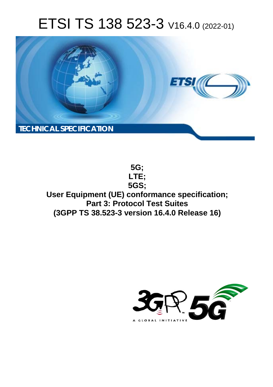# ETSI TS 138 523-3 V16.4.0 (2022-01)



**5G; LTE; 5GS; User Equipment (UE) conformance specification; Part 3: Protocol Test Suites (3GPP TS 38.523-3 version 16.4.0 Release 16)** 

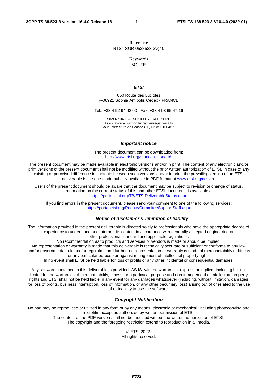Reference RTS/TSGR-0538523-3vg40

Keywords

5G,LTE

#### *ETSI*

650 Route des Lucioles F-06921 Sophia Antipolis Cedex - FRANCE

Tel.: +33 4 92 94 42 00 Fax: +33 4 93 65 47 16

Siret N° 348 623 562 00017 - APE 7112B Association à but non lucratif enregistrée à la Sous-Préfecture de Grasse (06) N° w061004871

#### *Important notice*

The present document can be downloaded from: <http://www.etsi.org/standards-search>

The present document may be made available in electronic versions and/or in print. The content of any electronic and/or print versions of the present document shall not be modified without the prior written authorization of ETSI. In case of any existing or perceived difference in contents between such versions and/or in print, the prevailing version of an ETSI deliverable is the one made publicly available in PDF format at [www.etsi.org/deliver](http://www.etsi.org/deliver).

Users of the present document should be aware that the document may be subject to revision or change of status. Information on the current status of this and other ETSI documents is available at <https://portal.etsi.org/TB/ETSIDeliverableStatus.aspx>

If you find errors in the present document, please send your comment to one of the following services: <https://portal.etsi.org/People/CommiteeSupportStaff.aspx>

#### *Notice of disclaimer & limitation of liability*

The information provided in the present deliverable is directed solely to professionals who have the appropriate degree of experience to understand and interpret its content in accordance with generally accepted engineering or other professional standard and applicable regulations.

No recommendation as to products and services or vendors is made or should be implied.

No representation or warranty is made that this deliverable is technically accurate or sufficient or conforms to any law and/or governmental rule and/or regulation and further, no representation or warranty is made of merchantability or fitness for any particular purpose or against infringement of intellectual property rights.

In no event shall ETSI be held liable for loss of profits or any other incidental or consequential damages.

Any software contained in this deliverable is provided "AS IS" with no warranties, express or implied, including but not limited to, the warranties of merchantability, fitness for a particular purpose and non-infringement of intellectual property rights and ETSI shall not be held liable in any event for any damages whatsoever (including, without limitation, damages for loss of profits, business interruption, loss of information, or any other pecuniary loss) arising out of or related to the use of or inability to use the software.

#### *Copyright Notification*

No part may be reproduced or utilized in any form or by any means, electronic or mechanical, including photocopying and microfilm except as authorized by written permission of ETSI. The content of the PDF version shall not be modified without the written authorization of ETSI.

The copyright and the foregoing restriction extend to reproduction in all media.

© ETSI 2022. All rights reserved.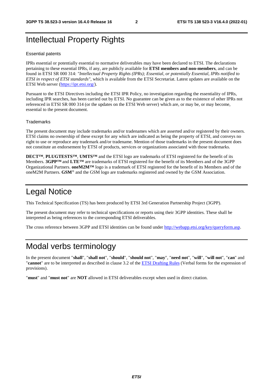### Intellectual Property Rights

#### Essential patents

IPRs essential or potentially essential to normative deliverables may have been declared to ETSI. The declarations pertaining to these essential IPRs, if any, are publicly available for **ETSI members and non-members**, and can be found in ETSI SR 000 314: *"Intellectual Property Rights (IPRs); Essential, or potentially Essential, IPRs notified to ETSI in respect of ETSI standards"*, which is available from the ETSI Secretariat. Latest updates are available on the ETSI Web server ([https://ipr.etsi.org/\)](https://ipr.etsi.org/).

Pursuant to the ETSI Directives including the ETSI IPR Policy, no investigation regarding the essentiality of IPRs, including IPR searches, has been carried out by ETSI. No guarantee can be given as to the existence of other IPRs not referenced in ETSI SR 000 314 (or the updates on the ETSI Web server) which are, or may be, or may become, essential to the present document.

#### **Trademarks**

The present document may include trademarks and/or tradenames which are asserted and/or registered by their owners. ETSI claims no ownership of these except for any which are indicated as being the property of ETSI, and conveys no right to use or reproduce any trademark and/or tradename. Mention of those trademarks in the present document does not constitute an endorsement by ETSI of products, services or organizations associated with those trademarks.

**DECT™**, **PLUGTESTS™**, **UMTS™** and the ETSI logo are trademarks of ETSI registered for the benefit of its Members. **3GPP™** and **LTE™** are trademarks of ETSI registered for the benefit of its Members and of the 3GPP Organizational Partners. **oneM2M™** logo is a trademark of ETSI registered for the benefit of its Members and of the oneM2M Partners. **GSM**® and the GSM logo are trademarks registered and owned by the GSM Association.

#### Legal Notice

This Technical Specification (TS) has been produced by ETSI 3rd Generation Partnership Project (3GPP).

The present document may refer to technical specifications or reports using their 3GPP identities. These shall be interpreted as being references to the corresponding ETSI deliverables.

The cross reference between 3GPP and ETSI identities can be found under<http://webapp.etsi.org/key/queryform.asp>.

#### Modal verbs terminology

In the present document "**shall**", "**shall not**", "**should**", "**should not**", "**may**", "**need not**", "**will**", "**will not**", "**can**" and "**cannot**" are to be interpreted as described in clause 3.2 of the [ETSI Drafting Rules](https://portal.etsi.org/Services/editHelp!/Howtostart/ETSIDraftingRules.aspx) (Verbal forms for the expression of provisions).

"**must**" and "**must not**" are **NOT** allowed in ETSI deliverables except when used in direct citation.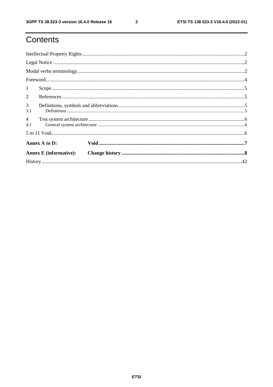$\mathbf{3}$ 

## Contents

| $\mathbf{1}$          |                               |  |  |  |  |  |  |  |  |  |  |  |
|-----------------------|-------------------------------|--|--|--|--|--|--|--|--|--|--|--|
| 2                     |                               |  |  |  |  |  |  |  |  |  |  |  |
| $\mathfrak{Z}$<br>3.1 |                               |  |  |  |  |  |  |  |  |  |  |  |
| $\overline{4}$<br>4.1 |                               |  |  |  |  |  |  |  |  |  |  |  |
|                       |                               |  |  |  |  |  |  |  |  |  |  |  |
|                       | Annex A to D:                 |  |  |  |  |  |  |  |  |  |  |  |
|                       | <b>Annex E</b> (informative): |  |  |  |  |  |  |  |  |  |  |  |
|                       |                               |  |  |  |  |  |  |  |  |  |  |  |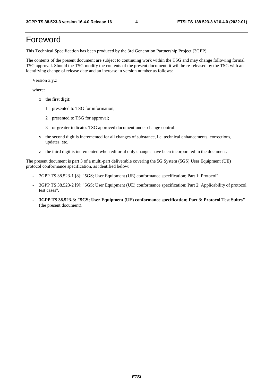#### Foreword

This Technical Specification has been produced by the 3rd Generation Partnership Project (3GPP).

The contents of the present document are subject to continuing work within the TSG and may change following formal TSG approval. Should the TSG modify the contents of the present document, it will be re-released by the TSG with an identifying change of release date and an increase in version number as follows:

Version x.y.z

where:

- x the first digit:
	- 1 presented to TSG for information;
	- 2 presented to TSG for approval;
	- 3 or greater indicates TSG approved document under change control.
- y the second digit is incremented for all changes of substance, i.e. technical enhancements, corrections, updates, etc.
- z the third digit is incremented when editorial only changes have been incorporated in the document.

The present document is part 3 of a multi-part deliverable covering the 5G System (5GS) User Equipment (UE) protocol conformance specification, as identified below:

- 3GPP TS 38.523-1 [8]: "5GS; User Equipment (UE) conformance specification; Part 1: Protocol".
- 3GPP TS 38.523-2 [9]: "5GS; User Equipment (UE) conformance specification; Part 2: Applicability of protocol test cases".
- **3GPP TS 38.523-3: "5GS; User Equipment (UE) conformance specification; Part 3: Protocol Test Suites"** (the present document).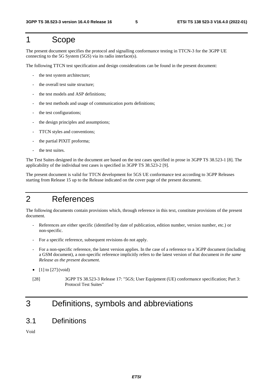#### 1 Scope

The present document specifies the protocol and signalling conformance testing in TTCN-3 for the 3GPP UE connecting to the 5G System (5GS) via its radio interface(s).

The following TTCN test specification and design considerations can be found in the present document:

- the test system architecture:
- the overall test suite structure;
- the test models and ASP definitions:
- the test methods and usage of communication ports definitions;
- the test configurations;
- the design principles and assumptions;
- TTCN styles and conventions;
- the partial PIXIT proforma;
- the test suites.

The Test Suites designed in the document are based on the test cases specified in prose in 3GPP TS 38.523-1 [8]. The applicability of the individual test cases is specified in 3GPP TS 38.523-2 [9].

The present document is valid for TTCN development for 5GS UE conformance test according to 3GPP Releases starting from Release 15 up to the Release indicated on the cover page of the present document.

#### 2 References

The following documents contain provisions which, through reference in this text, constitute provisions of the present document.

- References are either specific (identified by date of publication, edition number, version number, etc.) or non-specific.
- For a specific reference, subsequent revisions do not apply.
- For a non-specific reference, the latest version applies. In the case of a reference to a 3GPP document (including a GSM document), a non-specific reference implicitly refers to the latest version of that document *in the same Release as the present document*.
- $[1]$  to  $[27]$  (void)
- [28] 3GPP TS 38.523-3 Release 17: "5GS; User Equipment (UE) conformance specification; Part 3: Protocol Test Suites"

## 3 Definitions, symbols and abbreviations

#### 3.1 Definitions

Void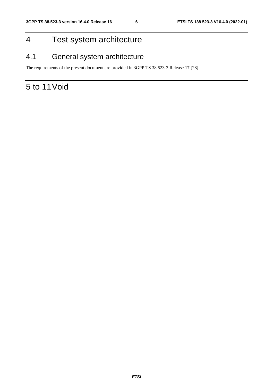## 4 Test system architecture

### 4.1 General system architecture

The requirements of the present document are provided in 3GPP TS 38.523-3 Release 17 [28].

## 5 to 11 Void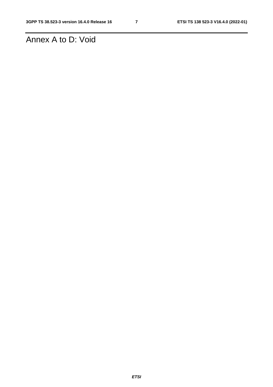## Annex A to D: Void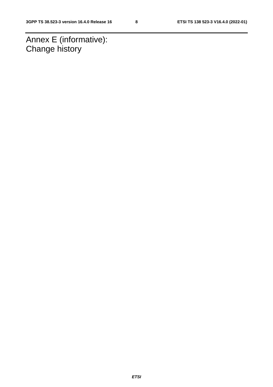Annex E (informative): Change history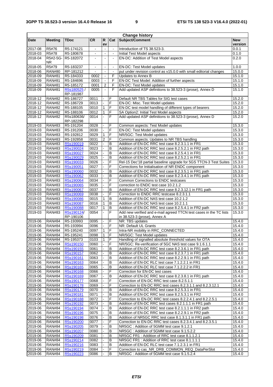| <b>Change history</b> |                |                        |                |                          |                |                                                                    |            |  |  |  |  |
|-----------------------|----------------|------------------------|----------------|--------------------------|----------------|--------------------------------------------------------------------|------------|--|--|--|--|
| Date                  | <b>Meeting</b> | <b>TDoc</b>            | <b>CR</b>      | R                        | Cat            | Subject/Comment                                                    | <b>New</b> |  |  |  |  |
|                       |                |                        |                | ev                       |                |                                                                    | version    |  |  |  |  |
| 2017-08               | R5#76          | R5-174121              | $\blacksquare$ | $\overline{\phantom{a}}$ | $\omega$       | Introduction of TS 38.523-3.                                       | 0.0.1      |  |  |  |  |
| 2018-03               | R5#78          | R5-180678              | $\blacksquare$ | $\blacksquare$           | $\blacksquare$ | Initial Test Model aspects                                         | 0.1.0      |  |  |  |  |
| 2018-04               | R5#2-5G-       | R5-182072              | $\blacksquare$ | $\sim$                   |                | EN-DC: Addition of Test Model aspects                              | 0.2.0      |  |  |  |  |
|                       | NR.            |                        |                |                          |                |                                                                    |            |  |  |  |  |
| 2018-05               | R5#79          | R5-183237              | $\blacksquare$ | $\blacksquare$           | $\blacksquare$ | EN-DC: Test Model updates                                          | 1.0.0      |  |  |  |  |
| 2018-06               | <b>RAN#80</b>  | RP-181212              |                |                          | $\blacksquare$ | put under revision control as v15.0.0 with small editorial changes | 15.0.0     |  |  |  |  |
| 2018-09               | <b>RAN#81</b>  | R5-184333              | 0002           | $\overline{\phantom{a}}$ | F              | Updates to Annex B                                                 | 15.1.0     |  |  |  |  |
| 2018-09               | <b>RAN#81</b>  | R5-184696              | 0003           |                          | F              | EN-DC Test Model: Addition of further aspects                      | 15.1.0     |  |  |  |  |
| 2018-09               | <b>RAN#81</b>  | R5-185172              | 0001           | $\overline{2}$           | F              | EN-DC: Test Model updates                                          | 15.1.0     |  |  |  |  |
| 2018-09               | <b>RAN#81</b>  | R5s180525/             | 0005           |                          | F              | Add updated ASP definitions to 38.523-3 (prose), Annex D           | 15.1.0     |  |  |  |  |
|                       |                | RP-181987              |                |                          |                |                                                                    |            |  |  |  |  |
| 2018-12               | <b>RAN#82</b>  | R5-186727              | 0011           |                          | F              | Default NR TBS Tables for SIG test cases                           | 15.2.0     |  |  |  |  |
| 2018-12               | <b>RAN#82</b>  | R5-186729              | 0013           |                          | F              | EN-DC: Misc. Test Model updates                                    | 15.2.0     |  |  |  |  |
| 2018-12               | <b>RAN#82</b>  | R5-188105              | 0010           | $\mathbf{1}$             | F              | EN-DC test model handling of different types of bearers            | 15.2.0     |  |  |  |  |
| 2018-12               | <b>RAN#82</b>  | R5-188106              | 0012           | $\mathbf{1}$             | F              | SA Option2: Initial Test Model aspects                             | 15.2.0     |  |  |  |  |
| 2018-12               | <b>RAN#82</b>  | R5s180636/             | 0014           |                          | F              | Add updated ASP definitions to 38.523-3 (prose), Annex D           | 15.2.0     |  |  |  |  |
|                       |                |                        |                |                          |                |                                                                    |            |  |  |  |  |
| 2019-03               |                | RP-182298<br>R5-191204 | 0028           |                          | F              | Common aspects: Test Model updates                                 |            |  |  |  |  |
|                       | <b>RAN#83</b>  |                        |                |                          |                |                                                                    | 15.3.0     |  |  |  |  |
| 2019-03               | <b>RAN#83</b>  | R5-191206              | 0030           |                          | F              | EN-DC: Test Model updates                                          | 15.3.0     |  |  |  |  |
| 2019-03               | <b>RAN#83</b>  | R5-192812              | 0029           | 1                        | F              | NR/5GC: Test Model updates                                         | 15.3.0     |  |  |  |  |
| 2019-03               | <b>RAN#83</b>  | R5-192858              | 0031           | $\overline{2}$           | F              | Common aspects: Updates to NR TBS handling                         | 15.3.0     |  |  |  |  |
| 2019-03               | <b>RAN#83</b>  | R5s190019              | 0022           |                          | B              | Addition of EN-DC RRC test case 8.2.3.1.1 in FR1                   | 15.3.0     |  |  |  |  |
| 2019-03               | <b>RAN#83</b>  | R5s190024              | 0023           |                          | B              | Addition of EN-DC RRC test case 8.2.5.2.1 in FR2 path              | 15.3.0     |  |  |  |  |
| 2019-03               | <b>RAN#83</b>  | R5s190027              | 0024           |                          | B              | Addition of EN-DC RRC test case 8.2.5.4.1 in FR1                   | 15.3.0     |  |  |  |  |
| 2019-03               | <b>RAN#83</b>  | R5s190029              | 0025           |                          | B              | Addition of EN-DC RRC test case 8.2.5.2.1 in FR1                   | 15.3.0     |  |  |  |  |
| 2019-03               | <b>RAN#83</b>  | R5s190033              | 0026           |                          | F              | Rel-15 Dec'18 partial baseline upgrade for 5GS TTCN-3 Test Suites  | 15.3.0     |  |  |  |  |
| 2019-03               | <b>RAN#83</b>  | R5s190051              | 0027           |                          | F              | Corrections for Initialisation of NR ENDC component                | 15.3.0     |  |  |  |  |
| 2019-03               | <b>RAN#83</b>  | R5s190060              | 0032           |                          | B              | Addition of EN-DC RRC test case 8.2.3.5.1 in FR1 path              | 15.3.0     |  |  |  |  |
| 2019-03               | <b>RAN#83</b>  | R5s190062              | 0033           |                          | B              | Addition of EN-DC RRC test case 8.2.3.4.1 in FR1 path              | 15.3.0     |  |  |  |  |
| 2019-03               | <b>RAN#83</b>  | R5s190064              | 0034           |                          | F              | Common Corrections to ENDC testcases                               | 15.3.0     |  |  |  |  |
| 2019-03               | <b>RAN#83</b>  | R5s190065              | 0035           | $\overline{a}$           | F              | correction to ENDC test case 10.2.1.2                              | 15.3.0     |  |  |  |  |
| 2019-03               | <b>RAN#83</b>  | R5s190067              | 0037           |                          | B              | Addition of EN-DC RRC test case 8.2.3.12.1 in FR1 path             | 15.3.0     |  |  |  |  |
| 2019-03               | <b>RAN#83</b>  | R5s190069              | 0038           |                          | F              | Correction to ENDC RRC testcase 8.2.3.1.1                          | 15.3.0     |  |  |  |  |
| 2019-03               | <b>RAN#83</b>  | R5s190086              | 0015           | 1                        | В              | Addition of EN-DC NAS test case 10.2.1.2                           | 15.3.0     |  |  |  |  |
|                       |                |                        |                |                          |                |                                                                    |            |  |  |  |  |
| 2019-03               | <b>RAN#83</b>  | R5s190087              | 0016           | $\mathbf{1}$             | B              | Addition of EN-DC NAS test case 10.2.1.1                           | 15.3.0     |  |  |  |  |
| 2019-03               | <b>RAN#83</b>  | R5s190088              | 0017           | 1                        | B              | Addition of EN-DC RRC test case 8.2.5.4.1 in FR2 path              | 15.3.0     |  |  |  |  |
| 2019-03               | <b>RAN#83</b>  | R5s190124/             | 0054           |                          | F              | Add new verified and e-mail agreed TTCN test cases in the TC lists | 15.3.0     |  |  |  |  |
|                       |                | RP-190106              |                |                          |                | in 38.523-3 (prose), Annex A                                       |            |  |  |  |  |
| 2019-06               | <b>RAN#84</b>  | R5-193993              | 0095           |                          | F              | NR: TBS updates                                                    | 15.4.0     |  |  |  |  |
| 2019-06               | <b>RAN#84</b>  | R5-193994              | 0096           |                          | F              | NR: Default UL Grants                                              | 15.4.0     |  |  |  |  |
| 2019-06               | <b>RAN#84</b>  | R5-195240              | 0097           | $\mathbf{1}$             | F              | Intra-NR mobility in RRC_CONNECTED                                 | 15.4.0     |  |  |  |  |
| 2019-06               | <b>RAN#84</b>  | R5-195241              | 0098           | 1                        | F              | NR/5GC: Test Model updates                                         | 15.4.0     |  |  |  |  |
| 2019-06               | <b>RAN#84</b>  | R5-195373              | 0103           | $\overline{11}$          | F              | Handling of signalled absolute threshold values for OTA            | 15.4.0     |  |  |  |  |
| 2019-06               | <b>RAN#84</b>  | R5s190150              | 0060           | ä,                       | F              | NR/5GC: Re-verification of 5GC NAS test case 9.1.6.1.1             | 15.4.0     |  |  |  |  |
| 2019-06               | <b>RAN#84</b>  | R5s190155              | 0061           |                          | В              | Addition of EN-DC RRC test case 8.2.3.6.1 in FR1 path              | 15.4.0     |  |  |  |  |
| 2019-06               | <b>RAN#84</b>  | R5s190157              | 0062           |                          | В              | Addition of EN-DC RRC test case 8.2.3.7.1 in FR1 path              | 15.4.0     |  |  |  |  |
| 2019-06               | <b>RAN#84</b>  | R5s190161              | 0063           |                          | В              | Addition of EN-DC RRC test case 8.2.2.9.1 in FR1 path              | 15.4.0     |  |  |  |  |
| 2019-06               | <b>RAN#84</b>  | R5s190163              | 0064           |                          | В              | Addition of EN-DC RLC test case 7.1.2.2.1 in FR1                   | 15.4.0     |  |  |  |  |
| 2019-06               | <b>RAN#84</b>  | R5s190165              | 0065           |                          | в              | Addition of EN-DC RLC test case 7.1.2.2.2 in FR1                   | 15.4.0     |  |  |  |  |
| 2019-06               | <b>RAN#84</b>  | R5s190168              | 0066           |                          | F              | Correction for EN-DC test cases                                    | 15.4.0     |  |  |  |  |
| 2019-06               | <b>RAN#84</b>  | R5s190169              | 0067           |                          | B              | Addition of EN-DC RRC test case 8.2.3.8.1 in FR1 path              | 15.4.0     |  |  |  |  |
| 2019-06               | <b>RAN#84</b>  | R5s190177              | 0068           |                          | F              | Correction of EN-DC RRC test case 8.2.5.1.1                        | 15.4.0     |  |  |  |  |
| 2019-06               | <b>RAN#84</b>  | R5s190178              | 0069           |                          | F              | Correction to EN-DC RRC test cases 8.2.3.1.1 and 8.2.3.12.1        | 15.4.0     |  |  |  |  |
| 2019-06               |                |                        | 0070           |                          | В              |                                                                    |            |  |  |  |  |
|                       | <b>RAN#84</b>  | R5s190179              |                |                          |                | Addition of EN-DC RRC test case 8.2.5.3.1 in FR1                   | 15.4.0     |  |  |  |  |
| 2019-06               | <b>RAN#84</b>  | R5s190181              | 0071           |                          | B              | Addition of EN-DC RRC test case 8.2.5.3.1 in FR2                   | 15.4.0     |  |  |  |  |
| 2019-06               | <b>RAN#84</b>  | R5s190188              | 0072           |                          | F              | Correction to EN-DC RRC test cases 8.2.2.4.1 and 8.2.2.5.1         | 15.4.0     |  |  |  |  |
| 2019-06               | <b>RAN#84</b>  | R5s190192              | 0073           |                          | В              | Addition of EN-DC RRC test cases 8.2.1.1.1 in FR1 path             | 15.4.0     |  |  |  |  |
| 2019-06               | <b>RAN#84</b>  | R5s190194              | 0074           |                          | B              | Addition of EN-DC RRC test case 8.2.1.1.1 in FR2 path              | 15.4.0     |  |  |  |  |
| 2019-06               | <b>RAN#84</b>  | R5s190196              | 0075           |                          | B              | Addition of EN-DC RRC test case 8.2.2.9.1 in FR2 path              | 15.4.0     |  |  |  |  |
| 2019-06               | <b>RAN#84</b>  | R5s190198              | 0076           |                          | В              | Addition of NR5GC RRC test case 8.1.3.1.1 in FR1 path              | 15.4.0     |  |  |  |  |
| 2019-06               | RAN#84         | R5s190200              | 0077           |                          | F              | Correction to EN-DC RRC test cases 8.2.3.4.1 and 8.2.3.5.1         | 15.4.0     |  |  |  |  |
| 2019-06               | <b>RAN#84</b>  | R5s190205              | 0079           |                          | В              | NR5GC: Addition of 5GMM test case 9.1.2.1                          | 15.4.0     |  |  |  |  |
| 2019-06               | <b>RAN#84</b>  | R5s190207              | 0080           |                          | В              | NR5GC : Addition of 5GMM test case 9.1.5.2.2                       | 15.4.0     |  |  |  |  |
| 2019-06               | <b>RAN#84</b>  | R5s190209              | 0081           |                          | B              | NR5GC FR1: Addition of RRC test case 8.1.1.2.1                     | 15.4.0     |  |  |  |  |
| 2019-06               | <b>RAN#84</b>  | R5s190214              | 0082           |                          | В              | NR5GC FR1: Addition of RRC test case 8.1.1.1.1                     | 15.4.0     |  |  |  |  |
| 2019-06               | <b>RAN#84</b>  | R5s190216              | 0083           |                          | B              | Addition of EN-DC RLC test case 7.1.2.3.1 in FR1                   | 15.4.0     |  |  |  |  |
| 2019-06               | <b>RAN#84</b>  | R5s190219              | 0084           |                          | F              | Correction to cas_NR_DRB_COMMON_REQ_DataPerSlot                    | 15.4.0     |  |  |  |  |
| 2019-06               | <b>RAN#84</b>  | R5s190223              | 0086           |                          | В              | NR5GC : Addition of 5GMM test case 9.1.5.2.4                       | 15.4.0     |  |  |  |  |
|                       |                |                        |                |                          |                |                                                                    |            |  |  |  |  |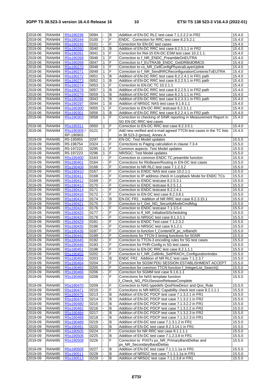| 2019-06 | <b>RAN#84</b> | R5s190236   | 0094 | $\blacksquare$ | B              | Addition of EN-DC RLC test case 7.1.2.2.2 in FR2                   | 15.4.0 |
|---------|---------------|-------------|------|----------------|----------------|--------------------------------------------------------------------|--------|
|         |               |             |      | $\overline{a}$ | F              |                                                                    |        |
| 2019-06 | <b>RAN#84</b> | R5s190244   | 0100 |                |                | ENDC: Correction for RRC test case 8.2.5.2.1                       | 15.4.0 |
| 2019-06 | <b>RAN#84</b> | R5s190245   | 0101 |                | F              | Correction for EN-DC test cases                                    | 15.4.0 |
| 2019-06 | <b>RAN#84</b> | R5s190260   | 0040 | 1              | В              | Addition of EN-DC RRC test case 8.2.5.1.1 in FR2                   | 15.4.0 |
| 2019-06 | <b>RAN#84</b> | R5s190261   | 0041 | $\mathbf{1}$   | F              | Correction for Rel-15 EN-DC ESM test case 10.2.1.1.                | 15.4.0 |
|         |               |             |      |                |                |                                                                    |        |
| 2019-06 | <b>RAN#84</b> | R5s190268   | 0046 | $\mathbf{1}$   | F              | Correction to f_NR_ENDC_PreambleOnEUTRA                            | 15.4.0 |
| 2019-06 | <b>RAN#84</b> | R5s190269   | 0047 | $\mathbf{1}$   | F              | Correction to f_EUTRA38_ENDC_GetDRBIdOfMCG                         | 15.4.0 |
| 2019-06 | <b>RAN#84</b> | R5s190270   | 0048 | $\mathbf{1}$   | F              | Correction to cs_NR_CellConfigPhysicalLayerUplink                  | 15.4.0 |
| 2019-06 | <b>RAN#84</b> | R5s190271   | 0049 | $\mathbf{1}$   | F              | Correction to f_NR_SendRRCReconfigurationContentsToEUTRA           | 15.4.0 |
|         |               |             |      |                |                |                                                                    |        |
| 2019-06 | <b>RAN#84</b> | R5s190272   | 0051 | $\mathbf{1}$   | B              | Addition of EN-DC RRC test case 8.2.2.4.1 in FR1 path              | 15.4.0 |
| 2019-06 | <b>RAN#84</b> | R5s190273   | 0052 | $\mathbf{1}$   | $\overline{B}$ | Addition of EN-DC RRC test case 8.2.2.5.1 in FR1 path              | 15.4.0 |
| 2019-06 | <b>RAN#84</b> | R5s190274   | 0053 | $\mathbf 1$    | F              | Correction to EN-DC TC 10.2.1.1                                    | 15.4.0 |
|         |               |             |      |                |                |                                                                    |        |
| 2019-06 | <b>RAN#84</b> | R5s190278   | 0057 | 1              | B              | Addition of EN-DC RRC test case 8.2.2.5.1 in FR2 path              | 15.4.0 |
| 2019-06 | <b>RAN#84</b> | R5s190279   | 0059 | $\mathbf{1}$   | $\, {\sf B}$   | Addition of EN-DC RRC test case 8.2.5.1.1 in FR1                   | 15.4.0 |
| 2019-06 | <b>RAN#84</b> | R5s190296   | 0043 | $\mathbf{1}$   | B              | Addition of EN-DC RRC test case 8.2.3.3.1 in FR1 path              | 15.4.0 |
|         |               |             |      |                |                |                                                                    |        |
| 2019-06 | <b>RAN#84</b> | R5s190297   | 0044 | 1              | B              | Addition of NR5GC NAS test case 9.1.6.1.1                          | 15.4.0 |
| 2019-06 | <b>RAN#84</b> | R5s190300   | 0055 | $\overline{1}$ | F              | Correction to EN-DC RRC testcase 8.2.3.1.1                         | 15.4.0 |
| 2019-06 | <b>RAN#84</b> | R5s190301   | 0056 | 1              | B              | Addition of EN-DC RRC test case 8.2.2.4.1 in FR2 path              | 15.4.0 |
| 2019-06 | <b>RAN#84</b> | R5s190303   | 0058 | $\mathbf{1}$   | F              | Correction to checking of SINR reporting in Measurement Report in  | 15.4.0 |
|         |               |             |      |                |                |                                                                    |        |
|         |               |             |      |                |                | 5G EN-DC RRC test cases                                            |        |
| 2019-06 | <b>RAN#84</b> | R5s190311   | 0050 | 1              | $\mathsf F$    | Correction to EN-DC RRC test case 8.2.3.5.1                        | 15.4.0 |
| 2019-06 | <b>RAN#84</b> | R5s190309 / | 0121 |                | F              | Add new verified and e-mail agreed TTCN test cases in the TC lists | 15.4.0 |
|         |               | RP-190903   |      |                |                | in 38.523-3 (prose), Annex A                                       |        |
|         |               |             |      |                |                |                                                                    |        |
| 2019-09 | <b>RAN#85</b> | R5-195955   | 0297 |                | F              | EN-DC: Test Model updates                                          | 15.5.0 |
| 2019-09 | <b>RAN#85</b> | R5-196754   | 0324 | $\overline{a}$ | F              | Corrections to Paging calculation in clause 7.3.4                  | 15.5.0 |
| 2019-09 | <b>RAN#85</b> | R5-197222   | 0295 | 1              | F              | Common aspects: Test Model updates                                 | 15.5.0 |
|         |               |             |      |                |                |                                                                    |        |
| 2019-09 | <b>RAN#85</b> | R5-197223   | 0296 | 1              | F              | NR/5GC: Test Model updates                                         | 15.5.0 |
| 2019-09 | <b>RAN#85</b> | R5s190400   | 0163 | L.             | F              | Correction to common ENDC TC preamble function                     | 15.5.0 |
| 2019-09 | <b>RAN#85</b> | R5s190401   | 0164 |                | F              | Corrections for RIcBearerRouting in EN-DC test cases               | 15.5.0 |
| 2019-09 |               | R5s190408   | 0166 |                | F              | Correction to NR RLC test case 7.1.2.3.2                           | 15.5.0 |
|         | <b>RAN#85</b> |             |      |                |                |                                                                    |        |
| 2019-09 | <b>RAN#85</b> | R5s190410   | 0167 | L.             | F              | Correction to ENDC NAS test case 10.2.1.1                          | 15.5.0 |
| 2019-09 | <b>RAN#85</b> | R5s190411   | 0168 |                | F              | Correction to IP address check in Loopback Mode for ENDC TCs       | 15.5.0 |
| 2019-09 | <b>RAN#85</b> | R5s190412   | 0169 |                | F              | Correction to ENDC testcase 8.2.5.3.1                              | 15.5.0 |
|         |               |             |      |                |                |                                                                    |        |
| 2019-09 | <b>RAN#85</b> | R5s190413   | 0170 | ä,             | F              | Correction to ENDC testcase 8.2.5.1.1                              | 15.5.0 |
| 2019-09 | <b>RAN#85</b> | R5s190414   | 0171 |                | F              | Correction to ENDC testcase 8.2.2.4.1                              | 15.5.0 |
| 2019-09 | <b>RAN#85</b> | R5s190416   | 0172 |                | F              | Correction to EN-DC test case 8.2.3.8.1                            | 15.5.0 |
|         |               |             | 0174 | L.             | B              | EN-DC FR1 : Addition of NR RRC test case 8.2.3.15.1                |        |
| 2019-09 | <b>RAN#85</b> | R5s190419   |      |                |                |                                                                    | 15.5.0 |
| 2019-09 | <b>RAN#85</b> | R5s190421   | 0175 |                | F              | Correction to f_Get_NG_SecurityModeCmdMsg                          | 15.5.0 |
| 2019-09 | <b>RAN#85</b> | R5s190424   | 0176 |                | F              | Correction to ENDC testcase 7.1.3.5.4                              | 15.5.0 |
| 2019-09 | <b>RAN#85</b> | R5s190425   | 0177 | ä,             | F              | Correction to fl_NR_InitialiseSiScheduling                         | 15.5.0 |
|         |               |             |      |                |                |                                                                    |        |
| 2019-09 | <b>RAN#85</b> | R5s190426   | 0178 |                | F              | Correction to NR5GC test case 8.1.3.1.1                            | 15.5.0 |
| 2019-09 | <b>RAN#85</b> | R5s190429   | 0181 |                | F              | Correction to ENDC Test case 7.1.2.3.2                             | 15.5.0 |
| 2019-09 | <b>RAN#85</b> | R5s190435   | 0186 |                | F              | Correction to NR5GC test case 9.1.2.1                              | 15.5.0 |
|         |               |             |      |                |                | Correction to function f ContentOf pc nrBandX                      | 15.5.0 |
| 2019-09 | <b>RAN#85</b> | R5s190436   | 0187 |                | F              |                                                                    |        |
| 2019-09 | <b>RAN#85</b> | R5s190442   | 0189 |                | F              | Corrections for TTCN-3 timing functions for 5GNR                   | 15.5.0 |
| 2019-09 | <b>RAN#85</b> | R5s190445   | 0192 | $\blacksquare$ | F              | Correction to TTCN-3 encoding rules for 5G test cases              | 15.5.0 |
| 2019-09 | <b>RAN#85</b> | R5s190446   | 0193 | ä,             | $\mathsf F$    | Correction for PHR-Config in 5G test cases                         | 15.5.0 |
|         |               |             |      |                |                |                                                                    |        |
| 2019-09 | <b>RAN#85</b> | R5s190451   | 0198 |                | F              | Correction to EN-DC RRC test case 8.2.1.1.1                        | 15.5.0 |
| 2019-09 | <b>RAN#85</b> | R5s190455   | 0202 |                | F              | Correction to f_NR_CellInfo_SetPRACH_ConfigurationIndex            | 15.5.0 |
| 2019-09 | <b>RAN#85</b> | R5s190456   | 0203 |                | в              | ENDC FR2: Addition of NR RLC test case 7.1.2.3.7                   | 15.5.0 |
|         |               |             |      |                | F              |                                                                    |        |
| 2019-09 | <b>RAN#85</b> | R5s190464   | 0204 |                |                | Correction for 5GSM PDU SESSION ESTABLISHMENT ACCEPT               | 15.5.0 |
| 2019-09 | <b>RAN#85</b> | R5s190465   | 0205 |                | F              | Correction for common TTCN function f_IntegerList_Search()         | 15.5.0 |
| 2019-09 | <b>RAN#85</b> | R5s190466   | 0206 |                | F              | Correction for 5GMM test case 9.1.6.1.1                            | 15.5.0 |
| 2019-09 | <b>RAN#85</b> | R5s190468   | 0208 |                | F              | Corrections for NAS template function                              | 15.5.0 |
|         |               |             |      |                |                |                                                                    |        |
|         |               |             |      |                |                | f Check NG PDUSessionReleaseComplete                               |        |
| 2019-09 | <b>RAN#85</b> | R5s190470   | 0209 |                | F              | Correction to NAS typedefs QosFlowDescr and Qos_Rule               | 15.5.0 |
| 2019-09 | <b>RAN#85</b> | R5s190471   | 0210 | ä,             | F              | Corrections to NR-MRDC Capability check test case 8.2.1.1.1        | 15.5.0 |
| 2019-09 |               |             | 0213 |                | в              |                                                                    | 15.5.0 |
|         | <b>RAN#85</b> | R5s190476   |      |                |                | Addition of EN-DC PDCP test case 7.1.3.2.1 in FR1                  |        |
| 2019-09 | <b>RAN#85</b> | R5s190478   | 0214 |                | B              | Addition of EN-DC PDCP test case 7.1.3.2.1 in FR2                  | 15.5.0 |
| 2019-09 | <b>RAN#85</b> | R5s190480   | 0215 |                | B              | Addition of EN-DC PDCP test case 7.1.3.2.2 in FR1                  | 15.5.0 |
| 2019-09 | <b>RAN#85</b> | R5s190482   | 0216 |                | B              | Addition of EN-DC PDCP test case 7.1.3.2.2 in FR2                  | 15.5.0 |
|         |               |             |      |                |                |                                                                    |        |
| 2019-09 | <b>RAN#85</b> | R5s190484   | 0217 |                | B              | Addition of EN-DC PDCP test case 7.1.3.2.3 in FR2                  | 15.5.0 |
| 2019-09 | <b>RAN#85</b> | R5s190488   | 0218 |                | B              | Addition of EN-DC PDCP test case 7.1.3.2.3 in FR1                  | 15.5.0 |
| 2019-09 | <b>RAN#85</b> | R5s190489   | 0219 |                | B              | Addition of EN-DC test case 7.1.3.1.2 in FR1                       | 15.5.0 |
|         |               |             |      |                | B              |                                                                    |        |
| 2019-09 | <b>RAN#85</b> | R5s190491   | 0220 |                |                | Addition of EN-DC test case 8.2.3.14.1 in FR1                      | 15.5.0 |
| 2019-09 | <b>RAN#85</b> | R5s190505   | 0224 |                | F              | Correction for NR RRC test case 8.1.1.1.1                          | 15.5.0 |
| 2019-09 | <b>RAN#85</b> | R5s190506   | 0225 |                | B              | Addition of EN-DC test case 7.1.2.3.8 in FR1                       | 15.5.0 |
| 2019-09 | <b>RAN#85</b> | R5s190508   | 0226 |                | F              | Correction to PIXITs px_NR_PrimaryBandDeltas and                   | 15.5.0 |
|         |               |             |      |                |                |                                                                    |        |
|         |               |             |      |                |                | px_NR_SecondaryBandDeltas                                          |        |
| 2019-09 | <b>RAN#85</b> | R5s190509   | 0227 |                | B              | Addition of EN-DC test case 7.1.1.1.1a in FR1                      | 15.5.0 |
| 2019-09 | <b>RAN#85</b> | R5s190511   | 0228 |                | B              | Addition of NR5GC test case 7.1.1.1.1a in FR1                      | 15.5.0 |
|         | <b>RAN#85</b> |             |      |                | B              |                                                                    | 15.5.0 |
| 2019-09 |               | R5s190513   | 0229 |                |                | Addition of NR5GC test case 7.1.2.3.8 in FR1                       |        |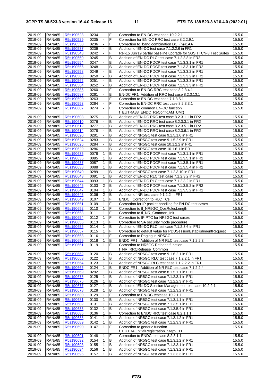| 2019-09 | <b>RAN#85</b> | R5s190528 | 0234 |                  | F              | Correction to EN-DC test case 10.2.2.1                            | 15.5.0 |
|---------|---------------|-----------|------|------------------|----------------|-------------------------------------------------------------------|--------|
| 2019-09 | <b>RAN#85</b> | R5s190529 | 0235 |                  | F              | Correction for EN-DC RRC test case 8.2.2.9.1                      | 15.5.0 |
| 2019-09 | <b>RAN#85</b> | R5s190530 | 0236 |                  | F              | Correction to band combination DC_(n)41AA                         | 15.5.0 |
| 2019-09 | <b>RAN#85</b> | R5s190537 | 0239 |                  | в              | Addition of EN-DC test case 7.1.2.2.6 in FR1                      | 15.5.0 |
| 2019-09 | <b>RAN#85</b> | R5s190543 | 0242 |                  | F              | Rel-15 Jun'19 partial baseline upgrade for 5GS TTCN-3 Test Suites | 15.5.0 |
|         |               |           | 0245 |                  | B              |                                                                   |        |
| 2019-09 | <b>RAN#85</b> | R5s190550 |      |                  |                | Addition of EN-DC RLC test case 7.1.2.3.8 in FR2                  | 15.5.0 |
| 2019-09 | <b>RAN#85</b> | R5s190554 | 0247 |                  | в              | Addition of EN-DC PDCP test case 7.1.3.3.1 in FR1                 | 15.5.0 |
| 2019-09 | <b>RAN#85</b> | R5s190556 | 0248 |                  | B              | Addition of EN-DC PDCP test case 7.1.3.3.1 in FR2                 | 15.5.0 |
| 2019-09 | <b>RAN#85</b> | R5s190558 | 0249 |                  | B              | Addition of EN-DC PDCP test case 7.1.3.3.2 in FR1                 | 15.5.0 |
| 2019-09 | <b>RAN#85</b> | R5s190560 | 0250 |                  | В              | Addition of EN-DC PDCP test case 7.1.3.3.2 in FR2                 | 15.5.0 |
| 2019-09 | <b>RAN#85</b> | R5s190562 | 0251 |                  | B              | Addition of EN-DC PDCP test case 7.1.3.3.3 in FR1                 | 15.5.0 |
| 2019-09 | <b>RAN#85</b> | R5s190564 | 0252 |                  | B              | Addition of EN-DC PDCP test case 7.1.3.3.3 in FR2                 | 15.5.0 |
| 2019-09 | <b>RAN#85</b> | R5s190586 | 0260 |                  | F              | Correction to EN-DC RRC test case 8.2.3.4.1                       | 15.5.0 |
| 2019-09 | <b>RAN#85</b> | R5s190587 | 0261 |                  | B              | EN-DC FR1: Addition of RRC test case 8.2.3.13.1                   | 15.5.0 |
| 2019-09 | <b>RAN#85</b> | R5s190590 | 0263 |                  | F              | Correction to EN-DC test case 7.1.3.5.1                           | 15.5.0 |
| 2019-09 | <b>RAN#85</b> | R5s190593 | 0264 |                  | F              | Correction to EN-DC RRC test case 8.2.3.3.1                       | 15.5.0 |
| 2019-09 | <b>RAN#85</b> | R5s190607 | 0274 |                  | F              | Correction to common EN-DC function                               | 15.5.0 |
|         |               |           |      |                  |                | f_EUTRA38_ENDC_ReConfigAM_UM()                                    |        |
| 2019-09 | <b>RAN#85</b> | R5s190608 | 0275 |                  | B              | Addition of EN-DC RRC test case 8.2.3.1.1 in FR2                  | 15.5.0 |
| 2019-09 | <b>RAN#85</b> | R5s190610 | 0276 |                  | В              | Addition of EN-DC RRC test case 8.2.3.3.1 in FR2                  | 15.5.0 |
| 2019-09 | <b>RAN#85</b> | R5s190612 | 0277 |                  | В              | Addition of EN-DC RRC test case 8.2.3.5.1 in FR2                  | 15.5.0 |
| 2019-09 | <b>RAN#85</b> | R5s190614 | 0278 |                  | B              | Addition of EN-DC RRC test case 8.2.3.6.1 in FR2                  | 15.5.0 |
| 2019-09 | <b>RAN#85</b> | R5s190620 | 0281 |                  | B              | Addition of NR5GC test case 9.1.5.1.6 in FR1                      | 15.5.0 |
| 2019-09 | <b>RAN#85</b> | R5s190624 | 0283 |                  | B              | Addition of NR5GC test case 9.1.5.2.9 in FR1                      | 15.5.0 |
| 2019-09 | <b>RAN#85</b> | R5s190626 | 0284 |                  | B              | Addition of NR5GC test case 10.1.2.2 in FR1                       | 15.5.0 |
|         |               |           | 0286 |                  |                |                                                                   |        |
| 2019-09 | <b>RAN#85</b> | R5s190629 |      |                  | В              | Addition of NR5GC test case 10.1.6.1 in FR1                       | 15.5.0 |
| 2019-09 | <b>RAN#85</b> | R5s190635 | 0078 | 1                | в              | Addition of EN-DC PDCP test case 7.1.3.1.1 in FR1                 | 15.5.0 |
| 2019-09 | <b>RAN#85</b> | R5s190636 | 0085 | 1                | B              | Addition of EN-DC PDCP test case 7.1.3.5.1 in FR2                 | 15.5.0 |
| 2019-09 | <b>RAN#85</b> | R5s190637 | 0087 | 1                | B              | Addition of EN-DC PDCP test case 7.1.3.5.1 in FR1                 | 15.5.0 |
| 2019-09 | <b>RAN#85</b> | R5s190638 | 0088 | 1                | в              | Addition of EN-DC PDCP test case 7.1.3.5.4 in FR2                 | 15.5.0 |
| 2019-09 | <b>RAN#85</b> | R5s190640 | 0289 |                  | B              | Addition of NR5GC test case 7.1.2.3.10 in FR1                     | 15.5.0 |
| 2019-09 | <b>RAN#85</b> | R5s190643 | 0091 |                  | B              | Addition of EN-DC RLC test case 7.1.2.3.2 in FR2                  | 15.5.0 |
| 2019-09 | <b>RAN#85</b> | R5s190644 | 0093 | 1                | в              | Addition of EN-DC RLC test case 7.1.2.3.2 in FR1                  | 15.5.0 |
| 2019-09 | <b>RAN#85</b> | R5s190645 | 0103 | $\boldsymbol{2}$ | $\, {\sf B}$   | Addition of EN-DC PDCP test case 7.1.3.5.2 in FR2                 | 15.5.0 |
| 2019-09 | <b>RAN#85</b> | R5s190647 | 0104 | 1                | B              | Addition of EN-DC PDCP test case 7.1.3.5.2 in FR1                 | 15.5.0 |
| 2019-09 | <b>RAN#85</b> | R5s190648 | 0106 | 2                | в              | Addition of NR test case 9.1.2.2 in FR1                           | 15.5.0 |
| 2019-09 | <b>RAN#85</b> | R5s190649 | 0107 | $\mathbf{1}$     | F              | <b>ENDC: Correction to RLC TCs</b>                                | 15.5.0 |
| 2019-09 | <b>RAN#85</b> | R5s190651 | 0109 | 1                | F              | Correction for IP packet handling for EN-DC test cases            | 15.5.0 |
| 2019-09 | <b>RAN#85</b> | R5s190652 | 0110 | 1                | F              | Correction to fl_NR5GC_QosRulesLength                             | 15.5.0 |
| 2019-09 | <b>RAN#85</b> | R5s190653 | 0111 | 1                | F              | Correction to fl_NR_Common_Init                                   | 15.5.0 |
| 2019-09 | <b>RAN#85</b> | R5s190654 | 0112 | 1                | F              | Correction to IP PTC for NR5GC test cases                         | 15.5.0 |
| 2019-09 | <b>RAN#85</b> | R5s190655 | 0113 | 1                | F              | Correction to SA security mode procedure                          | 15.5.0 |
| 2019-09 | <b>RAN#85</b> | R5s190656 | 0114 | 1                | В              | Addition of EN-DC RLC test case 7.1.2.3.6 in FR1                  | 15.5.0 |
| 2019-09 | <b>RAN#85</b> | R5s190657 | 0115 | 1                | F              | Correction to default value for PDUSessionEstablishmentRequest    | 15.5.0 |
|         |               |           | 0116 | 1                | F              | Correction to Paging in NR5GC                                     |        |
| 2019-09 | <b>RAN#85</b> | R5s190658 |      |                  |                |                                                                   | 15.5.0 |
| 2019-09 | <b>RAN#85</b> | R5s190659 | 0118 | l 1              | B              | ENDC FR1: Addition of NR RLC test case 7.1.2.2.3                  | 15.5.0 |
| 2019-09 | <b>RAN#85</b> | R5s190661 | 0119 | $\mathbf{1}$     | F              | Correction to NR5GC Release function                              | 15.5.0 |
|         |               |           |      |                  |                | f_NR_RRCRelease_Common                                            |        |
| 2019-09 | <b>RAN#85</b> | R5s190662 | 0120 | 1                | В              | Addition of NR5GC test case 9.1.6.2.1 in FR1                      | 15.5.0 |
| 2019-09 | <b>RAN#85</b> | R5s190663 | 0122 | 1                | В              | Addition of NR5GC RLC test case 7.1.2.2.1 in FR1                  | 15.5.0 |
| 2019-09 | <b>RAN#85</b> | R5s190664 | 0123 | 1                | B              | Addition of NR5GC RLC test case 7.1.2.2.2 in FR1                  | 15.5.0 |
| 2019-09 | <b>RAN#85</b> | R5s190666 | 0124 | 1                | в              | ENDC FR1: Addition of NR RLC test case 7.1.2.2.4                  | 15.5.0 |
| 2019-09 | <b>RAN#85</b> | R5s190669 | 0292 |                  | B              | Addition of NR5GC test case 8.1.5.1.1 in FR1                      | 15.5.0 |
| 2019-09 | <b>RAN#85</b> | R5s190675 | 0125 |                  | B              | Addition of NR5GC test case 7.1.2.3.1 in FR1                      | 15.5.0 |
| 2019-09 | <b>RAN#85</b> | R5s190676 | 0126 | 1                | B              | Addition of NR5GC test case 7.1.2.2.3 in FR1                      | 15.5.0 |
| 2019-09 | <b>RAN#85</b> | R5s190677 | 0127 | 1                | В              | Addition of EN-DC Session Management test case 10.2.2.1           | 15.5.0 |
| 2019-09 | <b>RAN#85</b> | R5s190678 | 0128 | 1                | $\overline{B}$ | Addition of NR5GC test case 7.1.2.3.2 in FR1                      | 15.5.0 |
| 2019-09 | <b>RAN#85</b> | R5s190680 | 0129 | 1                | F              | Correction to EN-DC testcase 10.2.1.1                             | 15.5.0 |
| 2019-09 | <b>RAN#85</b> | R5s190681 | 0130 | 1                | В              | Addition of NR5GC test case 7.1.3.1.1 in FR1                      | 15.5.0 |
| 2019-09 | <b>RAN#85</b> | R5s190682 | 0131 | 1                | B              | Addition of NR5GC test case 7.1.3.5.1 in FR1                      | 15.5.0 |
| 2019-09 | <b>RAN#85</b> | R5s190683 | 0132 | 1                | В              | Addition of NR5GC test case 7.1.3.5.4 in FR1                      | 15.5.0 |
| 2019-09 | <b>RAN#85</b> | R5s190685 | 0136 | 1                | F              | Correction to ENDC RRC test case 8.2.1.1.1                        | 15.5.0 |
| 2019-09 | <b>RAN#85</b> | R5s190688 | 0141 | 1                | B              | Addition of NR5GC test case 7.1.3.1.2 in FR1                      | 15.5.0 |
| 2019-09 | <b>RAN#85</b> | R5s190689 | 0142 | 1                | B              | Addition of NR5GC test case 7.1.2.3.3 in FR1                      | 15.5.0 |
| 2019-09 | <b>RAN#85</b> | R5s190690 | 0147 | 1                | F              | Correction to generic function                                    | 15.5.0 |
|         |               |           |      |                  |                | f_EUTRA_InitialRegistration_Step9_11                              |        |
| 2019-09 | <b>RAN#85</b> | R5s190691 | 0148 | 1                | F              | Correction to ENDC testcase 8.2.3.1.1                             | 15.5.0 |
| 2019-09 | <b>RAN#85</b> | R5s190692 | 0154 | 1                | B              | Addition of NR5GC test case 8.1.3.1.2 in FR1                      | 15.5.0 |
| 2019-09 | <b>RAN#85</b> | R5s190693 | 0155 | 1                | В              | Addition of NR5GC test case 7.1.3.3.1 in FR1                      | 15.5.0 |
| 2019-09 | <b>RAN#85</b> | R5s190694 | 0156 |                  | В              | Addition of NR5GC test case 7.1.3.3.2 in FR1                      | 15.5.0 |
| 2019-09 |               | R5s190695 | 0157 | 1<br>1           | B              |                                                                   | 15.5.0 |
|         | <b>RAN#85</b> |           |      |                  |                | Addition of NR5GC test case 7.1.3.3.3 in FR1                      |        |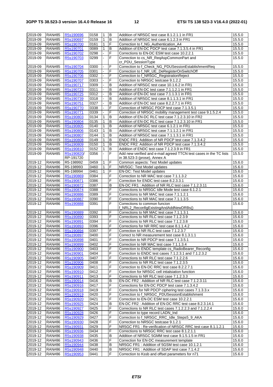| 2019-09 | <b>RAN#85</b> | R5s190696  | 0158 | 1              | B              | Addition of NR5GC test case 8.1.2.1.1 in FR1                              | 15.5.0 |
|---------|---------------|------------|------|----------------|----------------|---------------------------------------------------------------------------|--------|
| 2019-09 | <b>RAN#85</b> | R5s190697  | 0159 | $\mathbf{1}$   | B              | Addition of NR5GC test case 6.1.2.3 in FR1                                | 15.5.0 |
| 2019-09 | <b>RAN#85</b> | R5s190700  | 0161 | $\mathbf{1}$   | F              | Correction to f_NG_Authentication_A4                                      | 15.5.0 |
| 2019-09 | <b>RAN#85</b> | R5s190701  | 0089 | 1              | B              | Addition of EN-DC PDCP test case 7.1.3.5.4 in FR1                         | 15.5.0 |
| 2019-09 | <b>RAN#85</b> | R5s190702  | 0298 | ä,             | $\overline{F}$ | Corrections to EN-DC ESM test case 10.2.2.1                               | 15.5.0 |
| 2019-09 | <b>RAN#85</b> | R5s190703  | 0299 | ÷.             | F              | Correction to cs_NR_ReqAspCommonPart and                                  | 15.5.0 |
|         |               |            |      |                |                |                                                                           |        |
|         |               |            | 0300 |                |                | cr_PDU_SessionType<br>Correction to f_Check_NG_PDUSessionEstablishmentReq |        |
| 2019-09 | <b>RAN#85</b> | R5s190704  |      |                | F              |                                                                           | 15.5.0 |
| 2019-09 | <b>RAN#85</b> | R5s190705  | 0301 | L,             | F              | Correction to f_NR_UE_DeRegisterOnSwitchOff                               | 15.5.0 |
| 2019-09 | <b>RAN#85</b> | R5s190706  | 0302 |                | F              | Correction to f_NR5GC_RegistrationReject                                  | 15.5.0 |
| 2019-09 | <b>RAN#85</b> | R5s190707  | 0303 |                | F              | Correction to NR5GC testcase 9.1.2.2                                      | 15.5.0 |
| 2019-09 | <b>RAN#85</b> | R5s190717  | 0309 |                | В              | Addition of NR5GC test case 10.1.6.2 in FR1                               | 15.5.0 |
| 2019-09 | <b>RAN#85</b> | R5s190723  | 0311 |                | B              | Addition of EN-DC test case 7.1.1.2.1 in FR1                              | 15.5.0 |
| 2019-09 | <b>RAN#85</b> | R5s190725  | 0312 |                | B              | Addition of EN-DC test case 7.1.1.3.1 in FR1                              | 15.5.0 |
| 2019-09 | <b>RAN#85</b> | R5s190739  | 0318 |                | В              | Addition of NR5GC test case 8.1.1.3.1 in FR1                              | 15.5.0 |
| 2019-09 | <b>RAN#85</b> | R5s190751  | 0327 |                | B              | Addition of EN-DC test case 8.2.2.7.1 in FR1                              | 15.5.0 |
| 2019-09 | <b>RAN#85</b> | R5s190770  | 0338 |                | F              | Correction of NR5GC PDCP test case 7.1.3.5.1                              | 15.5.0 |
| 2019-09 | <b>RAN#85</b> | R5s190771  | 0339 | $\blacksquare$ | F              | Correction of NR5GC mobility management test case 9.1.5.2.4               | 15.5.0 |
|         |               |            |      |                |                |                                                                           |        |
| 2019-09 | <b>RAN#85</b> | R5s190803  | 0134 | $\mathbf{1}$   | B              | Addition of EN-DC RLC test case 7.1.2.3.10 in FR2                         | 15.5.0 |
| 2019-09 | <b>RAN#85</b> | R5s190804  | 0135 | $\mathbf{1}$   | B              | Addition of EN-DC RLC test case 7.1.2.3.10 in FR1                         | 15.5.0 |
| 2019-09 | <b>RAN#85</b> | R5s190805  | 0140 | $\mathbf{1}$   | B              | Addition of NR5GC test case 6.1.2.1 in FR1                                | 15.5.0 |
| 2019-09 | <b>RAN#85</b> | R5s190806  | 0143 | $\mathbf{1}$   | B              | Addition of NR5GC test case 7.1.1.2.1 in FR1                              | 15.5.0 |
| 2019-09 | <b>RAN#85</b> | R5s190807  | 0144 | 1              | B              | Addition of NR5GC test case 7.1.1.3.1 in FR1                              | 15.5.0 |
| 2019-09 | <b>RAN#85</b> | R5s190808  | 0149 | $\mathbf{1}$   | B              | ENDC FR1: Addition of NR PDCP test case 7.1.3.4.2                         | 15.5.0 |
| 2019-09 | <b>RAN#85</b> | R5s190809  | 0150 | $\mathbf{1}$   | B              | ENDC FR2: Addition of NR PDCP test case 7.1.3.4.2                         | 15.5.0 |
| 2019-09 | <b>RAN#85</b> | R5s190810  | 0152 | 1              | B              | Addition of ENDC test case 7.1.2.3.9 in FR1                               | 15.5.0 |
| 2019-09 | <b>RAN#85</b> | R5s190820/ | 0356 | ä,             | F              | Add new verified and e-mail agreed TTCN test cases in the TC lists        | 15.5.0 |
|         |               | RP-191720  |      |                |                | in 38.523-3 (prose), Annex A                                              |        |
|         |               |            |      |                |                |                                                                           |        |
| 2019-12 | <b>RAN#86</b> | R5-198992  | 0459 | 1              | F              | Common aspects: Test Model updates                                        | 15.6.0 |
| 2019-12 | <b>RAN#86</b> | R5-198993  | 0460 | $\mathbf{1}$   | F              | NR/5GC: Test Model updates                                                | 15.6.0 |
| 2019-12 | <b>RAN#86</b> | R5-198994  | 0461 | $\mathbf{1}$   | F              | EN-DC: Test Model updates                                                 | 15.6.0 |
| 2019-12 | <b>RAN#86</b> | R5s190869  | 0384 |                | F              | Correction to NR MAC test case 7.1.1.3.2                                  | 15.6.0 |
| 2019-12 | <b>RAN#86</b> | R5s190871  | 0386 |                | F              | Correction for ENDC test case 8.2.3.3.1                                   | 15.6.0 |
| 2019-12 | <b>RAN#86</b> | R5s190872  | 0387 |                | B              | EN-DC FR1: Addition of NR RLC test case 7.1.2.3.11                        | 15.6.0 |
| 2019-12 | <b>RAN#86</b> | R5s190874  | 0388 |                | F              | Corrections to NR5GC Idle Mode test case 6.1.2.1                          | 15.6.0 |
| 2019-12 | <b>RAN#86</b> | R5s190886  | 0389 |                | F              | Corrections to NR MAC test case 7.1.1.2.1                                 | 15.6.0 |
| 2019-12 | <b>RAN#86</b> | R5s190887  | 0390 |                | F              | Corrections to NR MAC test case 7.1.1.3.5                                 | 15.6.0 |
| 2019-12 | <b>RAN#86</b> | R5s190888  | 0391 |                | F              | Corrections to common funcion                                             | 15.6.0 |
|         |               |            |      |                |                | f_NRL2_ReconfigExistingAndAddNewDRBs()                                    |        |
| 2019-12 | <b>RAN#86</b> | R5s190889  | 0392 |                | F              | Corrections to NR MAC test case 7.1.1.3.1                                 |        |
|         |               |            |      |                |                |                                                                           | 15.6.0 |
| 2019-12 | <b>RAN#86</b> | R5s190890  | 0393 |                | F              | Corrections to NR RLC test case 7.1.2.3.9                                 | 15.6.0 |
| 2019-12 | <b>RAN#86</b> | R5s190891  | 0394 |                | F              | Corrections to NR RLC test case 7.1.2.3.8                                 | 15.6.0 |
| 2019-12 | <b>RAN#86</b> | R5s190893  | 0396 |                | F              | Corrections for NR RRC test case 8.1.1.4.2                                | 15.6.0 |
| 2019-12 | <b>RAN#86</b> | R5s190894  | 0397 |                | F              | Correction to NR RLC test case 7.1.2.3.7                                  | 15.6.0 |
| 2019-12 | <b>RAN#86</b> | R5s190897  | 0400 |                | F              | Correct to NR measurement test case 8.1.3.1.1                             | 15.6.0 |
| 2019-12 | <b>RAN#86</b> | R5s190898  | 0401 |                | ΙF             | Correction to NR PDCP test case 7.1.3.5.1                                 | 15.6.0 |
| 2019-12 | <b>RAN#86</b> | R5s190899  | 0402 |                | F              | Correction to NR MAC test case 7.1.1.3.4                                  | 15.6.0 |
| 2019-12 | <b>RAN#86</b> | R5s190900  | 0403 |                | F              | Correction to ENDC template cs_RadioBearer_Reconfig                       | 15.6.0 |
| 2019-12 | <b>RAN#86</b> | R5s190901  | 0404 |                | F              | Correction to ENDC test cases 7.1.2.3.1 and 7.1.2.3.2                     |        |
|         | <b>RAN#86</b> |            |      |                |                |                                                                           | 15.6.0 |
| 2019-12 |               | R5s190905  | 0407 |                | F              | Corrections to NR RLC test case 7.1.2.2.6                                 | 15.6.0 |
| 2019-12 | <b>RAN#86</b> | R5s190906  | 0408 |                | F              | Corrections to NR RLC test case 7.1.2.3.5                                 | 15.6.0 |
| 2019-12 | <b>RAN#86</b> | R5s190909  | 0411 |                | F              | Correction to EN-DC RRC test case 8.2.2.7.1                               | 15.6.0 |
| 2019-12 | <b>RAN#86</b> | R5s190910  | 0412 |                | F              | Correction for NR5GC cell intialsiation function                          | 15.6.0 |
| 2019-12 | <b>RAN#86</b> | R5s190911  | 0413 |                | F              | Corrections to NR RLC test case 7.1.2.3.3                                 | 15.6.0 |
| 2019-12 | <b>RAN#86</b> | R5s190914  | 0416 |                | B              | EN-DC FR2: Addition of NR RLC test case 7.1.2.3.11                        | 15.6.0 |
| 2019-12 | <b>RAN#86</b> | R5s190916  | 0417 |                | F              | Corrections for EN-DC PDCP test case 7.1.3.4.2                            | 15.6.0 |
| 2019-12 | <b>RAN#86</b> | R5s190918  | 0419 |                | F              | Corrections for NR PDCP ciphering test cases 7.1.3.3.x                    | 15.6.0 |
| 2019-12 | <b>RAN#86</b> | R5s190919  | 0420 |                | F              | Correction to f_NR5GC_PDUSessionEstablishment                             | 15.6.0 |
| 2019-12 | <b>RAN#86</b> | R5s190920  | 0421 |                | F              | Correction to EN-DC ESM test case 10.2.2.1                                | 15.6.0 |
| 2019-12 | <b>RAN#86</b> | R5s190925  | 0424 |                | в              | EN-DC FR2: Addition of EN-DC RRC test case 8.2.3.14.1                     | 15.6.0 |
|         |               |            |      |                |                |                                                                           |        |
| 2019-12 | <b>RAN#86</b> | R5s190927  | 0425 |                | F              | Corrections to NR RLC test cases 7.1.2.2.3 and 7.1.2.2.4                  | 15.6.0 |
| 2019-12 | <b>RAN#86</b> | R5s190928  | 0426 |                | F              | Correction to type record LADN_Ind                                        | 15.6.0 |
| 2019-12 | <b>RAN#86</b> | R5s190929  | 0427 |                | F              | Correction to f_NR5GC_RRC_Idle_Steps5_9_AKA                               | 15.6.0 |
| 2019-12 | <b>RAN#86</b> | R5s190930  | 0428 |                | F              | Correction to NR5GC testcase 9.1.2.1                                      | 15.6.0 |
| 2019-12 | <b>RAN#86</b> | R5s190931  | 0429 |                | F              | NR5GC FR1: Re-verification of NR5GC RRC test case 8.1.1.2.1               | 15.6.0 |
| 2019-12 | <b>RAN#86</b> | R5s190936  | 0434 |                | F              | Corrections to NR5GC RRC test case 8.1.2.1.1                              | 15.6.0 |
| 2019-12 | <b>RAN#86</b> | R5s190938  | 0435 |                | в              | Addition of NR5GC 5GMM test case 9.1.5.1.5 in FR1                         | 15.6.0 |
| 2019-12 | <b>RAN#86</b> | R5s190943  | 0436 |                | F              | Correction for EN-DC measurement template                                 | 15.6.0 |
| 2019-12 | <b>RAN#86</b> | R5s190944  | 0438 |                | в              | NR5GC FR1: Addition of 5GSM test case 10.1.2.1                            | 15.6.0 |
| 2019-12 | <b>RAN#86</b> |            | 0440 |                | в              | NR5GC FR1: Addition of SDAP test case 7.1.4.2                             |        |
|         |               | R5s190948  |      |                |                |                                                                           | 15.6.0 |
| 2019-12 | <b>RAN#86</b> | R5s190953  | 0441 |                | F              | Correction to Kssb and offset parameters for n71                          | 15.6.0 |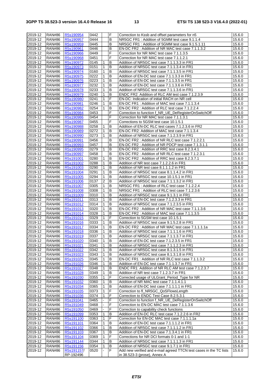| 2019-12     | <b>RAN#86</b> | R5s190954  | 0442 |                | F | Correction to Kssb and offset parameters for n5                    | 15.6.0 |
|-------------|---------------|------------|------|----------------|---|--------------------------------------------------------------------|--------|
| 2019-12     | <b>RAN#86</b> | R5s190957  | 0444 |                | B | NR5GC FR1: Addition of 5GMM test case 9.1.1.4                      | 15.6.0 |
| 2019-12     | <b>RAN#86</b> | R5s190959  | 0445 |                | B | NR5GC FR1: Addition of 5GMM test case 9.1.5.1.11                   | 15.6.0 |
| 2019-12     | <b>RAN#86</b> | R5s190961  | 0446 |                | B | EN-DC FR2: Addition of NR MAC test case 7.1.1.3.2                  | 15.6.0 |
| 2019-12     | <b>RAN#86</b> | R5s190966  | 0449 |                | F | Correction for NR MAC test case 7.1.1.3.5                          | 15.6.0 |
| 2019-12     | <b>RAN#86</b> | R5s190968  | 0451 |                | F | Correction for NR MAC test case 7.1.1.2.1                          | 15.6.0 |
| 2019-12     | <b>RAN#86</b> | R5s190972  | 0145 | 1              | в | Addition of NR5GC test case 7.1.1.3.3 in FR1                       | 15.6.0 |
| 2019-12     | <b>RAN#86</b> |            |      |                | B |                                                                    |        |
|             |               | R5s190973  | 0151 | 1              |   | Addition of NR5GC test case 7.1.1.3.4 in FR1                       | 15.6.0 |
| 2019-12     | <b>RAN#86</b> | R5s190974  | 0160 | 1              | B | Addition of NR5GC test case 7.1.1.3.5 in FR1                       | 15.6.0 |
| 2019-12     | <b>RAN#86</b> | R5s190975  | 0222 | $\mathbf{1}$   | B | Addition of EN-DC test case 7.1.1.3.3 in FR1                       | 15.6.0 |
| 2019-12     | <b>RAN#86</b> | R5s190976  | 0223 | 1              | B | Addition of EN-DC test case 7.1.1.3.5 in FR1                       | 15.6.0 |
| 2019-12     | <b>RAN#86</b> | R5s190977  | 0232 | 1              | B | Addition of EN-DC test case 7.1.1.3.6 in FR1                       | 15.6.0 |
| 2019-12     | <b>RAN#86</b> | R5s190978  | 0233 | $\mathbf{1}$   | B | Addition of NR5GC test case 7.1.1.3.6 in FR1                       | 15.6.0 |
| 2019-12     | <b>RAN#86</b> | R5s190979  | 0240 | 1              | B | ENDC FR2: Addition of RLC AM test case 7.1.2.3.9                   | 15.6.0 |
| 2019-12     | <b>RAN#86</b> | R5s190980  | 0241 | 1              | F | EN-DC: Indication of initial RACH on NR cell                       | 15.6.0 |
| 2019-12     | <b>RAN#86</b> | R5s190981  | 0246 | $\mathbf{1}$   | B | EN-DC FR1: Addition of MAC test case 7.1.1.3.4                     | 15.6.0 |
| 2019-12     | <b>RAN#86</b> | R5s190982  | 0254 | 1              | B | EN-DC FR2: Addition of RLC test case 7.1.2.2.4                     | 15.6.0 |
| 2019-12     | <b>RAN#86</b> |            | 0453 |                | F |                                                                    |        |
|             |               | R5s190984  |      |                |   | Correction to function f_NR_UE_DeRegisterOnSwitchOff               | 15.6.0 |
| 2019-12     | <b>RAN#86</b> | R5s190986  | 0454 |                | F | Correction for NR MAC test case 7.1.1.3.1                          | 15.6.0 |
| 2019-12     | <b>RAN#86</b> | R5s190987  | 0455 |                | F | Corrections to 5GSM test case 10.1.5.1                             | 15.6.0 |
| 2019-12     | <b>RAN#86</b> | R5s190988  | 0258 | $\mathbf{1}$   | В | Addition of EN-DC RLC test cases 7.1.2.3.6 in FR2                  | 15.6.0 |
| 2019-12     | <b>RAN#86</b> | R5s190989  | 0272 | $\mathbf{1}$   | B | EN-DC FR2: Addition of MAC test case 7.1.1.3.4                     | 15.6.0 |
| 2019-12     | <b>RAN#86</b> | R5s190990  | 0273 | $\mathbf{1}$   | B | Addition of NR5GC test case 7.1.2.3.9 in FR1                       | 15.6.0 |
| 2019-12     | <b>RAN#86</b> | R5s190991  | 0456 |                | B | EN-DC FR2: Addition of NR RLC test case 7.1.2.2.1                  | 15.6.0 |
| 2019-12     | <b>RAN#86</b> | R5s190993  | 0457 |                | B | EN-DC FR2: Addition of NR PDCP test case 7.1.3.1.1                 | 15.6.0 |
| 2019-12     | <b>RAN#86</b> | R5s190995  | 0279 | $\mathbf{1}$   | В | EN-DC FR2: Addition of RRC test case 8.2.3.4.1                     | 15.6.0 |
| 2019-12     | <b>RAN#86</b> | R5s190997  | 0458 |                | B | EN-DC FR2: Addition of NR RLC test case 7.1.2.3.1                  | 15.6.0 |
|             |               |            |      |                |   |                                                                    |        |
| 2019-12     | <b>RAN#86</b> | R5s191001  | 0280 | 1              | B | EN-DC FR2: Addition of RRC test case 8.2.3.7.1                     | 15.6.0 |
| 2019-12     | <b>RAN#86</b> | R5s191002  | 0288 | $\mathbf{1}$   | В | Addition of NR test case 7.1.2.2.6 in FR1                          | 15.6.0 |
| 2019-12     | <b>RAN#86</b> | R5s191003  | 0290 | $\mathbf{1}$   | B | Addition of NR test case 8.1.1.1.2 in FR1                          | 15.6.0 |
| 2019-12     | <b>RAN#86</b> | R5s191004  | 0291 | $\mathbf{1}$   | B | Addition of NR5GC test case 8.1.1.4.2 in FR1                       | 15.6.0 |
| 2019-12     | <b>RAN#86</b> | R5s191005  | 0294 | 1              | В | Addition of NR5GC test case 10.1.5.1 in FR1                        | 15.6.0 |
| 2019-12     | <b>RAN#86</b> | R5s191006  | 0137 | $\overline{2}$ | B | Addition of NR5GC test case 7.1.1.3.2 in FR1                       | 15.6.0 |
| $2019 - 12$ | <b>RAN#86</b> | R5s191007  | 0305 | 1              | B | NR5GC FR1: Addition of RLC test case 7.1.2.2.4                     | 15.6.0 |
| 2019-12     | <b>RAN#86</b> | R5s191008  | 0308 | $\mathbf{1}$   | В | NR5GC FR1: Addition of RLC test case 7.1.2.3.6                     | 15.6.0 |
| 2019-12     | <b>RAN#86</b> | R5s191009  | 0310 | 1              | B | Addition of NR5GC test case 9.1.3.1 in FR1                         | 15.6.0 |
| 2019-12     | <b>RAN#86</b> | R5s191011  | 0313 | 1              | В | Addition of EN-DC test case 7.1.2.3.3 in FR1                       | 15.6.0 |
| 2019-12     | <b>RAN#86</b> | R5s191012  | 0314 | 1              | В | Addition of NR5GC test case 7.1.2.3.5 in FR1                       | 15.6.0 |
|             |               |            |      |                |   |                                                                    |        |
| 2019-12     | <b>RAN#86</b> | R5s191013  | 0320 | 1              | В | EN-DC FR2: Addition of NR MAC test case 7.1.1.3.6                  | 15.6.0 |
| 2019-12     | <b>RAN#86</b> | R5s191014  | 0328 | 1              | В | EN-DC FR2: Addition of MAC test case 7.1.1.3.5                     | 15.6.0 |
| 2019-12     | <b>RAN#86</b> | R5s191015  | 0329 | 1              | F | Correction to 5GSM test case 10.1.5.1                              | 15.6.0 |
| 2019-12     | <b>RAN#86</b> | R5s191016  | 0333 | $\mathbf{1}$   | B | Addition of NR5GC test case 9.1.5.2.8 in FR1                       | 15.6.0 |
| $2019 - 12$ | <b>RAN#86</b> | R5s191017  | 0334 | 1              | В | EN-DC FR2: Addition of NR MAC test case 7.1.1.1.1a                 | 15.6.0 |
| 2019-12     | <b>RAN#86</b> | R5s191018  | 0336 | 1              | В | Addition of NR5GC test case 7.1.1.1.6 in FR1                       | 15.6.0 |
| 2019-12     | <b>RAN#86</b> | R5s191019  | 0337 | 1              | B | Addition of NR5GC test case 7.1.1.3.7 in FR1                       | 15.6.0 |
| 2019-12     | <b>RAN#86</b> | R5s191020  | 0340 | 1              | В | Addition of EN-DC test case 7.1.2.3.5 in FR1                       | 15.6.0 |
| 2019-12     | <b>RAN#86</b> | R5s191021  | 0341 | 1              | В | Addition of NR5GC test case 7.1.1.2.3 in FR1                       | 15.6.0 |
| 2019-12     | <b>RAN#86</b> | R5s191022  | 0342 | $\mathbf{1}$   | В | Addition of NR5GC test case 8.1.3.1.5 in FR1                       | 15.6.0 |
|             |               |            |      |                |   |                                                                    |        |
| 2019-12     | <b>RAN#86</b> | R5s191023  | 0343 | 1              | B | Addition of NR5GC test case 8.1.3.1.8 in FR1                       | 15.6.0 |
| 2019-12     | <b>RAN#86</b> | R5s191025  | 0345 | 1              | В | EN-DC FR1: Addition of NR RLC test case 7.1.1.3.2                  | 15.6.0 |
| 2019-12     | <b>RAN#86</b> | R5s191026  | 0346 | 1              | B | Addition of EN-DC test case 7.1.1.3.7 in FR1                       | 15.6.0 |
| 2019-12     | <b>RAN#86</b> | R5s191027  | 0348 | 1              | В | ENDC FR1: Addition of NR RLC AM test case 7.1.2.3.7                | 15.6.0 |
| 2019-12     | <b>RAN#86</b> | R5s191028  | 0349 | 1              | B | Addition of NR test case 7.1.2.3.7 in FR1                          | 15.6.0 |
| 2019-12     | <b>RAN#86</b> | R5s191030  | 0355 | 1              | F | Corrected usage of ULGrant_Period_Type for NR                      | 15.6.0 |
| 2019-12     | <b>RAN#86</b> | R5s191032  | 0360 | 1              | В | Addition of NR MAC test case 7.1.1.4.1.1                           | 15.6.0 |
| 2019-12     | <b>RAN#86</b> | R5s191034  | 0365 | 1              | В | Addition of EN-DC test case 7.1.1.1.1 in FR1                       | 15.6.0 |
| 2019-12     | <b>RAN#86</b> | R5s191035  | 0373 | $\mathbf{1}$   | F | Correction to fl_NR5GC_QoSFlowsLength                              | 15.6.0 |
| 2019-12     | <b>RAN#86</b> | R5s191036  | 0374 | 1              | F | Correction to ENDC Test Case 8.2.5.3.1                             | 15.6.0 |
| 2019-12     | <b>RAN#86</b> | R5s191041  | 0465 |                | F | Correction to function f_NR_UE_DeRegisterOnSwitchOff               | 15.6.0 |
| 2019-12     | <b>RAN#86</b> | R5s191049  | 0468 |                | F | Correction to EN-DC MAC test case 7.1.1.3.6                        | 15.6.0 |
|             |               |            |      |                | F |                                                                    |        |
| 2019-12     | <b>RAN#86</b> | R5s191050  | 0469 |                |   | Correction to capability check functions                           | 15.6.0 |
| 2019-12     | <b>RAN#86</b> | R5s191099  | 0353 | 1              | В | Addition of EN-DC RLC test case 7.1.2.2.6 in FR2                   | 15.6.0 |
| 2019-12     | <b>RAN#86</b> | R5s191100  | 0363 | 1              | F | Correction for EN-DC MAC test case 7.1.1.1.1a                      | 15.6.0 |
| 2019-12     | <b>RAN#86</b> | R5s191101  | 0364 | 1              | В | Addition of EN-DC test case 7.1.1.1.2 in FR1                       | 15.6.0 |
| 2019-12     | <b>RAN#86</b> | R5s191102  | 0366 | 1              | B | Addition of NR5GC test case 7.1.1.1.2 in FR1                       | 15.6.0 |
| 2019-12     | <b>RAN#86</b> | R5s191103  | 0367 | 1              | B | Addition of EN-DC test case 7.1.3.4.1 in FR1                       | 15.6.0 |
| 2019-12     | <b>RAN#86</b> | R5s191104  | 0369 | 1              | F | Corrections for NR DCI formats 0-1 and 1-1                         | 15.6.0 |
| 2019-12     | <b>RAN#86</b> | R5s191144  | 0344 | 1              | B | Addition of NR5GC test case 7.1.1.1.3 in FR1                       | 15.6.0 |
| 2019-12     | <b>RAN#86</b> | R5s191156  | 0354 | 1              | В | Addition of NR5GC test case 9.1.7.1 in FR1                         | 15.6.0 |
| 2019-12     | <b>RAN#86</b> | R5s191157/ | 0520 |                | F | Add new verified and e-mail agreed TTCN test cases in the TC lists | 15.6.0 |
|             |               | RP-192496  |      |                |   | in 38.523-3 (prose), Annex A                                       |        |
|             |               |            |      |                |   |                                                                    |        |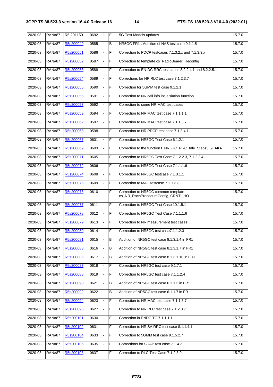| 2020-03 | <b>RAN#87</b> | R5-201150 | 0692 | $\mathbf{1}$ | F              | 5G Test Models updates                                                    | 15.7.0 |
|---------|---------------|-----------|------|--------------|----------------|---------------------------------------------------------------------------|--------|
| 2020-03 | <b>RAN#87</b> | R5s200049 | 0585 |              | в              | NR5GC FR1: Addition of NAS test case 9.1.1.5                              | 15.7.0 |
| 2020-03 | <b>RAN#87</b> | R5s200051 | 0586 |              | F              | Correction to PDCP testcases 7.1.3.2.x and 7.1.3.3.x                      | 15.7.0 |
| 2020-03 | <b>RAN#87</b> | R5s200052 | 0587 | ä,           | $\overline{F}$ | Correction to template cs_RadioBearer_Reconfig                            | 15.7.0 |
| 2020-03 | <b>RAN#87</b> | R5s200053 | 0588 |              | F              | Correction to EN-DC RRC test cases 8.2.2.4.1 and 8.2.2.5.1                | 15.7.0 |
| 2020-03 | <b>RAN#87</b> | R5s200054 | 0589 |              | F              | Corrections for NR RLC test case 7.1.2.3.7                                | 15.7.0 |
| 2020-03 | <b>RAN#87</b> | R5s200055 | 0590 |              | $\overline{F}$ | Correction for 5GMM test case 9.1.2.1                                     | 15.7.0 |
| 2020-03 | <b>RAN#87</b> | R5s200056 | 0591 |              | F              | Correction to NR cell info intiialsiation function                        | 15.7.0 |
| 2020-03 | <b>RAN#87</b> | R5s200057 | 0592 |              | F              | Correction to some NR MAC test cases                                      | 15.7.0 |
| 2020-03 | <b>RAN#87</b> | R5s200059 | 0594 |              | F              | Correction to NR MAC test case 7.1.1.1.1                                  | 15.7.0 |
| 2020-03 | <b>RAN#87</b> | R5s200062 | 0597 |              | F              | Correction to NR MAC test case 7.1.1.3.7                                  | 15.7.0 |
| 2020-03 | <b>RAN#87</b> | R5s200063 | 0598 |              | F              | Correction to NR PDCP test case 7.1.3.4.1                                 | 15.7.0 |
| 2020-03 | <b>RAN#87</b> | R5s200067 | 0601 |              | F              | Correction to NR5GC Test Case 6.1.2.1                                     | 15.7.0 |
| 2020-03 | <b>RAN#87</b> | R5s200069 | 0603 | ä,           | F              | Correction to the function f_NR5GC_RRC_Idle_Steps5_9_AKA                  | 15.7.0 |
| 2020-03 | <b>RAN#87</b> | R5s200071 | 0605 |              | F              | Correction to NR5GC Test Case 7.1.2.2.3, 7.1.2.2.4                        | 15.7.0 |
| 2020-03 | <b>RAN#87</b> | R5s200072 | 0606 |              | F              | Correction to NR5GC Test Case 7.1.1.1.6                                   | 15.7.0 |
| 2020-03 | <b>RAN#87</b> | R5s200074 | 0608 |              | $\overline{F}$ | Correction to NR5GC testcase 7.1.3.1.1                                    | 15.7.0 |
| 2020-03 | <b>RAN#87</b> | R5s200075 | 0609 |              | $\overline{F}$ | Correction to MAC testcase 7.1.1.3.3                                      | 15.7.0 |
| 2020-03 | <b>RAN#87</b> | R5s200076 | 0610 |              | F              | Correction to NR5GC common template<br>cs_NR_RachProcedureConfig_CRNTI_HO | 15.7.0 |
| 2020-03 | <b>RAN#87</b> | R5s200077 | 0611 | L.           | $\overline{F}$ | Correction to NR5GC Test Case 10.1.5.1                                    | 15.7.0 |
| 2020-03 | <b>RAN#87</b> | R5s200078 | 0612 |              | F              | Correction to NR5GC Test Case 7.1.1.1.6                                   | 15.7.0 |
| 2020-03 | <b>RAN#87</b> | R5s200079 | 0613 |              | F              | Correction to NR measurement test cases                                   | 15.7.0 |
| 2020-03 | <b>RAN#87</b> | R5s200080 | 0614 |              | F              | Correction to NR5GC test case7.1.1.2.3                                    | 15.7.0 |
| 2020-03 | <b>RAN#87</b> | R5s200081 | 0615 |              | В              | Addition of NR5GC test case 8.1.3.1.4 in FR1                              | 15.7.0 |
| 2020-03 | <b>RAN#87</b> | R5s200083 | 0616 |              | B              | Addition of NR5GC test case 8.1.3.1.7 in FR1                              | 15.7.0 |
| 2020-03 | <b>RAN#87</b> | R5s200085 | 0617 | ä,           | B              | Addition of NR5GC test case 8.1.3.1.10 in FR1                             | 15.7.0 |
| 2020-03 | <b>RAN#87</b> | R5s200087 | 0618 |              | F              | Correction to NR5GC test case 9.1.7.1                                     | 15.7.0 |
| 2020-03 | <b>RAN#87</b> | R5s200088 | 0619 |              | F              | Correction to NR5GC test case 7.1.1.2.4                                   | 15.7.0 |
| 2020-03 | <b>RAN#87</b> | R5s200090 | 0621 |              | В              | Addition of NR5GC test case 6.1.1.3 in FR1                                | 15.7.0 |
| 2020-03 | <b>RAN#87</b> | R5s200092 | 0622 |              | В              | Addition of NR5GC test case 6.1.1.7 in FR1                                | 15.7.0 |
| 2020-03 | <b>RAN#87</b> | R5s200094 | 0623 |              | F              | Correction to NR MAC test case 7.1.1.3.7                                  | 15.7.0 |
| 2020-03 | <b>RAN#87</b> | R5s200098 | 0627 |              | F              | Correction to NR RLC test case 7.1.2.3.7                                  | 15.7.0 |
| 2020-03 | <b>RAN#87</b> | R5s200101 | 0630 |              | F              | Correction in ENDC TC 7.1.1.1.1                                           | 15.7.0 |
| 2020-03 | <b>RAN#87</b> | R5s200102 | 0631 |              | F              | Correction to NR SA RRC test case 8.1.1.4.1                               | 15.7.0 |
| 2020-03 | <b>RAN#87</b> | R5s200104 | 0633 | ۰            | F              | Correction to 5GMM test case 9.1.5.2.7                                    | 15.7.0 |
| 2020-03 | <b>RAN#87</b> | R5s200106 | 0635 |              | F              | Corrections for SDAP test case 7.1.4.2                                    | 15.7.0 |
| 2020-03 | <b>RAN#87</b> | R5s200108 | 0637 |              | F              | Correction to RLC Test Case 7.1.2.3.9                                     | 15.7.0 |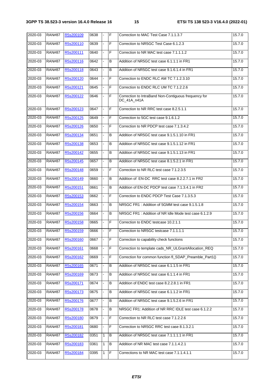| 2020-03 | <b>RAN#87</b> | R5s200109 | 0638 |    | F              | Correction to MAC Test Case 7.1.1.3.7                               | 15.7.0 |
|---------|---------------|-----------|------|----|----------------|---------------------------------------------------------------------|--------|
| 2020-03 | <b>RAN#87</b> | R5s200110 | 0639 |    | F              | Correction to NR5GC Test Case 6.1.2.3                               | 15.7.0 |
| 2020-03 | <b>RAN#87</b> | R5s200111 | 0640 |    | F              | Correction to NR MAC test case 7.1.1.1.2                            | 15.7.0 |
| 2020-03 | <b>RAN#87</b> | R5s200116 | 0642 |    | B              | Addition of NR5GC test case 6.1.1.1 in FR1                          | 15.7.0 |
| 2020-03 | <b>RAN#87</b> | R5s200118 | 0643 |    | B              | Addition of NR5GC test case 9.1.6.1.4 in FR1                        | 15.7.0 |
| 2020-03 | <b>RAN#87</b> | R5s200120 | 0644 |    | F              | Correction to ENDC RLC AM TC 7.1.2.3.10                             | 15.7.0 |
| 2020-03 | <b>RAN#87</b> | R5s200121 | 0645 |    | F              | Correction to ENDC RLC UM TC 7.1.2.2.6                              | 15.7.0 |
| 2020-03 | <b>RAN#87</b> | R5s200122 | 0646 |    | $\overline{F}$ | Correction to IntraBand Non-Contiguous frequency for<br>DC 41A n41A | 15.7.0 |
| 2020-03 | <b>RAN#87</b> | R5s200123 | 0647 |    | F              | Correction to NR RRC test case 8.2.5.1.1                            | 15.7.0 |
| 2020-03 | <b>RAN#87</b> | R5s200125 | 0649 |    | F              | Correction to 5GC test case 9.1.6.1.2                               | 15.7.0 |
| 2020-03 | <b>RAN#87</b> | R5s200126 | 0650 | ÷. | F              | Correction to NR PDCP test case 7.1.3.4.2                           | 15.7.0 |
| 2020-03 | <b>RAN#87</b> | R5s200134 | 0651 |    | B              | Addition of NR5GC test case 9.1.5.1.10 in FR1                       | 15.7.0 |
| 2020-03 | <b>RAN#87</b> | R5s200138 | 0653 |    | В              | Addition of NR5GC test case 9.1.5.1.12 in FR1                       | 15.7.0 |
| 2020-03 | <b>RAN#87</b> | R5s200142 | 0655 |    | B              | Addition of NR5GC test case 9.1.5.1.13 in FR1                       | 15.7.0 |
| 2020-03 | <b>RAN#87</b> | R5s200145 | 0657 | ä, | B              | Addition of NR5GC test case 8.1.5.2.1 in FR1                        | 15.7.0 |
| 2020-03 | <b>RAN#87</b> | R5s200148 | 0659 |    | F              | Correction to NR RLC test case 7.1.2.3.5                            | 15.7.0 |
| 2020-03 | <b>RAN#87</b> | R5s200149 | 0660 |    | B              | Addition of EN-DC RRC test case 8.2.2.7.1 in FR2                    | 15.7.0 |
| 2020-03 | <b>RAN#87</b> | R5s200151 | 0661 | ÷. | B              | Addition of EN-DC PDCP test case 7.1.3.4.1 in FR2                   | 15.7.0 |
| 2020-03 | <b>RAN#87</b> | R5s200153 | 0662 |    | F              | Correction to ENDC PDCP Test Case 7.1.3.5.3                         | 15.7.0 |
| 2020-03 | <b>RAN#87</b> | R5s200154 | 0663 |    | B              | NR5GC FR1: Addition of 5GMM test case 9.1.5.1.8                     | 15.7.0 |
| 2020-03 | <b>RAN#87</b> | R5s200156 | 0664 | L. | B              | NR5GC FR1: Addition of NR Idle Mode test case 6.1.2.9               | 15.7.0 |
| 2020-03 | <b>RAN#87</b> | R5s200158 | 0665 |    | F              | Correction to ENDC testcase 10.2.1.1                                | 15.7.0 |
| 2020-03 | <b>RAN#87</b> | R5s200159 | 0666 |    | F              | Correction to NR5GC testcase 7.1.1.1.1                              | 15.7.0 |
| 2020-03 | RAN#87        | R5s200160 | 0667 | ۰  | $\overline{F}$ | Correction to capability check functions                            | 15.7.0 |
| 2020-03 | <b>RAN#87</b> | R5s200161 | 0668 |    | F              | Correction to template cads_NR_ULGrantAllocation_REQ                | 15.7.0 |
| 2020-03 | <b>RAN#87</b> | R5s200162 | 0669 |    | F              | Correction for common function fl_SDAP_Preamble_Part1()             | 15.7.0 |
| 2020-03 | <b>RAN#87</b> | R5s200165 | 0671 |    | B              | Addition of NR5GC test case 6.1.1.5 in FR1                          | 15.7.0 |
| 2020-03 | <b>RAN#87</b> | R5s200169 | 0673 |    | B              | Addition of NR5GC test case 6.1.1.4 in FR1                          | 15.7.0 |
| 2020-03 | <b>RAN#87</b> | R5s200171 | 0674 |    | B              | Addition of ENDC test case 8.2.2.8.1 in FR1                         | 15.7.0 |
| 2020-03 | <b>RAN#87</b> | R5s200173 | 0675 |    | B              | Addition of NR5GC test case 6.1.1.2 in FR1                          | 15.7.0 |
| 2020-03 | <b>RAN#87</b> | R5s200176 | 0677 |    | В              | Addition of NR5GC test case 9.1.5.2.6 in FR1                        | 15.7.0 |
| 2020-03 | <b>RAN#87</b> | R5s200178 | 0678 |    | B              | NR5GC FR1: Addition of NR RRC IDLE test case 6.1.2.2                | 15.7.0 |
| 2020-03 | <b>RAN#87</b> | R5s200180 | 0679 |    | F              | Correction to NR RLC test case 7.1.2.2.6                            | 15.7.0 |
| 2020-03 | <b>RAN#87</b> | R5s200181 | 0680 |    | F              | Correction to NR5GC RRC test case 8.1.3.2.1                         | 15.7.0 |
| 2020-03 | <b>RAN#87</b> | R5s200182 | 0351 | 1  | B              | Addition of NR5GC test case 7.1.1.1.1 in FR1                        | 15.7.0 |
| 2020-03 | <b>RAN#87</b> | R5s200183 | 0361 | 1  | B              | Addition of NR MAC test case 7.1.1.4.2.1                            | 15.7.0 |
| 2020-03 | <b>RAN#87</b> | R5s200184 | 0395 | 1  | $\mathsf F$    | Corrections to NR MAC test case 7.1.1.4.1.1                         | 15.7.0 |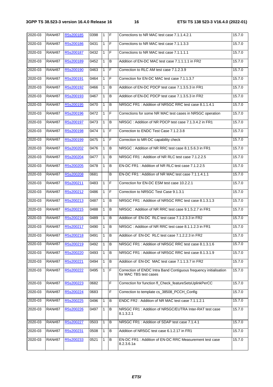| 2020-03 | <b>RAN#87</b> | R5s200185 | 0398 | $\vert$ 1    | IF             | Corrections to NR MAC test case 7.1.1.4.2.1                                                 | 15.7.0 |
|---------|---------------|-----------|------|--------------|----------------|---------------------------------------------------------------------------------------------|--------|
| 2020-03 | <b>RAN#87</b> | R5s200186 | 0431 | $\mathbf{1}$ | IF             | Corrections to NR MAC test case 7.1.1.3.3                                                   | 15.7.0 |
| 2020-03 | <b>RAN#87</b> | R5s200187 | 0432 | $\mathbf{1}$ | IF             | Corrections to NR MAC test case 7.1.1.1.1                                                   | 15.7.0 |
| 2020-03 | <b>RAN#87</b> | R5s200189 | 0452 | 1            | B              | Addition of EN-DC MAC test case 7.1.1.1.1 in FR2                                            | 15.7.0 |
| 2020-03 | <b>RAN#87</b> | R5s200190 | 0463 | 1            | F              | Correction to RLC AM test case 7.1.2.3.9                                                    | 15.7.0 |
| 2020-03 | <b>RAN#87</b> | R5s200191 | 0464 | $\mathbf{1}$ | F              | Correction for EN-DC MAC test case 7.1.1.3.7                                                | 15.7.0 |
| 2020-03 | <b>RAN#87</b> | R5s200192 | 0466 | 1            | B              | Addition of EN-DC PDCP test case 7.1.3.5.3 in FR1                                           | 15.7.0 |
| 2020-03 | <b>RAN#87</b> | R5s200193 | 0467 | 1            | В              | Addition of EN-DC PDCP test case 7.1.3.5.3 in FR2                                           | 15.7.0 |
| 2020-03 | <b>RAN#87</b> | R5s200195 | 0470 | 1            | В              | NR5GC FR1: Addition of NR5GC RRC test case 8.1.1.4.1                                        | 15.7.0 |
| 2020-03 | <b>RAN#87</b> | R5s200196 | 0472 | $\mathbf{1}$ | F              | Corrections for some NR MAC test cases in NR5GC operation                                   | 15.7.0 |
| 2020-03 | <b>RAN#87</b> | R5s200197 | 0473 | $\mathbf{1}$ | B              | NR5GC : Addition of NR PDCP test case 7.1.3.4.2 in FR1                                      | 15.7.0 |
| 2020-03 | <b>RAN#87</b> | R5s200198 | 0474 | $\mathbf{1}$ | F              | Correction to ENDC Test Case 7.1.2.3.8                                                      | 15.7.0 |
| 2020-03 | <b>RAN#87</b> | R5s200199 | 0475 | 1            | F              | Correction to MR-DC capability check                                                        | 15.7.0 |
| 2020-03 | <b>RAN#87</b> | R5s200202 | 0476 | 1            | B              | NR5GC : Addition of NR RRC test case 8.1.5.6.3 in FR1                                       | 15.7.0 |
| 2020-03 | <b>RAN#87</b> | R5s200204 | 0477 | 1            | В              | NR5GC FR1: Addition of NR RLC test case 7.1.2.2.5                                           | 15.7.0 |
| 2020-03 | <b>RAN#87</b> | R5s200205 | 0478 | 1            | B              | EN-DC FR1: Addition of NR RLC test case 7.1.2.2.5                                           | 15.7.0 |
| 2020-03 | <b>RAN#87</b> | R5s200208 | 0681 |              | B              | EN-DC FR1: Addition of NR MAC test case 7.1.1.4.1.1                                         | 15.7.0 |
| 2020-03 | <b>RAN#87</b> | R5s200211 | 0483 | $\mathbf{1}$ | E              | Correction for EN-DC ESM test case 10.2.2.1                                                 | 15.7.0 |
| 2020-03 | <b>RAN#87</b> | R5s200212 | 0486 | 1            | IF             | Correction to NR5GC Test Case 9.1.3.1                                                       | 15.7.0 |
| 2020-03 | <b>RAN#87</b> | R5s200213 | 0487 | $\mathbf{1}$ | B              | NR5GC FR1: Addition of NR5GC RRC test case 8.1.3.1.3                                        | 15.7.0 |
| 2020-03 | <b>RAN#87</b> | R5s200215 | 0488 | $\mathbf{1}$ | B              | NR5GC: Addition of NR RRC test case 9.1.5.2.7 in FR1                                        | 15.7.0 |
| 2020-03 | <b>RAN#87</b> | R5s200216 | 0489 | 1            | B              | Addition of EN-DC RLC test case 7.1.2.3.3 in FR2                                            | 15.7.0 |
| 2020-03 | <b>RAN#87</b> | R5s200217 | 0490 | 1            | B              | NR5GC : Addition of NR RRC test case 8.1.1.2.3 in FR1                                       | 15.7.0 |
| 2020-03 | <b>RAN#87</b> | R5s200218 | 0491 | 1            | $\overline{B}$ | Addition of EN-DC RLC test case 7.1.2.2.3 in FR2                                            | 15.7.0 |
| 2020-03 | <b>RAN#87</b> | R5s200219 | 0492 | $\mathbf{1}$ | B              | NR5GC FR1: Addition of NR5GC RRC test case 8.1.3.1.6                                        | 15.7.0 |
| 2020-03 | <b>RAN#87</b> | R5s200220 | 0493 | 1            | B              | NR5GC FR1: Addition of NR5GC RRC test case 8.1.3.1.9                                        | 15.7.0 |
| 2020-03 | <b>RAN#87</b> | R5s200221 | 0494 | 1            | В              | Addition of EN-DC MAC test case 7.1.1.3.7 in FR2                                            | 15.7.0 |
| 2020-03 | <b>RAN#87</b> | R5s200222 | 0495 | 1            | F              | Correction of ENDC Intra Band Contiguous frequency initialisation<br>for MAC TBS test cases | 15.7.0 |
| 2020-03 | <b>RAN#87</b> | R5s200223 | 0682 |              | F              | Correction for function fl Check featureSetsUplinkPerCC                                     | 15.7.0 |
| 2020-03 | <b>RAN#87</b> | R5s200224 | 0683 |              | F              | Correction to template cs_38508_PCCH_Config                                                 | 15.7.0 |
| 2020-03 | <b>RAN#87</b> | R5s200225 | 0496 | 1            | B              | ENDC FR2: Addition of NR MAC test case 7.1.1.2.1                                            | 15.7.0 |
| 2020-03 | <b>RAN#87</b> | R5s200226 | 0497 | 1            | B              | NR5GC FR1: Addition of NR5GC/EUTRA Inter-RAT test case<br>8.1.3.2.1                         | 15.7.0 |
| 2020-03 | <b>RAN#87</b> | R5s200227 | 0503 | 1            | B              | NR5GC FR1: Addition of SDAP test case 7.1.4.1                                               | 15.7.0 |
| 2020-03 | <b>RAN#87</b> | R5s200231 | 0508 | 1            | B              | Addition of NR5GC test case 6.1.2.17 in FR1                                                 | 15.7.0 |
| 2020-03 | <b>RAN#87</b> | R5s200233 | 0521 | 1            | B              | EN-DC FR1: Addition of EN-DC RRC Measurement test case<br>8.2.3.6.1a                        | 15.7.0 |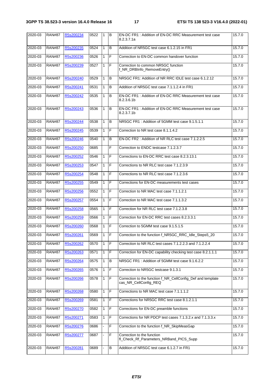| 2020-03 | <b>RAN#87</b> | R5s200234 | 0522 | l 1          | l B            | EN-DC FR1 : Addition of EN-DC RRC Measurement test case<br>8.2.3.7.1a                | 15.7.0 |
|---------|---------------|-----------|------|--------------|----------------|--------------------------------------------------------------------------------------|--------|
| 2020-03 | <b>RAN#87</b> | R5s200235 | 0524 | $\mathbf{1}$ | B              | Addition of NR5GC test case 6.1.2.15 in FR1                                          | 15.7.0 |
| 2020-03 | <b>RAN#87</b> | R5s200236 | 0526 | $\mathbf{1}$ | F              | Correction to EN-DC common handover function                                         | 15.7.0 |
| 2020-03 | <b>RAN#87</b> | R5s200239 | 0527 | $\mathbf{1}$ | lF.            | Correction to common NR5GC function<br>f_NR_DRBInfo_RemoveEntry()                    | 15.7.0 |
| 2020-03 | <b>RAN#87</b> | R5s200240 | 0529 | $\mathbf{1}$ | B              | NR5GC FR1: Addition of NR RRC IDLE test case 6.1.2.12                                | 15.7.0 |
| 2020-03 | <b>RAN#87</b> | R5s200241 | 0531 | $\mathbf{1}$ | B              | Addition of NR5GC test case 7.1.1.2.4 in FR1                                         | 15.7.0 |
| 2020-03 | <b>RAN#87</b> | R5s200242 | 0535 | 1            | B              | EN-DC FR1: Addition of EN-DC RRC Measurement test case<br>8.2.3.6.1b                 | 15.7.0 |
| 2020-03 | <b>RAN#87</b> | R5s200243 | 0536 | $\mathbf{1}$ | B              | EN-DC FR1: Addition of EN-DC RRC Measurement test case<br>8.2.3.7.1b                 | 15.7.0 |
| 2020-03 | <b>RAN#87</b> | R5s200244 | 0538 | $\mathbf{1}$ | B              | NR5GC FR1: Addition of 5GMM test case 9.1.5.1.1                                      | 15.7.0 |
| 2020-03 | <b>RAN#87</b> | R5s200245 | 0539 | $\mathbf{1}$ | F              | Correction to NR test case 8.1.1.4.2                                                 | 15.7.0 |
| 2020-03 | <b>RAN#87</b> | R5s200246 | 0540 | $\mathbf{1}$ | B              | EN-DC FR2: Addition of NR RLC test case 7.1.2.2.5                                    | 15.7.0 |
| 2020-03 | <b>RAN#87</b> | R5s200250 | 0685 |              | F              | Correction to ENDC testcase 7.1.2.3.7                                                | 15.7.0 |
| 2020-03 | <b>RAN#87</b> | R5s200252 | 0546 | 1            | F              | Corrections to EN-DC RRC test case 8.2.3.13.1                                        | 15.7.0 |
| 2020-03 | <b>RAN#87</b> | R5s200253 | 0547 | $\mathbf{1}$ | $\mathsf F$    | Corrections to NR RLC test case 7.1.2.3.9                                            | 15.7.0 |
| 2020-03 | <b>RAN#87</b> | R5s200254 | 0548 | $\mathbf{1}$ | F              | Corrections to NR RLC test case 7.1.2.3.6                                            | 15.7.0 |
| 2020-03 | <b>RAN#87</b> | R5s200255 | 0549 | $\mathbf{1}$ | F              | Corrections for EN-DC measurements test cases                                        | 15.7.0 |
| 2020-03 | <b>RAN#87</b> | R5s200256 | 0552 | $\mathbf{1}$ | F              | Correction to NR MAC test case 7.1.1.2.1                                             | 15.7.0 |
| 2020-03 | <b>RAN#87</b> | R5s200257 | 0554 | 1            | $\overline{F}$ | Correction to NR MAC test case 7.1.1.3.2                                             | 15.7.0 |
| 2020-03 | <b>RAN#87</b> | R5s200258 | 0565 | $\mathbf{1}$ | F              | Correction for NR RLC test case 7.1.2.3.8                                            | 15.7.0 |
| 2020-03 | <b>RAN#87</b> | R5s200259 | 0566 | $\mathbf{1}$ | F              | Correction for EN-DC RRC test cases 8.2.3.3.1                                        | 15.7.0 |
| 2020-03 | <b>RAN#87</b> | R5s200260 | 0568 | $\mathbf{1}$ | F              | Correction to 5GMM test case 9.1.5.1.5                                               | 15.7.0 |
| 2020-03 | <b>RAN#87</b> | R5s200261 | 0569 | $\mathbf{1}$ | $\overline{F}$ | Correction to the function f_NR5GC_RRC_Idle_Steps5_20                                | 15.7.0 |
| 2020-03 | <b>RAN#87</b> | R5s200262 | 0570 | $\mathbf{1}$ | F              | Correction to NR RLC test cases 7.1.2.2.3 and 7.1.2.2.4                              | 15.7.0 |
| 2020-03 | <b>RAN#87</b> | R5s200263 | 0571 | 1            | $\mathsf F$    | Correction for EN-DC capability checking test case 8.2.1.1.1                         | 15.7.0 |
| 2020-03 | <b>RAN#87</b> | R5s200264 | 0575 | 1            | B              | NR5GC FR1: Addition of 5GMM test case 9.1.6.2.2                                      | 15.7.0 |
| 2020-03 | <b>RAN#87</b> | R5s200265 | 0576 | 1            | $\mathsf F$    | Correction to NR5GC testcase 9.1.3.1                                                 | 15.7.0 |
| 2020-03 | <b>RAN#87</b> | R5s200266 | 0578 | $\mathbf{1}$ | F              | Correction to the function f_NR_CellConfig_Def and template<br>cas_NR_CellConfig_REQ | 15.7.0 |
| 2020-03 | <b>RAN#87</b> | R5s200268 | 0580 | 1            | F              | Corrections to NR MAC test case 7.1.1.1.2                                            | 15.7.0 |
| 2020-03 | <b>RAN#87</b> | R5s200269 | 0581 | $\mathbf{1}$ | F              | Corrections for NR5GC RRC test case 8.1.2.1.1                                        | 15.7.0 |
| 2020-03 | <b>RAN#87</b> | R5s200270 | 0582 | 1            | F              | Corrections for EN-DC preamble functions                                             | 15.7.0 |
| 2020-03 | <b>RAN#87</b> | R5s200271 | 0583 | $\mathbf{1}$ | $\mathsf F$    | Corrections for NR PDCP test cases 7.1.3.2.x and 7.1.3.3.x                           | 15.7.0 |
| 2020-03 | <b>RAN#87</b> | R5s200276 | 0686 |              | F              | Correction to the function f_NR_SkipMeasGap                                          | 15.7.0 |
| 2020-03 | <b>RAN#87</b> | R5s200277 | 0687 |              | $\overline{F}$ | Correction to the function<br>fl_Check_Rf_Parameters_NRBand_PICS_Supp                | 15.7.0 |
| 2020-03 | <b>RAN#87</b> | R5s200281 | 0689 |              | B              | Addition of NR5GC test case 6.1.2.7 in FR1                                           | 15.7.0 |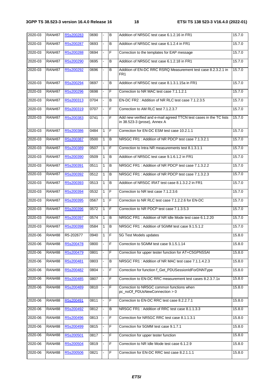| 2020-03 | <b>RAN#87</b> | R5s200283 | 0690 |                | B              | Addition of NR5GC test case 6.1.2.16 in FR1                                                        | 15.7.0 |
|---------|---------------|-----------|------|----------------|----------------|----------------------------------------------------------------------------------------------------|--------|
| 2020-03 | <b>RAN#87</b> | R5s200287 | 0693 | ÷.             | B              | Addition of NR5GC test case 6.1.2.4 in FR1                                                         | 15.7.0 |
| 2020-03 | <b>RAN#87</b> | R5s200288 | 0694 |                | F              | Correction to the templates for EAP message                                                        | 15.7.0 |
| 2020-03 | <b>RAN#87</b> | R5s200290 | 0695 |                | B              | Addition of NR5GC test case 6.1.2.18 in FR1                                                        | 15.7.0 |
| 2020-03 | <b>RAN#87</b> | R5s200292 | 0696 | L.             | B              | Addition of EN-DC RRC RSRQ Measurement test case 8.2.3.2.1 in<br>FR <sub>1</sub>                   | 15.7.0 |
| 2020-03 | <b>RAN#87</b> | R5s200294 | 0697 |                | B              | Addition of NR5GC test case 8.1.3.1.15a in FR1                                                     | 15.7.0 |
| 2020-03 | <b>RAN#87</b> | R5s200296 | 0698 |                | F              | Correction to NR MAC test case 7.1.1.2.1                                                           | 15.7.0 |
| 2020-03 | <b>RAN#87</b> | R5s200313 | 0704 | $\overline{a}$ | B              | EN-DC FR2: Addition of NR RLC test case 7.1.2.3.5                                                  | 15.7.0 |
| 2020-03 | <b>RAN#87</b> | R5s200319 | 0707 |                | $\overline{F}$ | Correction to AM RLC test 7.1.2.3.7                                                                | 15.7.0 |
| 2020-03 | <b>RAN#87</b> | R5s200383 | 0741 |                | F              | Add new verified and e-mail agreed TTCN test cases in the TC lists<br>in 38.523-3 (prose), Annex A | 15.7.0 |
| 2020-03 | <b>RAN#87</b> | R5s200386 | 0484 | $\mathbf{1}$   | F              | Correction for EN-DC ESM test case 10.2.1.1                                                        | 15.7.0 |
| 2020-03 | <b>RAN#87</b> | R5s200387 | 0500 | $\mathbf{1}$   | B              | NR5GC FR1: Addition of NR PDCP test case 7.1.3.2.1                                                 | 15.7.0 |
| 2020-03 | <b>RAN#87</b> | R5s200389 | 0507 | 1              | F              | Correction to Intra NR measurements test 8.1.3.1.1                                                 | 15.7.0 |
| 2020-03 | <b>RAN#87</b> | R5s200390 | 0509 | 1              | B              | Addition of NR5GC test case 9.1.6.1.2 in FR1                                                       | 15.7.0 |
| 2020-03 | <b>RAN#87</b> | R5s200391 | 0511 | 1              | B              | NR5GC FR1: Addition of NR PDCP test case 7.1.3.2.2                                                 | 15.7.0 |
| 2020-03 | <b>RAN#87</b> | R5s200392 | 0512 | 1              | B              | NR5GC FR1: Addition of NR PDCP test case 7.1.3.2.3                                                 | 15.7.0 |
| 2020-03 | <b>RAN#87</b> | R5s200393 | 0513 | 1              | B              | Addition of NR5GC IRAT test case 8.1.3.2.2 in FR1                                                  | 15.7.0 |
| 2020-03 | <b>RAN#87</b> | R5s200394 | 0532 | $\mathbf{1}$   | F              | Correction to NR test case 7.1.2.3.6                                                               | 15.7.0 |
| 2020-03 | <b>RAN#87</b> | R5s200395 | 0567 | $\mathbf{1}$   | F              | Correction to NR RLC test case 7.1.2.2.6 for EN-DC                                                 | 15.7.0 |
| 2020-03 | <b>RAN#87</b> | R5s200396 | 0572 | $\mathbf{1}$   | F              | Correction to NR PDCP test case 7.1.3.5.3                                                          | 15.7.0 |
| 2020-03 | <b>RAN#87</b> | R5s200397 | 0574 | $\mathbf{1}$   | В              | NR5GC FR1: Addition of NR Idle Mode test case 6.1.2.20                                             | 15.7.0 |
| 2020-03 | <b>RAN#87</b> | R5s200398 | 0584 | 1              | В              | NR5GC FR1: Addition of 5GMM test case 9.1.5.1.2                                                    | 15.7.0 |
| 2020-06 | <b>RAN#88</b> | R5-202677 | 0940 | $\mathbf{1}$   | F              | 5G Test Models updates                                                                             | 15.8.0 |
| 2020-06 | <b>RAN#88</b> | R5s200478 | 0800 |                | F              | Correction to 5GMM test case 9.1.5.1.14                                                            | 15.8.0 |
| 2020-06 | <b>RAN#88</b> | R5s200479 | 0801 |                | F              | Correction for upper tester function for AT+C5GPNSSAI                                              | 15.8.0 |
| 2020-06 | <b>RAN#88</b> | R5s200481 | 0803 |                | B              | NR5GC FR1: Addition of NR MAC test case 7.1.1.4.2.3                                                | 15.8.0 |
| 2020-06 | <b>RAN#88</b> | R5s200482 | 0804 |                | F              | Correction for function f_Get_PDUSessionIdForDNNType                                               | 15.8.0 |
| 2020-06 | <b>RAN#88</b> | R5s200485 | 0807 |                | F              | Correction to EN-DC RRC measurement test cases 8.2.3.7.1x                                          | 15.8.0 |
| 2020-06 | <b>RAN#88</b> | R5s200489 | 0810 |                | F              | Correction to NR5GC common functions when<br>pc_noOf_PDUsNewConnection > 0                         | 15.8.0 |
| 2020-06 | <b>RAN#88</b> | R5s200491 | 0811 |                | F              | Correction to EN-DC RRC test case 8.2.2.7.1                                                        | 15.8.0 |
| 2020-06 | <b>RAN#88</b> | R5s200492 | 0812 |                | В              | NR5GC FR1: Addition of RRC test case 8.1.1.3.3                                                     | 15.8.0 |
| 2020-06 | <b>RAN#88</b> | R5s200496 | 0813 |                | F              | Correction for NR5GC RRC test case 8.1.1.3.1                                                       | 15.8.0 |
| 2020-06 | <b>RAN#88</b> | R5s200499 | 0815 |                | F              | Correction for 5GMM test case 9.1.7.1                                                              | 15.8.0 |
| 2020-06 | <b>RAN#88</b> | R5s200501 | 0817 |                | F              | Correction for upper tester function                                                               | 15.8.0 |
| 2020-06 | <b>RAN#88</b> | R5s200504 | 0819 |                | F              | Correction to NR Idle Mode test case 6.1.2.9                                                       | 15.8.0 |
| 2020-06 | <b>RAN#88</b> | R5s200506 | 0821 |                | F              | Correction for EN-DC RRC test case 8.2.1.1.1                                                       | 15.8.0 |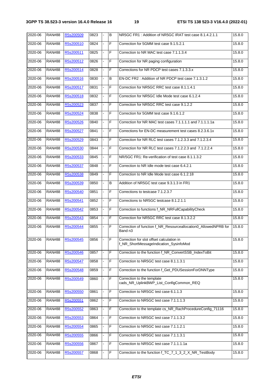| 2020-06 | <b>RAN#88</b> | R5s200509 | 0823 | $\sim$         | B | NR5GC FR1: Addition of NR5GC IRAT test case 8.1.4.2.1.1                             | 15.8.0 |
|---------|---------------|-----------|------|----------------|---|-------------------------------------------------------------------------------------|--------|
| 2020-06 | <b>RAN#88</b> | R5s200510 | 0824 |                | F | Correction for 5GMM test case 9.1.5.2.1                                             | 15.8.0 |
| 2020-06 | <b>RAN#88</b> | R5s200511 | 0825 |                | F | Correction to NR MAC test case 7.1.1.3.4                                            | 15.8.0 |
| 2020-06 | <b>RAN#88</b> | R5s200512 | 0826 | ä,             | F | Correction for NR paging configuration                                              | 15.8.0 |
| 2020-06 | <b>RAN#88</b> | R5s200514 | 0828 |                | F | Corrections for NR PDCP test cases 7.1.3.3.x                                        | 15.8.0 |
| 2020-06 | <b>RAN#88</b> | R5s200516 | 0830 |                | B | EN-DC FR2: Addition of NR PDCP test case 7.1.3.1.2                                  | 15.8.0 |
| 2020-06 | <b>RAN#88</b> | R5s200517 | 0831 | $\blacksquare$ | F | Correction for NR5GC RRC test case 8.1.1.4.1                                        | 15.8.0 |
| 2020-06 | <b>RAN#88</b> | R5s200518 | 0832 |                | F | Correction for NR5GC Idle Mode test case 6.1.2.4                                    | 15.8.0 |
| 2020-06 | <b>RAN#88</b> | R5s200523 | 0837 |                | F | Correction for NR5GC RRC test case 9.1.2.2                                          | 15.8.0 |
| 2020-06 | <b>RAN#88</b> | R5s200524 | 0838 | ÷.             | F | Correction for 5GMM test case 9.1.6.1.2                                             | 15.8.0 |
| 2020-06 | <b>RAN#88</b> | R5s200526 | 0840 |                | F | Correction for NR MAC test cases 7.1.1.1.1 and 7.1.1.1.1a                           | 15.8.0 |
| 2020-06 | <b>RAN#88</b> | R5s200527 | 0841 |                | F | Corrections for EN-DC measurement test cases 8.2.3.6.1x                             | 15.8.0 |
| 2020-06 | <b>RAN#88</b> | R5s200529 | 0843 | $\blacksquare$ | F | Correction for NR RLC test cases 7.1.2.3.3 and 7.1.2.3.4                            | 15.8.0 |
| 2020-06 | <b>RAN#88</b> | R5s200530 | 0844 |                | F | Correction for NR RLC test cases 7.1.2.2.3 and 7.1.2.2.4                            | 15.8.0 |
| 2020-06 | <b>RAN#88</b> | R5s200533 | 0845 |                | F | NR/5GC FR1: Re-verification of test case 8.1.1.3.2                                  | 15.8.0 |
| 2020-06 | <b>RAN#88</b> | R5s200537 | 0848 | ä,             | F | Correction to NR Idle mode test case 6.4.2.1                                        | 15.8.0 |
| 2020-06 | <b>RAN#88</b> | R5s200538 | 0849 |                | F | Correction to NR Idle Mode test case 6.1.2.18                                       | 15.8.0 |
| 2020-06 | <b>RAN#88</b> | R5s200539 | 0850 |                | В | Addition of NR5GC test case 9.3.1.3 in FR1                                          | 15.8.0 |
| 2020-06 | <b>RAN#88</b> | R5s200540 | 0851 | ۰              | F | Corrections to testcase 7.1.2.3.7                                                   | 15.8.0 |
| 2020-06 | <b>RAN#88</b> | R5s200541 | 0852 |                | F | Corrections to NR5GC testcase 8.1.2.1.1                                             | 15.8.0 |
| 2020-06 | <b>RAN#88</b> | R5s200542 | 0853 |                | F | Correction to functions f_NR_NRFullCapabilityCheck                                  | 15.8.0 |
| 2020-06 | <b>RAN#88</b> | R5s200543 | 0854 | ÷.             | F | Correction for NR5GC RRC test case 8.1.3.2.2                                        | 15.8.0 |
| 2020-06 | <b>RAN#88</b> | R5s200544 | 0855 |                | F | Correction of function f_NR_Resourceallocation0_AllowedNPRB for<br>Band n3          | 15.8.0 |
| 2020-06 | <b>RAN#88</b> | R5s200545 | 0856 |                | F | Correction for slot offset calculation in<br>f_NR_ShortMessageIndication_SysinfoMod | 15.8.0 |
| 2020-06 | <b>RAN#88</b> | R5s200546 | 0857 | Ξ.             | F | Correction to the function f_NR_ConvertSSB_IndexToBit                               | 15.8.0 |
| 2020-06 | <b>RAN#88</b> | R5s200547 | 0858 |                | F | Correction to NR5GC test case 8.1.1.3.1                                             | 15.8.0 |
| 2020-06 | <b>RAN#88</b> | R5s200548 | 0859 |                | F | Correction to the function f_Get_PDUSessionForDNNType                               | 15.8.0 |
| 2020-06 | <b>RAN#88</b> | R5s200549 | 0860 | $\overline{a}$ | F | Correction to the template<br>cads_NR_UplinkBWP_List_ConfigCommon_REQ               | 15.8.0 |
| 2020-06 | <b>RAN#88</b> | R5s200550 | 0861 |                | F | Correction to NR5GC test case 6.1.1.3                                               | 15.8.0 |
| 2020-06 | <b>RAN#88</b> | R5s200551 | 0862 |                | F | Correction to NR5GC test case 7.1.1.1.3                                             | 15.8.0 |
| 2020-06 | <b>RAN#88</b> | R5s200552 | 0863 |                | F | Correction to the template cs_NR_RachProcedureConfig_71116                          | 15.8.0 |
| 2020-06 | <b>RAN#88</b> | R5s200553 | 0864 |                | F | Correction to NR5GC test case 7.1.1.3.2                                             | 15.8.0 |
| 2020-06 | <b>RAN#88</b> | R5s200554 | 0865 |                | F | Correction to NR5GC test case 7.1.1.2.1                                             | 15.8.0 |
| 2020-06 | <b>RAN#88</b> | R5s200555 | 0866 |                | F | Correction to NR5GC test case 7.1.1.3.1                                             | 15.8.0 |
| 2020-06 | <b>RAN#88</b> | R5s200556 | 0867 |                | F | Correction to NR5GC test case 7.1.1.1.1a                                            | 15.8.0 |
| 2020-06 | <b>RAN#88</b> | R5s200557 | 0868 |                | F | Correction to the function f_TC_7_1_3_2_X_NR_TestBody                               | 15.8.0 |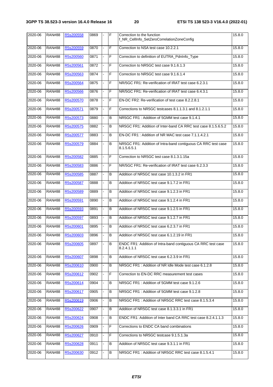| 2020-06 | <b>RAN#88</b> | R5s200558 | 0869 |   | F | Correction to the function<br>f_NR_CellInfo_SetZeroCorrelationZoneConfig     | 15.8.0 |
|---------|---------------|-----------|------|---|---|------------------------------------------------------------------------------|--------|
| 2020-06 | <b>RAN#88</b> | R5s200559 | 0870 |   | F | Correction to NSA test case 10.2.2.1                                         | 15.8.0 |
| 2020-06 | <b>RAN#88</b> | R5s200560 | 0871 | ۰ | F | Correction to definition of EUTRA_PdnInfo_Type                               | 15.8.0 |
| 2020-06 | <b>RAN#88</b> | R5s200561 | 0872 |   | F | Correction to NR5GC test case 9.1.6.1.3                                      | 15.8.0 |
| 2020-06 | <b>RAN#88</b> | R5s200563 | 0874 |   | F | Correction to NR5GC test case 9.1.6.1.4                                      | 15.8.0 |
| 2020-06 | <b>RAN#88</b> | R5s200564 | 0875 |   | F | NR/5GC FR1: Re-verification of IRAT test case 6.2.3.1                        | 15.8.0 |
| 2020-06 | <b>RAN#88</b> | R5s200566 | 0876 |   | F | NR/5GC FR1: Re-verification of IRAT test case 6.4.3.1                        | 15.8.0 |
| 2020-06 | <b>RAN#88</b> | R5s200570 | 0878 |   | F | EN-DC FR2: Re-verification of test case 8.2.2.8.1                            | 15.8.0 |
| 2020-06 | <b>RAN#88</b> | R5s200571 | 0879 |   | F | Corrections to NR5GC testcases 8.1.1.3.1 and 8.1.2.1.1                       | 15.8.0 |
| 2020-06 | <b>RAN#88</b> | R5s200573 | 0880 |   | B | NR5GC FR1: Addition of 5GMM test case 9.1.4.1                                | 15.8.0 |
| 2020-06 | <b>RAN#88</b> | R5s200575 | 0882 |   | B | NR5GC FR1: Addition of Inter-band CA RRC test case 8.1.5.6.5.2               | 15.8.0 |
| 2020-06 | <b>RAN#88</b> | R5s200577 | 0883 |   | B | EN-DC FR1: Addition of NR MAC test case 7.1.1.4.2.1                          | 15.8.0 |
| 2020-06 | <b>RAN#88</b> | R5s200579 | 0884 |   | B | NR5GC FR1: Addition of Intra-band contiguous CA RRC test case<br>8.1.5.6.5.1 | 15.8.0 |
| 2020-06 | <b>RAN#88</b> | R5s200582 | 0885 |   | F | Correction to NR5GC test case 8.1.3.1.15a                                    | 15.8.0 |
| 2020-06 | <b>RAN#88</b> | R5s200583 | 0886 |   | F | NR/5GC FR1: Re-verification of IRAT test case 6.2.3.3                        | 15.8.0 |
| 2020-06 | <b>RAN#88</b> | R5s200585 | 0887 |   | B | Addition of NR5GC test case 10.1.3.2 in FR1                                  | 15.8.0 |
| 2020-06 | <b>RAN#88</b> | R5s200587 | 0888 |   | B | Addition of NR5GC test case 9.1.7.2 in FR1                                   | 15.8.0 |
| 2020-06 | <b>RAN#88</b> | R5s200589 | 0889 |   | B | Addition of NR5GC test case 9.1.2.3 in FR1                                   | 15.8.0 |
| 2020-06 | <b>RAN#88</b> | R5s200591 | 0890 |   | B | Addition of NR5GC test case 9.1.2.4 in FR1                                   | 15.8.0 |
| 2020-06 | <b>RAN#88</b> | R5s200593 | 0891 |   | B | Addition of NR5GC test case 9.1.2.5 in FR1                                   | 15.8.0 |
| 2020-06 | <b>RAN#88</b> | R5s200597 | 0893 |   | B | Addition of NR5GC test case 9.1.2.7 in FR1                                   | 15.8.0 |
| 2020-06 | <b>RAN#88</b> | R5s200601 | 0895 |   | B | Addition of NR5GC test case 6.2.3.7 in FR1                                   | 15.8.0 |
| 2020-06 | <b>RAN#88</b> | R5s200603 | 0896 |   | B | Addition of NR5GC test case 6.1.2.19 in FR1                                  | 15.8.0 |
| 2020-06 | <b>RAN#88</b> | R5s200605 | 0897 |   | B | ENDC FR1: Addition of Intra-band contiguous CA RRC test case<br>8.2.4.1.1.1  | 15.8.0 |
| 2020-06 | <b>RAN#88</b> | R5s200607 | 0898 |   | B | Addition of NR5GC test case 6.2.3.9 in FR1                                   | 15.8.0 |
| 2020-06 | <b>RAN#88</b> | R5s200610 | 0900 |   | B | NR5GC FR1: Addition of NR Idle Mode test case 6.1.2.8                        | 15.8.0 |
| 2020-06 | <b>RAN#88</b> | R5s200612 | 0902 |   | F | Correction to EN-DC RRC measurement test cases                               | 15.8.0 |
| 2020-06 | <b>RAN#88</b> | R5s200614 | 0904 |   | В | NR5GC FR1: Addition of 5GMM test case 9.1.2.6                                | 15.8.0 |
| 2020-06 | <b>RAN#88</b> | R5s200617 | 0905 |   | В | NR5GC FR1: Addition of 5GMM test case 9.1.2.8                                | 15.8.0 |
| 2020-06 | <b>RAN#88</b> | R5s200619 | 0906 |   | В | NR5GC FR1: Addition of NR5GC RRC test case 8.1.5.3.4                         | 15.8.0 |
| 2020-06 | <b>RAN#88</b> | R5s200622 | 0907 |   | В | Addition of NR5GC test case 8.1.3.3.1 in FR1                                 | 15.8.0 |
| 2020-06 | <b>RAN#88</b> | R5s200624 | 0908 |   | B | ENDC FR1: Addition of Inter band CA RRC test case 8.2.4.1.1.3                | 15.8.0 |
| 2020-06 | <b>RAN#88</b> | R5s200626 | 0909 |   | F | Corrections to ENDC CA band combinations                                     | 15.8.0 |
| 2020-06 | <b>RAN#88</b> | R5s200627 | 0910 |   | F | Corrections to NR5GC testcase 9.1.5.1.3a                                     | 15.8.0 |
| 2020-06 | <b>RAN#88</b> | R5s200628 | 0911 |   | в | Addition of NR5GC test case 9.3.1.1 in FR1                                   | 15.8.0 |
| 2020-06 | <b>RAN#88</b> | R5s200630 | 0912 |   | В | NR5GC FR1: Addition of NR5GC RRC test case 8.1.5.4.1                         | 15.8.0 |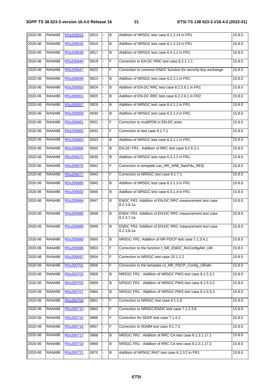| $2020 - 06$ | <b>RAN#88</b> | R5s200633 | 0914 | $\blacksquare$ | B | Addition of NR5GC test case 6.1.2.14 in FR1                         | 15.8.0 |
|-------------|---------------|-----------|------|----------------|---|---------------------------------------------------------------------|--------|
| 2020-06     | <b>RAN#88</b> | R5s200635 | 0915 |                | B | Addition of NR5GC test case 6.1.2.13 in FR1                         | 15.8.0 |
| 2020-06     | <b>RAN#88</b> | R5s200638 | 0917 |                | В | Addition of NR5GC test case 6.4.1.2 in FR1                          | 15.8.0 |
| 2020-06     | <b>RAN#88</b> | R5s200644 | 0919 |                | F | Correction to EN-DC RRC test case 8.2.1.1.1                         | 15.8.0 |
| 2020-06     | <b>RAN#88</b> | R5s200647 | 0922 |                | F | Correction to common ENDC function for security key exchange        | 15.8.0 |
| 2020-06     | <b>RAN#88</b> | R5s200648 | 0923 |                | B | Addition of NR5GC test case 6.2.1.1 in FR1                          | 15.8.0 |
| 2020-06     | <b>RAN#88</b> | R5s200650 | 0924 |                | B | Addition of EN-DC RRC test case 8.2.2.6.1 in FR1                    | 15.8.0 |
| 2020-06     | <b>RAN#88</b> | R5s200651 | 0925 |                | B | Addition of EN-DC RRC test case 8.2.2.6.1 in FR2                    | 15.8.0 |
| 2020-06     | <b>RAN#88</b> | R5s200657 | 0929 |                | B | Addition of NR5GC test case 6.4.1.1 in FR1                          | 15.8.0 |
| 2020-06     | <b>RAN#88</b> | R5s200659 | 0930 |                | В | Addition of NR5GC test case 6.2.1.2 in FR1                          | 15.8.0 |
| 2020-06     | <b>RAN#88</b> | R5s200661 | 0931 | ä,             | F | Correction to multiPDN in EN-DC tests                               | 15.8.0 |
| 2020-06     | <b>RAN#88</b> | R5s200662 | 0932 |                | F | Correction to test case 9.1.7.1                                     | 15.8.0 |
| 2020-06     | <b>RAN#88</b> | R5s200663 | 0933 |                | B | Addition of NR5GC test case 6.3.1.1 in FR1                          | 15.8.0 |
| 2020-06     | <b>RAN#88</b> | R5s200666 | 0935 | ÷,             | B | EN-DC FR1: Addition of RRC test case 8.2.6.2.1                      | 15.8.0 |
| 2020-06     | <b>RAN#88</b> | R5s200672 | 0939 |                | В | Addition of NR5GC test case 6.3.1.2 in FR1                          | 15.8.0 |
| 2020-06     | <b>RAN#88</b> | R5s200676 | 0942 |                | F | Correction to template cas_NR_SRB_NasPdu_REQ                        | 15.8.0 |
| 2020-06     | <b>RAN#88</b> | R5s200677 | 0943 | ÷.             | F | Correction to NR5GC test case 9.1.7.1                               | 15.8.0 |
| 2020-06     | <b>RAN#88</b> | R5s200680 | 0945 |                | B | Addition of NR5GC test case 6.3.1.3 in FR1                          | 15.8.0 |
| 2020-06     | <b>RAN#88</b> | R5s200682 | 0946 |                | B | Addition of NR5GC test case 6.3.1.4 in FR1                          | 15.8.0 |
| 2020-06     | <b>RAN#88</b> | R5s200684 | 0947 | $\blacksquare$ | B | ENDC FR2: Addition of EN-DC RRC measurement test case<br>8.2.3.6.1a | 15.8.0 |
| 2020-06     | <b>RAN#88</b> | R5s200686 | 0948 |                | B | ENDC FR2: Addition of EN-DC RRC measurement test case<br>8.2.3.7.1a | 15.8.0 |
| 2020-06     | <b>RAN#88</b> | R5s200688 | 0949 |                | B | ENDC FR2: Addition of EN-DC RRC measurement test case<br>8.2.3.8.1a | 15.8.0 |
| 2020-06     | <b>RAN#88</b> | R5s200690 | 0950 |                | В | NR5GC FR1: Addition of NR PDCP test case 7.1.3.4.1                  | 15.8.0 |
| 2020-06     | <b>RAN#88</b> | R5s200696 | 0953 |                | F | Correction to the function f_NR_ENDC_ReConfigAM_UM                  | 15.8.0 |
| 2020-06     | <b>RAN#88</b> | R5s200697 | 0954 |                | F | Correction to NR5GC test case 10.1.1.2                              | 15.8.0 |
| 2020-06     | <b>RAN#88</b> | R5s200701 | 0956 | -              | F | Correction to the template cs_NR_PDCP_Config_UIPath                 | 15.8.0 |
| 2020-06     | <b>RAN#88</b> | R5s200703 | 0958 |                | B | NR5GC FR1: Addition of NR5GC PWS test case 8.1.5.3.1                | 15.8.0 |
| 2020-06     | <b>RAN#88</b> | R5s200705 | 0959 |                | B | NR5GC FR1: Addition of NR5GC PWS test case 8.1.5.3.2                | 15.8.0 |
| 2020-06     | <b>RAN#88</b> | R5s200707 | 0960 | -              | В | NR5GC FR1: Addition of NR5GC PWS test case 8.1.5.3.3                | 15.8.0 |
| 2020-06     | <b>RAN#88</b> | R5s200709 | 0961 |                | F | Correction to NR5GC test case 6.1.1.8                               | 15.8.0 |
| 2020-06     | <b>RAN#88</b> | R5s200710 | 0962 |                | F | Correction to NR5GC/ENDC test case 7.1.2.3.8                        | 15.8.0 |
| 2020-06     | <b>RAN#88</b> | R5s200715 | 0966 | $\overline{a}$ | F | Correction for SDAP test case 7.1.4.2                               | 15.8.0 |
| 2020-06     | <b>RAN#88</b> | R5s200716 | 0967 |                | F | Correction to 5GMM test case 9.1.7.2                                | 15.8.0 |
| 2020-06     | <b>RAN#88</b> | R5s200717 | 0968 |                | B | NR5GC FR1: Addition of RRC CA test case 8.1.3.1.17.1                | 15.8.0 |
| 2020-06     | <b>RAN#88</b> | R5s200719 | 0969 |                | B | NR5GC FR1: Addition of RRC CA test case 8.1.3.1.17.2                | 15.8.0 |
| 2020-06     | <b>RAN#88</b> | R5s200721 | 0970 |                | В | Addition of NR5GC IRAT test case 6.2.3.2 in FR1                     | 15.8.0 |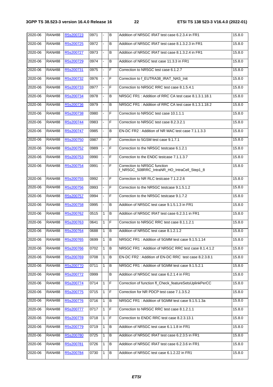| 2020-06 | <b>RAN#88</b> | R5s200723        | 0971 | $\blacksquare$ | B            | Addition of NR5GC IRAT test case 6.2.3.4 in FR1                             | 15.8.0 |
|---------|---------------|------------------|------|----------------|--------------|-----------------------------------------------------------------------------|--------|
| 2020-06 | <b>RAN#88</b> | R5s200725        | 0972 |                | B            | Addition of NR5GC IRAT test case 8.1.3.2.3 in FR1                           | 15.8.0 |
| 2020-06 | <b>RAN#88</b> | R5s200727        | 0973 |                | в            | Addition of NR5GC IRAT test case 8.1.3.2.4 in FR1                           | 15.8.0 |
| 2020-06 | <b>RAN#88</b> | R5s200729        | 0974 | ÷.             | В            | Addition of NR5GC test case 11.3.3 in FR1                                   | 15.8.0 |
| 2020-06 | <b>RAN#88</b> | R5s200731        | 0975 |                | F            | Correction to NR5GC test case 6.1.2.7                                       | 15.8.0 |
| 2020-06 | <b>RAN#88</b> | R5s200732        | 0976 |                | F            | Correction to f EUTRA38 IRAT NAS Init                                       | 15.8.0 |
| 2020-06 | <b>RAN#88</b> | R5s200733        | 0977 |                | F            | Correction to NR5GC RRC test case 8.1.5.4.1                                 | 15.8.0 |
| 2020-06 | <b>RAN#88</b> | R5s200734        | 0978 |                | В            | NR5GC FR1: Addition of RRC CA test case 8.1.3.1.18.1                        | 15.8.0 |
| 2020-06 | <b>RAN#88</b> | R5s200736        | 0979 |                | в            | NR5GC FR1: Addition of RRC CA test case 8.1.3.1.18.2                        | 15.8.0 |
| 2020-06 | <b>RAN#88</b> | R5s200738        | 0980 |                | F            | Correction to NR5GC test case 10.1.1.1                                      | 15.8.0 |
| 2020-06 | <b>RAN#88</b> | R5s200744        | 0983 | $\mathbf{r}$   | F            | Correction to NR5GC test case 8.2.3.2.1                                     | 15.8.0 |
| 2020-06 | <b>RAN#88</b> | R5s200747        | 0985 |                | B            | EN-DC FR2: Addition of NR MAC test case 7.1.1.3.3                           | 15.8.0 |
| 2020-06 | <b>RAN#88</b> | R5s200750        | 0987 |                | F            | Correction to 5GSM test case 9.1.7.1                                        | 15.8.0 |
| 2020-06 | <b>RAN#88</b> | R5s200752        | 0989 | $\blacksquare$ | F            | Correction to the NR5GC testcase 6.1.2.1                                    | 15.8.0 |
| 2020-06 | <b>RAN#88</b> | R5s200753        | 0990 | ÷,             | F            | Correction to the ENDC testcase 7.1.1.3.7                                   | 15.8.0 |
| 2020-06 | <b>RAN#88</b> | R5s200754        | 0991 |                | F            | Correction to NR5GC function<br>f_NR5GC_508RRC_IntraNR_HO_IntraCell_Step1_8 | 15.8.0 |
| 2020-06 | <b>RAN#88</b> | R5s200755        | 0992 | $\blacksquare$ | F            | Correction to NR RLC testcase 7.1.2.2.6                                     | 15.8.0 |
| 2020-06 | <b>RAN#88</b> | R5s200756        | 0993 |                | F            | Correction to the NR5GC testcase 9.1.5.1.2                                  | 15.8.0 |
| 2020-06 | <b>RAN#88</b> | R5s200757        | 0994 |                | F            | Correction to the NR5GC testcase 9.1.7.2                                    | 15.8.0 |
| 2020-06 | <b>RAN#88</b> | R5s200758        | 0995 | ÷.             | B            | Addition of NR5GC test case 9.1.5.1.3 in FR1                                | 15.8.0 |
| 2020-06 | <b>RAN#88</b> | R5s200762        | 0515 | $\mathbf{1}$   | B            | Addition of NR5GC IRAT test case 6.2.3.1 in FR1                             | 15.8.0 |
| 2020-06 | <b>RAN#88</b> | R5s200763        | 0641 | 1              | F            | Correction to NR5GC RRC test case 8.1.1.2.1                                 | 15.8.0 |
| 2020-06 | <b>RAN#88</b> | R5s200764        | 0688 | 1              | B            | Addition of NR5GC test case 8.1.2.1.2                                       | 15.8.0 |
| 2020-06 | RAN#88        | <u>R5s200765</u> | 0699 | 1              | IB.          | NR5GC FR1: Addition of 5GMM test case 9.1.5.1.14                            | 15.8.0 |
| 2020-06 | <b>RAN#88</b> | R5s200766        | 0702 | $\mathbf{1}$   | $\, {\bf B}$ | NR5GC FR1: Addition of NR5GC RRC test case 8.1.4.1.2                        | 15.8.0 |
| 2020-06 | <b>RAN#88</b> | R5s200769        | 0708 | $\mathbf{1}$   | B            | EN-DC FR2 : Addition of EN-DC RRC test case 8.2.3.8.1                       | 15.8.0 |
| 2020-06 | <b>RAN#88</b> | R5s200770        | 0711 | 1              | В            | NR5GC FR1: Addition of 5GMM test case 9.1.5.2.1                             | 15.8.0 |
| 2020-06 | <b>RAN#88</b> | R5s200772        | 0999 |                | В            | Addition of NR5GC test case 6.2.1.4 in FR1                                  | 15.8.0 |
| 2020-06 | <b>RAN#88</b> | R5s200774        | 0714 | 1              | $\mathsf F$  | Correction of function fl Check featureSetsUplinkPerCC                      | 15.8.0 |
| 2020-06 | <b>RAN#88</b> | R5s200775        | 0715 | $\mathbf{1}$   | $\mathsf F$  | Correction for NR PDCP test case 7.1.3.5.2                                  | 15.8.0 |
| 2020-06 | <b>RAN#88</b> | R5s200776        | 0716 | $\mathbf{1}$   | B            | NR5GC FR1: Addition of 5GMM test case 9.1.5.1.3a                            | 15.8.0 |
| 2020-06 | <b>RAN#88</b> | R5s200777        | 0717 | $\mathbf{1}$   | $\mathsf F$  | Correction to NR5GC RRC test case 8.1.2.1.1                                 | 15.8.0 |
| 2020-06 | <b>RAN#88</b> | R5s200778        | 0718 | $\mathbf{1}$   | $\mathsf F$  | Correction to ENDC RRC test case 8.2.3.13.1                                 | 15.8.0 |
| 2020-06 | <b>RAN#88</b> | R5s200779        | 0719 | 1              | B            | Addition of NR5GC test case 6.1.1.8 in FR1                                  | 15.8.0 |
| 2020-06 | <b>RAN#88</b> | R5s200780        | 0725 | 1              | В            | Addition of NR5GC IRAT test case 6.2.3.5 in FR1                             | 15.8.0 |
| 2020-06 | <b>RAN#88</b> | R5s200781        | 0726 | 1              | $\, {\bf B}$ | Addition of NR5GC IRAT test case 6.2.3.6 in FR1                             | 15.8.0 |
| 2020-06 | <b>RAN#88</b> | R5s200784        | 0730 | 1              | $\, {\bf B}$ | Addition of NR5GC test case 6.1.2.22 in FR1                                 | 15.8.0 |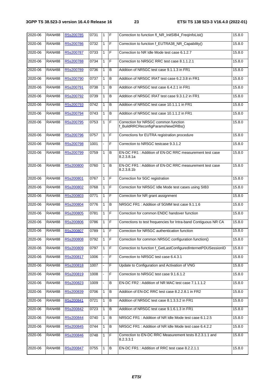| 2020-06 | <b>RAN#88</b> | R5s200785 | 0731 | $\mathbf{1}$ | IF             | Correction to function fl_NR_InitSIB4_FreqInfoList()                      | 15.8.0 |
|---------|---------------|-----------|------|--------------|----------------|---------------------------------------------------------------------------|--------|
| 2020-06 | <b>RAN#88</b> | R5s200786 | 0732 | $\mathbf{1}$ | $\mathsf F$    | Correction to function f_EUTRA38_NR_Capability()                          | 15.8.0 |
| 2020-06 | <b>RAN#88</b> | R5s200787 | 0733 | 1            | F              | Correction to NR Idle Mode test case 6.1.2.7                              | 15.8.0 |
| 2020-06 | <b>RAN#88</b> | R5s200788 | 0734 | $\mathbf{1}$ | F              | Correction to NR5GC RRC test case 8.1.1.2.1                               | 15.8.0 |
| 2020-06 | <b>RAN#88</b> | R5s200789 | 0736 | $\mathbf{1}$ | B              | Addition of NR5GC test case 9.1.1.3 in FR1                                | 15.8.0 |
| 2020-06 | <b>RAN#88</b> | R5s200790 | 0737 | 1            | B              | Addition of NR5GC IRAT test case 6.2.3.8 in FR1                           | 15.8.0 |
| 2020-06 | <b>RAN#88</b> | R5s200791 | 0738 | 1            | B              | Addition of NR5GC test case 6.4.2.1 in FR1                                | 15.8.0 |
| 2020-06 | <b>RAN#88</b> | R5s200792 | 0739 | 1            | $\sf B$        | Addition of NR5GC IRAT test case 9.3.1.2 in FR1                           | 15.8.0 |
| 2020-06 | <b>RAN#88</b> | R5s200793 | 0742 | $\mathbf{1}$ | B              | Addition of NR5GC test case 10.1.1.1 in FR1                               | 15.8.0 |
| 2020-06 | <b>RAN#88</b> | R5s200794 | 0743 | $\mathbf{1}$ | B              | Addition of NR5GC test case 10.1.1.2 in FR1                               | 15.8.0 |
| 2020-06 | <b>RAN#88</b> | R5s200795 | 0753 | $\mathbf{1}$ | F              | Correction for NR5GC common function<br>f_BuildRRCReconfigParamsNewDRBs() | 15.8.0 |
| 2020-06 | <b>RAN#88</b> | R5s200796 | 0757 | 1            | $\mathsf F$    | Corrections for EUTRA registration procedure                              | 15.8.0 |
| 2020-06 | <b>RAN#88</b> | R5s200798 | 1001 | ÷.           | F              | Correction to NR5GC testcase 9.3.1.2                                      | 15.8.0 |
| 2020-06 | <b>RAN#88</b> | R5s200799 | 0759 | $\mathbf{1}$ | $\overline{B}$ | EN-DC FR1: Addition of EN-DC RRC measurement test case<br>8.2.3.8.1a      | 15.8.0 |
| 2020-06 | <b>RAN#88</b> | R5s200800 | 0760 | $\mathbf{1}$ | B              | EN-DC FR1 : Addition of EN-DC RRC measurement test case<br>8.2.3.8.1b     | 15.8.0 |
| 2020-06 | <b>RAN#88</b> | R5s200801 | 0767 | 1            | F              | Correction for 5GC registration                                           | 15.8.0 |
| 2020-06 | <b>RAN#88</b> | R5s200802 | 0768 | 1            | F              | Correction for NR5GC Idle Mode test cases using SIB3                      | 15.8.0 |
| 2020-06 | <b>RAN#88</b> | R5s200803 | 0771 | 1            | F              | Correction for NR grant assignment                                        | 15.8.0 |
| 2020-06 | <b>RAN#88</b> | R5s200804 | 0776 | $\mathbf{1}$ | $\overline{B}$ | NR5GC FR1: Addition of 5GMM test case 9.1.1.6                             | 15.8.0 |
| 2020-06 | <b>RAN#88</b> | R5s200805 | 0781 | $\mathbf{1}$ | F              | Correction for common ENDC handover function                              | 15.8.0 |
| 2020-06 | <b>RAN#88</b> | R5s200806 | 0786 | 1            | F              | Corrections to test frequencies for Intra-band Contiguous NR CA           | 15.8.0 |
| 2020-06 | <b>RAN#88</b> | R5s200807 | 0789 | 1            | F              | Correction for NR5GC authentication function                              | 15.8.0 |
| 2020-06 | <b>RAN#88</b> | R5s200808 | 0792 | $\vert$ 1    | IF             | Correction for common NR5GC configuration function()                      | 15.8.0 |
| 2020-06 | <b>RAN#88</b> | R5s200809 | 0797 | $\mathbf{1}$ | F              | Correction to function f_GetLastConfiguredInternetPDUSessionID            | 15.8.0 |
| 2020-06 | <b>RAN#88</b> | R5s200817 | 1006 |              | F              | Correction to NR5GC test case 6.4.3.1                                     | 15.8.0 |
| 2020-06 | <b>RAN#88</b> | R5s200818 | 1007 |              | F              | Update to Configuration and Activation of VNG                             | 15.8.0 |
| 2020-06 | <b>RAN#88</b> | R5s200819 | 1008 |              | F              | Correction to NR5GC test case 9.1.6.1.2                                   | 15.8.0 |
| 2020-06 | <b>RAN#88</b> | R5s200823 | 1009 |              | B              | EN-DC FR2: Addition of NR MAC test case 7.1.1.1.2                         | 15.8.0 |
| 2020-06 | <b>RAN#88</b> | R5s200839 | 0706 | 1            | B              | Addition of EN-DC RRC test case 8.2.2.8.1 in FR2                          | 15.8.0 |
| 2020-06 | <b>RAN#88</b> | R5s200841 | 0721 | 1            | B              | Addition of NR5GC test case 8.1.3.3.2 in FR1                              | 15.8.0 |
| 2020-06 | <b>RAN#88</b> | R5s200842 | 0723 | 1            | B              | Addition of NR5GC test case 9.1.6.1.3 in FR1                              | 15.8.0 |
| 2020-06 | <b>RAN#88</b> | R5s200844 | 0740 | 1            | B              | NR5GC FR1: Addition of NR Idle Mode test case 6.1.2.5                     | 15.8.0 |
| 2020-06 | <b>RAN#88</b> | R5s200845 | 0744 | 1            | $\sf B$        | NR5GC FR1: Addition of NR Idle Mode test case 6.4.2.2                     | 15.8.0 |
| 2020-06 | <b>RAN#88</b> | R5s200846 | 0748 | 1            | F              | Correction to EN-DC RRC Measurement tests 8.2.3.1.1 and<br>8.2.3.3.1      | 15.8.0 |
| 2020-06 | <b>RAN#88</b> | R5s200847 | 0755 | 1            | B              | EN-DC FR1 : Addition of RRC test case 8.2.2.1.1                           | 15.8.0 |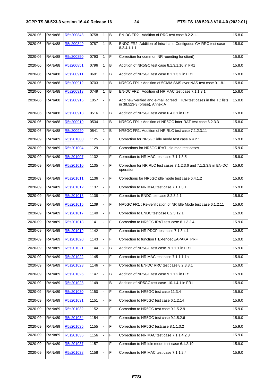| 2020-06 | <b>RAN#88</b> | R5s200848 | 0758 | 1                            | B              | EN-DC FR2: Addition of RRC test case 8.2.2.1.1                                                     | 15.8.0 |
|---------|---------------|-----------|------|------------------------------|----------------|----------------------------------------------------------------------------------------------------|--------|
| 2020-06 | <b>RAN#88</b> | R5s200849 | 0787 | $\mathbf{1}$                 | B              | ENDC FR2: Addition of Intra-band Contiguous CA RRC test case<br>8.2.4.1.1.1                        | 15.8.0 |
| 2020-06 | <b>RAN#88</b> | R5s200850 | 0793 | $\mathbf{1}$                 | F              | Correction for common NR rounding function()                                                       | 15.8.0 |
| 2020-06 | <b>RAN#88</b> | R5s200851 | 0796 | 1                            | B              | Addition of NR5GC test case 8.1.3.1.16 in FR1                                                      | 15.8.0 |
| 2020-06 | <b>RAN#88</b> | R5s200911 | 0691 | $\mathbf{1}$                 | B              | Addition of NR5GC test case 8.1.1.3.2 in FR1                                                       | 15.8.0 |
| 2020-06 | <b>RAN#88</b> | R5s200912 | 0703 | $\mathbf{1}$                 | B              | NR5GC FR1: Addition of 5GMM SMS over NAS test case 9.1.8.1                                         | 15.8.0 |
| 2020-06 | <b>RAN#88</b> | R5s200913 | 0749 | $\mathbf{1}$                 | B              | EN-DC FR2: Addition of NR MAC test case 7.1.1.3.1                                                  | 15.8.0 |
| 2020-06 | <b>RAN#88</b> | R5s200915 | 1057 |                              | F              | Add new verified and e-mail agreed TTCN test cases in the TC lists<br>in 38.523-3 (prose), Annex A | 15.8.0 |
| 2020-06 | <b>RAN#88</b> | R5s200918 | 0516 | $\mathbf{1}$                 | B              | Addition of NR5GC test case 6.4.3.1 in FR1                                                         | 15.8.0 |
| 2020-06 | <b>RAN#88</b> | R5s200919 | 0534 | $\mathbf{1}$                 | B              | NR5GC FR1: Addition of NR5GC inter-RAT test case 6.2.3.3                                           | 15.8.0 |
| 2020-06 | <b>RAN#88</b> | R5s200920 | 0541 | $\mathbf{1}$                 | B              | NR5GC FR1: Addition of NR RLC test case 7.1.2.3.11                                                 | 15.8.0 |
| 2020-09 | <b>RAN#89</b> | R5s201000 | 1125 | ÷.                           | F              | Correction for NR5GC idle mode test case 6.4.2.1                                                   | 15.9.0 |
| 2020-09 | <b>RAN#89</b> | R5s201004 | 1129 |                              | F              | Corrections for NR5GC IRAT Idle mde test cases                                                     | 15.9.0 |
| 2020-09 | <b>RAN#89</b> | R5s201007 | 1132 |                              | F              | Correction to NR MAC test case 7.1.1.3.5                                                           | 15.9.0 |
| 2020-09 | <b>RAN#89</b> | R5s201010 | 1135 |                              | $\overline{F}$ | Correction for NR RLC test cases 7.1.2.3.6 and 7.1.2.3.8 in EN-DC<br>operation                     | 15.9.0 |
| 2020-09 | <b>RAN#89</b> | R5s201011 | 1136 |                              | F              | Corrections for NR5GC idle mode test case 6.4.1.2                                                  | 15.9.0 |
| 2020-09 | <b>RAN#89</b> | R5s201012 | 1137 |                              | F              | Correction to NR MAC test case 7.1.1.3.1                                                           | 15.9.0 |
| 2020-09 | <b>RAN#89</b> | R5s201013 | 1138 | $\overline{a}$               | F              | Correction to ENDC testcase 8.2.3.2.1                                                              | 15.9.0 |
| 2020-09 | <b>RAN#89</b> | R5s201015 | 1139 |                              | F              | NR5GC FR1: Re-verification of NR Idle Mode test case 6.1.2.11                                      | 15.9.0 |
| 2020-09 | <b>RAN#89</b> | R5s201017 | 1140 |                              | F              | Correction to ENDC testcase 8.2.3.12.1                                                             | 15.9.0 |
| 2020-09 | <b>RAN#89</b> | R5s201018 | 1141 | ä,                           | F              | Correction to NR5GC IRAT test case 8.1.3.2.4                                                       | 15.9.0 |
| 2020-09 | <b>RAN#89</b> | R5s201019 | 1142 |                              | F              | Correction to NR PDCP test case 7.1.3.4.1                                                          | 15.9.0 |
| 2020-09 | <b>RAN#89</b> | R5s201020 | 1143 | $\blacksquare$               | F              | Correction to function f_ExtendedEAPAKA_PRF                                                        | 15.9.0 |
| 2020-09 | <b>RAN#89</b> | R5s201021 | 1144 | $\overline{a}$               | B              | Addition of NR5GC test case 9.1.1.1 in FR1                                                         | 15.9.0 |
| 2020-09 | <b>RAN#89</b> | R5s201022 | 1145 |                              | F              | Correction to NR MAC test case 7.1.1.1.1a                                                          | 15.9.0 |
| 2020-09 | <b>RAN#89</b> | R5s201023 | 1146 |                              | F              | Correction to EN-DC RRC test case 8.2.3.3.1                                                        | 15.9.0 |
| 2020-09 | <b>RAN#89</b> | R5s201025 | 1147 | $\qquad \qquad \blacksquare$ | B              | Addition of NR5GC test case 9.1.1.2 in FR1                                                         | 15.9.0 |
| 2020-09 | <b>RAN#89</b> | R5s201028 | 1149 |                              | В              | Addition of NR5GC test case 10.1.4.1 in FR1                                                        | 15.9.0 |
| 2020-09 | <b>RAN#89</b> | R5s201030 | 1150 |                              | F              | Correction to NR5GC test case 11.3.4                                                               | 15.9.0 |
| 2020-09 | <b>RAN#89</b> | R5s201031 | 1151 | L,                           | F              | Correction to NR5GC test case 6.1.2.14                                                             | 15.9.0 |
| 2020-09 | <b>RAN#89</b> | R5s201032 | 1152 |                              | F              | Correction to NR5GC test case 9.1.5.2.9                                                            | 15.9.0 |
| 2020-09 | <b>RAN#89</b> | R5s201034 | 1154 |                              | F              | Correction to NR5GC test case 9.1.5.2.6                                                            | 15.9.0 |
| 2020-09 | <b>RAN#89</b> | R5s201035 | 1155 |                              | $\mathsf F$    | Correction to NR5GC testcase 8.1.1.3.2                                                             | 15.9.0 |
| 2020-09 | <b>RAN#89</b> | R5s201036 | 1156 |                              | F              | Correction to NR MAC test case 7.1.1.4.2.3                                                         | 15.9.0 |
| 2020-09 | <b>RAN#89</b> | R5s201037 | 1157 |                              | F              | Correction to NR idle mode test case 6.1.2.19                                                      | 15.9.0 |
| 2020-09 | <b>RAN#89</b> | R5s201038 | 1158 |                              | F              | Correction to NR MAC test case 7.1.1.2.4                                                           | 15.9.0 |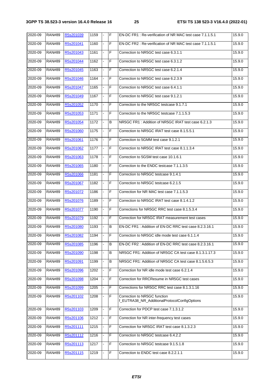| 2020-09 | <b>RAN#89</b> | R5s201039 | 1159 | $\blacksquare$ | F | EN-DC FR1: Re-verification of NR MAC test case 7.1.1.5.1                     | 15.9.0 |
|---------|---------------|-----------|------|----------------|---|------------------------------------------------------------------------------|--------|
| 2020-09 | <b>RAN#89</b> | R5s201041 | 1160 |                | F | EN-DC FR2: Re-verification of NR MAC test case 7.1.1.5.1                     | 15.9.0 |
| 2020-09 | <b>RAN#89</b> | R5s201043 | 1161 | ÷,             | F | Correction to NR5GC test case 6.3.1.1                                        | 15.9.0 |
| 2020-09 | <b>RAN#89</b> | R5s201044 | 1162 | ÷.             | F | Correction to NR5GC test case 6.3.1.2                                        | 15.9.0 |
| 2020-09 | <b>RAN#89</b> | R5s201045 | 1163 |                | F | Correction to NR5GC test case 6.2.1.4                                        | 15.9.0 |
| 2020-09 | <b>RAN#89</b> | R5s201046 | 1164 |                | F | Correction to NR5GC test case 6.2.3.9                                        | 15.9.0 |
| 2020-09 | <b>RAN#89</b> | R5s201047 | 1165 | $\blacksquare$ | F | Correction to NR5GC test case 6.4.1.1                                        | 15.9.0 |
| 2020-09 | <b>RAN#89</b> | R5s201049 | 1167 | ÷.             | F | Correction to NR5GC test case 9.1.2.1                                        | 15.9.0 |
| 2020-09 | <b>RAN#89</b> | R5s201052 | 1170 |                | F | Correction to the NR5GC testcase 9.1.7.1                                     | 15.9.0 |
| 2020-09 | <b>RAN#89</b> | R5s201053 | 1171 | $\blacksquare$ | F | Correction to the NR5GC testcase 7.1.1.5.3                                   | 15.9.0 |
| 2020-09 | <b>RAN#89</b> | R5s201054 | 1172 |                | В | NR5GC FR1: Addition of NR5GC IRAT test case 6.2.1.3                          | 15.9.0 |
| 2020-09 | <b>RAN#89</b> | R5s201060 | 1175 |                | F | Correction to NR5GC IRAT test case 8.1.5.5.1                                 | 15.9.0 |
| 2020-09 | <b>RAN#89</b> | R5s201061 | 1176 | $\blacksquare$ | F | Correction to 5GMM test case 9.1.2.1                                         | 15.9.0 |
| 2020-09 | <b>RAN#89</b> | R5s201062 | 1177 | ÷,             | F | Correction to NR5GC IRAT test case 8.1.1.3.4                                 | 15.9.0 |
| 2020-09 | <b>RAN#89</b> | R5s201063 | 1178 |                | F | Correction to 5GSM test case 10.1.6.1                                        | 15.9.0 |
| 2020-09 | <b>RAN#89</b> | R5s201065 | 1180 | ÷.             | F | Correction to the ENDC testcase 7.1.1.3.5                                    | 15.9.0 |
| 2020-09 | <b>RAN#89</b> | R5s201066 | 1181 |                | F | Correction to NR5GC testcase 9.1.4.1                                         | 15.9.0 |
| 2020-09 | <b>RAN#89</b> | R5s201067 | 1182 |                | F | Correction to NR5GC testcase 6.2.1.5                                         | 15.9.0 |
| 2020-09 | <b>RAN#89</b> | R5s201072 | 1186 | $\blacksquare$ | F | Correction for NR MAC test case 7.1.1.5.3                                    | 15.9.0 |
| 2020-09 | <b>RAN#89</b> | R5s201076 | 1189 | $\blacksquare$ | F | Correction to NR5GC IRAT test case 8.1.4.1.2                                 | 15.9.0 |
| 2020-09 | <b>RAN#89</b> | R5s201077 | 1190 |                | F | Corrections for NR5GC RRC test case 8.1.5.3.4                                | 15.9.0 |
| 2020-09 | <b>RAN#89</b> | R5s201079 | 1192 | ÷.             | F | Correction for NR5GC IRAT measurement test cases                             | 15.9.0 |
| 2020-09 | <b>RAN#89</b> | R5s201080 | 1193 |                | B | EN-DC FR1: Addition of EN-DC RRC test case 8.2.3.16.1                        | 15.9.0 |
| 2020-09 | <b>RAN#89</b> | R5s201082 | 1194 |                | F | Correction to NR5GC idle mode test case 6.1.1.4                              | 15.9.0 |
| 2020-09 | <b>RAN#89</b> | R5s201085 | 1196 |                | B | EN-DC FR2 : Addition of EN-DC RRC test case 8.2.3.16.1                       | 15.9.0 |
| 2020-09 | <b>RAN#89</b> | R5s201090 | 1198 |                | B | NR5GC FR1: Addition of NR5GC CA test case 8.1.3.1.17.3                       | 15.9.0 |
| 2020-09 | <b>RAN#89</b> | R5s201091 | 1199 |                | В | NR5GC FR1: Addition of NR5GC CA test case 8.1.5.6.5.3                        | 15.9.0 |
| 2020-09 | <b>RAN#89</b> | R5s201096 | 1202 |                | F | Correction for NR idle mode test case 6.2.1.4                                | 15.9.0 |
| 2020-09 | <b>RAN#89</b> | R5s201098 | 1204 | L.             | F | Correction for RRCResume in NR5GC test cases                                 | 15.9.0 |
| 2020-09 | <b>RAN#89</b> | R5s201099 | 1205 |                | F | Corrections for NR5GC RRC test case 8.1.3.1.16                               | 15.9.0 |
| 2020-09 | <b>RAN#89</b> | R5s201102 | 1208 |                | F | Correction to NR5GC function<br>f_EUTRA38_NR_AdditionalProtocolConfigOptions | 15.9.0 |
| 2020-09 | <b>RAN#89</b> | R5s201103 | 1209 | ä,             | F | Correction for PDCP test case 7.1.3.1.2                                      | 15.9.0 |
| 2020-09 | <b>RAN#89</b> | R5s201106 | 1212 |                | F | Correction for NR inter-frequency test cases                                 | 15.9.0 |
| 2020-09 | <b>RAN#89</b> | R5s201111 | 1215 |                | F | Correction for NR5GC IRAT test case 8.1.3.2.3                                | 15.9.0 |
| 2020-09 | <b>RAN#89</b> | R5s201112 | 1216 |                | F | Correction to NR5GC testcase 6.4.2.2                                         | 15.9.0 |
| 2020-09 | <b>RAN#89</b> | R5s201113 | 1217 |                | F | Correction to NR5GC testcase 9.1.5.1.8                                       | 15.9.0 |
| 2020-09 | <b>RAN#89</b> | R5s201115 | 1219 |                | F | Correction to ENDC test case 8.2.2.1.1                                       | 15.9.0 |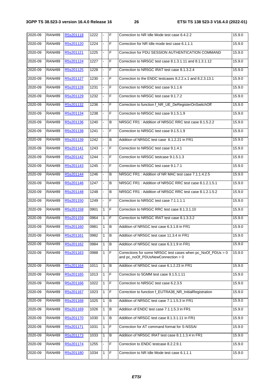| $2020 - 09$ | <b>RAN#89</b> | R5s201118 | 1222 | $\blacksquare$ | lF.            | Correction to NR Idle Mode test case 6.4.2.2                                                     | 15.9.0 |
|-------------|---------------|-----------|------|----------------|----------------|--------------------------------------------------------------------------------------------------|--------|
| 2020-09     | <b>RAN#89</b> | R5s201120 | 1224 | $\blacksquare$ | F              | Correction for NR Idle mode test case 6.1.1.1                                                    | 15.9.0 |
| 2020-09     | <b>RAN#89</b> | R5s201121 | 1225 |                | F              | Correction for PDU SESSION AUTHENTICATION COMMAND                                                | 15.9.0 |
| 2020-09     | <b>RAN#89</b> | R5s201124 | 1227 | ÷.             | F              | Correction to NR5GC test case 8.1.3.1.11 and 8.1.3.1.12                                          | 15.9.0 |
| 2020-09     | <b>RAN#89</b> | R5s201125 | 1228 |                | F              | Correction to NR5GC IRAT test case 8.1.3.2.4                                                     | 15.9.0 |
| 2020-09     | <b>RAN#89</b> | R5s201127 | 1230 |                | F              | Correction to the ENDC testcases 8.2.2.x.1 and 8.2.3.13.1                                        | 15.9.0 |
| 2020-09     | <b>RAN#89</b> | R5s201128 | 1231 |                | F              | Correction to NR5GC test case 9.1.1.6                                                            | 15.9.0 |
| 2020-09     | <b>RAN#89</b> | R5s201129 | 1232 | $\blacksquare$ | F              | Correction to NR5GC test case 9.1.7.2                                                            | 15.9.0 |
| 2020-09     | <b>RAN#89</b> | R5s201132 | 1236 |                | F              | Correction to function f_NR_UE_DeRegisterOnSwitchOff                                             | 15.9.0 |
| 2020-09     | <b>RAN#89</b> | R5s201134 | 1238 |                | F              | Correction to NR5GC test case 9.1.5.1.9                                                          | 15.9.0 |
| 2020-09     | <b>RAN#89</b> | R5s201136 | 1240 | $\blacksquare$ | B              | NR5GC FR1: Addition of NR5GC RRC test case 8.1.5.2.2                                             | 15.9.0 |
| 2020-09     | <b>RAN#89</b> | R5s201138 | 1241 |                | F              | Correction to NR5GC test case 9.1.5.1.9                                                          | 15.9.0 |
| 2020-09     | <b>RAN#89</b> | R5s201139 | 1242 |                | в              | Addition of NR5GC test case 6.1.2.21 in FR1                                                      | 15.9.0 |
| 2020-09     | <b>RAN#89</b> | R5s201141 | 1243 | $\blacksquare$ | F              | Correction to NR5GC test case 9.1.4.1                                                            | 15.9.0 |
| 2020-09     | <b>RAN#89</b> | R5s201142 | 1244 | ÷,             | F              | Correction to NR5GC testcase 9.1.5.1.3                                                           | 15.9.0 |
| 2020-09     | <b>RAN#89</b> | R5s201143 | 1245 |                | F              | Correction to NR5GC test case 9.1.7.1                                                            | 15.9.0 |
| 2020-09     | <b>RAN#89</b> | R5s201144 | 1246 |                | В              | NR5GC FR1: Addition of NR MAC test case 7.1.1.4.2.5                                              | 15.9.0 |
| 2020-09     | <b>RAN#89</b> | R5s201146 | 1247 |                | B              | NR5GC FR1: Addition of NR5GC RRC test case 8.1.2.1.5.1                                           | 15.9.0 |
| 2020-09     | <b>RAN#89</b> | R5s201148 | 1248 |                | В              | NR5GC FR1: Addition of NR5GC RRC test case 8.1.2.1.5.2                                           | 15.9.0 |
| 2020-09     | <b>RAN#89</b> | R5s201150 | 1249 | $\blacksquare$ | F              | Correction to NR5GC test case 7.1.1.1.1                                                          | 15.9.0 |
| 2020-09     | <b>RAN#89</b> | R5s201158 | 0901 | $\mathbf{1}$   | F              | Correction to NR5GC RRC test case 8.1.3.1.10                                                     | 15.9.0 |
| 2020-09     | <b>RAN#89</b> | R5s201159 | 0964 | $\mathbf{1}$   | F              | Correction to NR5GC IRAT test case 8.1.3.3.2                                                     | 15.9.0 |
| 2020-09     | <b>RAN#89</b> | R5s201160 | 0981 | $\mathbf{1}$   | B              | Addition of NR5GC test case 6.3.1.8 in FR1                                                       | 15.9.0 |
| 2020-09     | <b>RAN#89</b> | R5s201161 | 0982 | $\mathbf{1}$   | B              | Addition of NR5GC test case 11.3.4 in FR1                                                        | 15.9.0 |
| 2020-09     | <b>RAN#89</b> | R5s201162 | 0984 | 1              | B              | Addition of NR5GC test case 6.3.1.9 in FR1                                                       | 15.9.0 |
| 2020-09     | <b>RAN#89</b> | R5s201163 | 0988 | 1              | F              | Corrections for some NR5GC test cases when pc_NoOf_PDUs = 0<br>and pc_noOf_PDUsNewConnection > 0 | 15.9.0 |
| 2020-09     | <b>RAN#89</b> | R5s201164 | 1011 | $\mathbf{1}$   | B              | Addition of NR5GC test case 6.1.2.23 in FR1                                                      | 15.9.0 |
| 2020-09     | <b>RAN#89</b> | R5s201165 | 1013 | $\mathbf{1}$   | F              | Correction to 5GMM test case 9.1.5.1.11                                                          | 15.9.0 |
| 2020-09     | <b>RAN#89</b> | R5s201166 | 1022 | 1              | $\mathsf F$    | Correction to NR5GC test case 6.2.3.5                                                            | 15.9.0 |
| 2020-09     | <b>RAN#89</b> | R5s201167 | 1023 | $\mathbf{1}$   | $\mathsf F$    | Correction to function f_EUTRA38_NR_InitialRegistration                                          | 15.9.0 |
| 2020-09     | <b>RAN#89</b> | R5s201168 | 1025 | 1              | B              | Addition of NR5GC test case 7.1.1.5.3 in FR1                                                     | 15.9.0 |
| 2020-09     | <b>RAN#89</b> | R5s201169 | 1026 | $\mathbf{1}$   | В              | Addition of ENDC test case 7.1.1.5.3 in FR1                                                      | 15.9.0 |
| 2020-09     | <b>RAN#89</b> | R5s201170 | 1030 | $\mathbf{1}$   | $\, {\bf B}$   | Addition of NR5GC test case 8.1.3.1.11 in FR1                                                    | 15.9.0 |
| 2020-09     | <b>RAN#89</b> | R5s201171 | 1031 | $\mathbf{1}$   | $\overline{F}$ | Correction for AT command format for S-NSSAI                                                     | 15.9.0 |
| 2020-09     | <b>RAN#89</b> | R5s201173 | 1033 | 1              | В              | Addition of NR5GC IRAT test case 8.1.1.3.4 in FR1                                                | 15.9.0 |
| 2020-09     | <b>RAN#89</b> | R5s201174 | 1255 |                | $\mathsf F$    | Correction to ENDC testcase 8.2.2.9.1                                                            | 15.9.0 |
| 2020-09     | <b>RAN#89</b> | R5s201180 | 1034 | 1              | $\mathsf F$    | Correction to NR Idle Mode test case 6.1.1.1                                                     | 15.9.0 |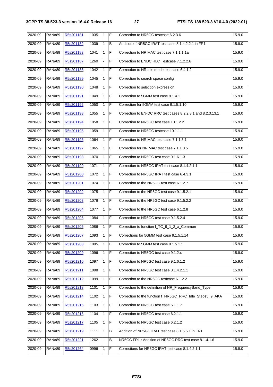| 2020-09 | <b>RAN#89</b> | R5s201181 | 1035 | $\mathbf{1}$ | F              | Correction to NR5GC testcase 6.2.3.6                        | 15.9.0 |
|---------|---------------|-----------|------|--------------|----------------|-------------------------------------------------------------|--------|
| 2020-09 | <b>RAN#89</b> | R5s201182 | 1039 | $\mathbf{1}$ | B              | Addition of NR5GC IRAT test case 8.1.4.2.2.1 in FR1         | 15.9.0 |
| 2020-09 | <b>RAN#89</b> | R5s201183 | 1041 | 1            | $\mathsf F$    | Correction to NR MAC test case 7.1.1.1.1a                   | 15.9.0 |
| 2020-09 | <b>RAN#89</b> | R5s201187 | 1260 | ä,           | F              | Correction to ENDC RLC Testcase 7.1.2.2.6                   | 15.9.0 |
| 2020-09 | <b>RAN#89</b> | R5s201188 | 1042 | $\mathbf{1}$ | F              | Correction to NR Idle mode test case 6.4.1.2                | 15.9.0 |
| 2020-09 | <b>RAN#89</b> | R5s201189 | 1045 | 1            | F              | Correction to search space config                           | 15.9.0 |
| 2020-09 | <b>RAN#89</b> | R5s201190 | 1048 | 1            | F              | Correction to selection expression                          | 15.9.0 |
| 2020-09 | <b>RAN#89</b> | R5s201191 | 1049 | 1            | $\mathsf F$    | Correction to 5GMM test case 9.1.4.1                        | 15.9.0 |
| 2020-09 | <b>RAN#89</b> | R5s201192 | 1050 | 1            | $\mathsf F$    | Correction for 5GMM test case 9.1.5.1.10                    | 15.9.0 |
| 2020-09 | <b>RAN#89</b> | R5s201193 | 1055 | $\mathbf{1}$ | F              | Correction to EN-DC RRC test cases 8.2.2.8.1 and 8.2.3.13.1 | 15.9.0 |
| 2020-09 | <b>RAN#89</b> | R5s201194 | 1058 | $\mathbf{1}$ | F              | Correction to NR5GC test case 10.1.2.2                      | 15.9.0 |
| 2020-09 | <b>RAN#89</b> | R5s201195 | 1059 | $\mathbf{1}$ | F              | Correction to NR5GC testcase 10.1.1.1                       | 15.9.0 |
| 2020-09 | <b>RAN#89</b> | R5s201196 | 1064 | 1            | F              | Correction to NR MAC test case 7.1.1.3.1                    | 15.9.0 |
| 2020-09 | <b>RAN#89</b> | R5s201197 | 1065 | $\mathbf{1}$ | $\mathsf F$    | Correction for NR MAC test case 7.1.1.3.5                   | 15.9.0 |
| 2020-09 | <b>RAN#89</b> | R5s201198 | 1070 | $\mathbf{1}$ | F              | Correction to NR5GC test case 9.1.6.1.3                     | 15.9.0 |
| 2020-09 | <b>RAN#89</b> | R5s201199 | 1071 | $\mathbf{1}$ | F              | Correction to NR5GC IRAT test case 8.1.4.2.1.1              | 15.9.0 |
| 2020-09 | <b>RAN#89</b> | R5s201200 | 1072 | $\mathbf{1}$ | F              | Correction to NR5GC IRAT test case 6.4.3.1                  | 15.9.0 |
| 2020-09 | <b>RAN#89</b> | R5s201201 | 1074 | 1            | $\mathsf F$    | Correction to the NR5GC test case 6.1.2.7                   | 15.9.0 |
| 2020-09 | <b>RAN#89</b> | R5s201202 | 1075 | $\mathbf{1}$ | $\mathsf F$    | Correction to the NR5GC test case 9.1.5.2.1                 | 15.9.0 |
| 2020-09 | <b>RAN#89</b> | R5s201203 | 1076 | 1            | F              | Correction to the NR5GC test case 9.1.5.2.2                 | 15.9.0 |
| 2020-09 | <b>RAN#89</b> | R5s201204 | 1077 | $\mathbf{1}$ | $\mathsf F$    | Correction to the NR5GC test case 6.1.2.8                   | 15.9.0 |
| 2020-09 | <b>RAN#89</b> | R5s201205 | 1084 | $\mathbf{1}$ | F              | Correction to NR5GC test case 9.1.5.2.4                     | 15.9.0 |
| 2020-09 | <b>RAN#89</b> | R5s201206 | 1086 | 1            | F              | Correction to function f_TC_9_1_2_x_Common                  | 15.9.0 |
| 2020-09 | <b>RAN#89</b> | R5s201207 | 1093 | $\mathbf{1}$ | $\overline{F}$ | Corrections for 5GMM test case 9.1.5.1.14                   | 15.9.0 |
| 2020-09 | <b>RAN#89</b> | R5s201208 | 1095 | 1            | $\mathsf F$    | Correction to 5GMM test case 9.1.5.1.1                      | 15.9.0 |
| 2020-09 | <b>RAN#89</b> | R5s201209 | 1096 | 1            | F              | Correction to NR5GC test case 9.1.2.x                       | 15.9.0 |
| 2020-09 | <b>RAN#89</b> | R5s201210 | 1097 | $\mathbf{1}$ | F              | Correction to NR5GC test case 9.1.6.1.2                     | 15.9.0 |
| 2020-09 | <b>RAN#89</b> | R5s201211 | 1098 | 1            | F              | Correction to NR5GC test case 8.1.4.2.1.1                   | 15.9.0 |
| 2020-09 | <b>RAN#89</b> | R5s201212 | 1099 | 1            | F              | Correction to the NR5GC testcase 6.1.2.2                    | 15.9.0 |
| 2020-09 | <b>RAN#89</b> | R5s201213 | 1101 | 1            | F              | Correction to the definition of NR_FrequencyBand_Type       | 15.9.0 |
| 2020-09 | <b>RAN#89</b> | R5s201214 | 1102 | 1            | F              | Correction to the function f_NR5GC_RRC_Idle_Steps5_9_AKA    | 15.9.0 |
| 2020-09 | <b>RAN#89</b> | R5s201215 | 1103 | 1            | F              | Correction to NR5GC test case 6.1.1.7                       | 15.9.0 |
| 2020-09 | <b>RAN#89</b> | R5s201216 | 1104 | 1            | F              | Correction to NR5GC test case 6.2.1.1                       | 15.9.0 |
| 2020-09 | <b>RAN#89</b> | R5s201217 | 1105 | 1            | F              | Correction to NR5GC test case 6.2.1.2                       | 15.9.0 |
| 2020-09 | <b>RAN#89</b> | R5s201219 | 1111 | 1            | В              | Addition of NR5GC IRAT test case 8.1.5.5.1 in FR1           | 15.9.0 |
| 2020-09 | <b>RAN#89</b> | R5s201221 | 1262 |              | B              | NR5GC FR1: Addition of NR5GC RRC test case 8.1.4.1.6        | 15.9.0 |
| 2020-09 | <b>RAN#89</b> | R5s201264 | 0996 | 1            | F              | Corrections for NR5GC IRAT test case 8.1.4.2.1.1            | 15.9.0 |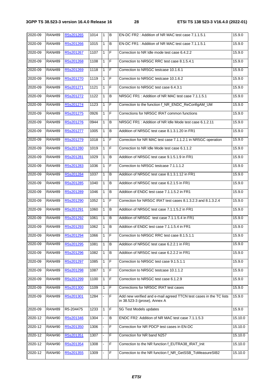| 2020-09 | <b>RAN#89</b> | R5s201265 | 1014 | $\overline{1}$ | B              | EN-DC FR2: Addition of NR MAC test case 7.1.1.5.1                                                  | 15.9.0  |
|---------|---------------|-----------|------|----------------|----------------|----------------------------------------------------------------------------------------------------|---------|
| 2020-09 | <b>RAN#89</b> | R5s201266 | 1015 | 1              | B              | EN-DC FR1: Addition of NR MAC test case 7.1.1.5.1                                                  | 15.9.0  |
| 2020-09 | <b>RAN#89</b> | R5s201267 | 1107 | 1              | F              | Correction to NR Idle mode test case 6.4.2.2                                                       | 15.9.0  |
| 2020-09 | <b>RAN#89</b> | R5s201268 | 1108 | $\mathbf{1}$   | $\overline{F}$ | Correction to NR5GC RRC test case 8.1.5.4.1                                                        | 15.9.0  |
| 2020-09 | <b>RAN#89</b> | R5s201269 | 1118 | $\mathbf{1}$   | F              | Correction to NR5GC testcase 10.1.6.1                                                              | 15.9.0  |
| 2020-09 | <b>RAN#89</b> | R5s201270 | 1119 | 1              | F              | Correction to NR5GC testcase 10.1.6.2                                                              | 15.9.0  |
| 2020-09 | <b>RAN#89</b> | R5s201271 | 1121 | $\mathbf{1}$   | F              | Correction to NR5GC test case 6.4.3.1                                                              | 15.9.0  |
| 2020-09 | <b>RAN#89</b> | R5s201272 | 1122 | 1              | В              | NR5GC FR1: Addition of NR MAC test case 7.1.1.5.1                                                  | 15.9.0  |
| 2020-09 | <b>RAN#89</b> | R5s201274 | 1123 | 1              | F              | Correction to the function f_NR_ENDC_ReConfigAM_UM                                                 | 15.9.0  |
| 2020-09 | <b>RAN#89</b> | R5s201275 | 0926 | 1              | $\mathsf F$    | Corrections for NR5GC IRAT common functions                                                        | 15.9.0  |
| 2020-09 | <b>RAN#89</b> | R5s201276 | 0944 | $\mathbf{1}$   | B              | NR5GC FR1: Addition of NR Idle Mode test case 6.1.2.11                                             | 15.9.0  |
| 2020-09 | <b>RAN#89</b> | R5s201277 | 1005 | 1              | B              | Addition of NR5GC test case 8.1.3.1.20 in FR1                                                      | 15.9.0  |
| 2020-09 | <b>RAN#89</b> | R5s201279 | 1018 | $\mathbf{1}$   | F              | Correction for NR MAC test case 7.1.1.2.1 in NR5GC operation                                       | 15.9.0  |
| 2020-09 | <b>RAN#89</b> | R5s201280 | 1019 | $\mathbf{1}$   | F              | Correction to NR Idle Mode test case 6.1.1.2                                                       | 15.9.0  |
| 2020-09 | <b>RAN#89</b> | R5s201281 | 1029 | 1              | В              | Addition of NR5GC test case 9.1.5.1.9 in FR1                                                       | 15.9.0  |
| 2020-09 | <b>RAN#89</b> | R5s201283 | 1036 | 1              | $\mathsf F$    | Correction to NR5GC testcase 7.1.1.1.2                                                             | 15.9.0  |
| 2020-09 | <b>RAN#89</b> | R5s201284 | 1037 | $\mathbf{1}$   | B              | Addition of NR5GC test case 8.1.3.1.12 in FR1                                                      | 15.9.0  |
| 2020-09 | <b>RAN#89</b> | R5s201285 | 1040 | 1              | $\, {\bf B}$   | Addition of NR5GC test case 6.2.1.5 in FR1                                                         | 15.9.0  |
| 2020-09 | <b>RAN#89</b> | R5s201289 | 1046 | 1              | B              | Addition of ENDC test case 7.1.1.5.2 in FR1                                                        | 15.9.0  |
| 2020-09 | <b>RAN#89</b> | R5s201290 | 1052 | $\mathbf{1}$   | F              | Correction for NR5GC IRAT test cases 8.1.3.2.3 and 8.1.3.2.4                                       | 15.9.0  |
| 2020-09 | <b>RAN#89</b> | R5s201291 | 1060 | 1              | B              | Addition of NR5GC test case 7.1.1.5.2 in FR1                                                       | 15.9.0  |
| 2020-09 | <b>RAN#89</b> | R5s201292 | 1061 | 1              | B              | Addition of NR5GC test case 7.1.1.5.4 in FR1                                                       | 15.9.0  |
| 2020-09 | <b>RAN#89</b> | R5s201293 | 1062 | 1              | B              | Addition of ENDC test case 7.1.1.5.4 in FR1                                                        | 15.9.0  |
| 2020-09 | <b>RAN#89</b> | R5s201294 | 1066 | $\mathbf{1}$   | IF             | Correction to NR5GC RRC test case 8.1.5.1.1                                                        | 15.9.0  |
| 2020-09 | <b>RAN#89</b> | R5s201295 | 1081 | 1              | B              | Addition of NR5GC test case 6.2.2.1 in FR1                                                         | 15.9.0  |
| 2020-09 | <b>RAN#89</b> | R5s201296 | 1082 | 1              | B              | Addition of NR5GC test case 6.2.2.2 in FR1                                                         | 15.9.0  |
| 2020-09 | <b>RAN#89</b> | R5s201297 | 1085 | 1              | F              | Correction to NR5GC test case 9.1.5.1.1                                                            | 15.9.0  |
| 2020-09 | <b>RAN#89</b> | R5s201298 | 1087 | 1              | F              | Correction to NR5GC testcase 10.1.1.2                                                              | 15.9.0  |
| 2020-09 | <b>RAN#89</b> | R5s201299 | 1100 | $\mathbf{1}$   | $\mathsf F$    | Correction to NR5GC test case 6.1.2.9                                                              | 15.9.0  |
| 2020-09 | <b>RAN#89</b> | R5s201300 | 1109 | 1              | F              | Corrections for NR5GC IRAT test cases                                                              | 15.9.0  |
| 2020-09 | <b>RAN#89</b> | R5s201301 | 1284 |                | $\overline{F}$ | Add new verified and e-mail agreed TTCN test cases in the TC lists<br>in 38.523-3 (prose), Annex A | 15.9.0  |
| 2020-09 | <b>RAN#89</b> | R5-204475 | 1233 | 1              | F              | 5G Test Models updates                                                                             | 15.9.0  |
| 2020-12 | <b>RAN#90</b> | R5s201346 | 1304 |                | B              | ENDC FR2: Addition of NR MAC test case 7.1.1.5.3                                                   | 15.10.0 |
| 2020-12 | <b>RAN#90</b> | R5s201350 | 1306 |                | $\overline{F}$ | Correction for NR PDCP test cases in EN-DC                                                         | 15.10.0 |
| 2020-12 | <b>RAN#90</b> | R5s201351 | 1307 |                | F              | Correction for NR band N257                                                                        | 15.10.0 |
| 2020-12 | <b>RAN#90</b> | R5s201354 | 1308 |                | $\mathsf F$    | Correction to the NR function f_EUTRA38_IRAT_Init                                                  | 15.10.0 |
| 2020-12 | <b>RAN#90</b> | R5s201355 | 1309 |                | F              | Correction to the NR function f_NR_GetSSB_ToMeasureSIB2                                            | 15.10.0 |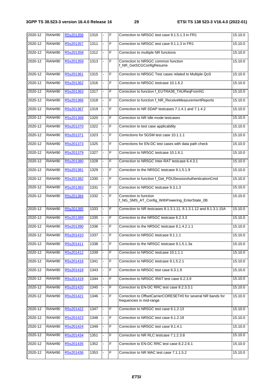| 2020-12     | <b>RAN#90</b> | R5s201356 | 1310 | $\blacksquare$ | F | Correction to NR5GC test case 9.1.5.1.3 in FR1                                            | 15.10.0 |
|-------------|---------------|-----------|------|----------------|---|-------------------------------------------------------------------------------------------|---------|
| 2020-12     | <b>RAN#90</b> | R5s201357 | 1311 |                | F | Correction to NR5GC test case 9.1.1.3 in FR1                                              | 15.10.0 |
| 2020-12     | <b>RAN#90</b> | R5s201358 | 1312 |                | F | Correction to multiple NR functions                                                       | 15.10.0 |
| 2020-12     | <b>RAN#90</b> | R5s201359 | 1313 | ä,             | F | Correction to NR5GC common function<br>f_NR_GetSCGConfigResume                            | 15.10.0 |
| 2020-12     | <b>RAN#90</b> | R5s201361 | 1315 |                | F | Correction to NR5GC Test cases related to Multiple QoS                                    | 15.10.0 |
| 2020-12     | <b>RAN#90</b> | R5s201362 | 1316 |                | F | Correction to NR5GC testcase 10.1.6.2                                                     | 15.10.0 |
| 2020-12     | <b>RAN#90</b> | R5s201363 | 1317 | ä,             | F | Correction to function f_EUTRA38_TAUReqFromN1                                             | 15.10.0 |
| 2020-12     | <b>RAN#90</b> | R5s201366 | 1318 |                | F | Correction to function f_NR_ReceiveMeasurementReports                                     | 15.10.0 |
| 2020-12     | <b>RAN#90</b> | R5s201367 | 1319 |                | F | Correction to NR SDAP testcases 7.1.4.1 and 7.1.4.2                                       | 15.10.0 |
| 2020-12     | <b>RAN#90</b> | R5s201368 | 1320 |                | F | Correction to NR Idle mode testcases                                                      | 15.10.0 |
| 2020-12     | <b>RAN#90</b> | R5s201370 | 1322 |                | F | Correction to test case applicability                                                     | 15.10.0 |
| 2020-12     | <b>RAN#90</b> | R5s201371 | 1323 |                | F | Corrections for 5GSM test case 10.1.1.1                                                   | 15.10.0 |
| 2020-12     | <b>RAN#90</b> | R5s201373 | 1325 |                | F | Corrections for EN-DC test cases with data path check                                     | 15.10.0 |
| 2020-12     | <b>RAN#90</b> | R5s201379 | 1327 |                | F | Correction to NR5GC testcase 10.1.6.1                                                     | 15.10.0 |
| 2020-12     | <b>RAN#90</b> | R5s201380 | 1328 |                | F | Correction to NR5GC Inter-RAT testcase 6.4.3.1                                            | 15.10.0 |
| 2020-12     | <b>RAN#90</b> | R5s201381 | 1329 |                | F | Correction to the NR5GC testcase 9.1.5.1.9                                                | 15.10.0 |
| 2020-12     | <b>RAN#90</b> | R5s201382 | 1330 | ÷,             | F | Correction to function f_Get_PDUSessionAuthenticationCmd                                  | 15.10.0 |
| 2020-12     | <b>RAN#90</b> | R5s201383 | 1331 |                | F | Correction to NR5GC testcase 9.3.1.3                                                      | 15.10.0 |
| 2020-12     | <b>RAN#90</b> | R5s201384 | 1332 |                | F | Correction to function<br>f_NG_SMS_AT_Config_WithPowering_EnterState_0B                   | 15.10.0 |
| 2020-12     | <b>RAN#90</b> | R5s201385 | 1333 | ÷,             | F | Correction to NR testcases 8.1.3.1.11, 8.1.3.1.12 and 8.1.3.1.15A                         | 15.10.0 |
| 2020-12     | <b>RAN#90</b> | R5s201389 | 1335 |                | F | Correction to the NR5GC testcase 6.2.3.3                                                  | 15.10.0 |
| 2020-12     | <b>RAN#90</b> | R5s201390 | 1336 | $\overline{a}$ | F | Correction to the NR5GC testcase 8.1.4.2.1.1                                              | 15.10.0 |
| 2020-12     | <b>RAN#90</b> | R5s201410 | 1337 |                | F | Correction to NR5GC testcase 9.1.1.1                                                      | 15.10.0 |
| 2020-12     | <b>RAN#90</b> | R5s201411 | 1338 |                | F | Correction to the NR5GC testcase 9.1.5.1.3a                                               | 15.10.0 |
| 2020-12     | <b>RAN#90</b> | R5s201412 | 1339 |                | F | Correction to NR5GC testcase 10.1.1.1                                                     | 15.10.0 |
| 2020-12     | <b>RAN#90</b> | R5s201416 | 1341 |                | F | Correction to NR5GC testcase 9.1.5.2.1                                                    | 15.10.0 |
| 2020-12     | <b>RAN#90</b> | R5s201418 | 1343 |                | F | Correction to NR5GC test case 6.3.1.9                                                     | 15.10.0 |
| 2020-12     | <b>RAN#90</b> | R5s201419 | 1344 |                | F | Correction to NR5GC IRAT test case 6.2.3.9                                                | 15.10.0 |
| 2020-12     | <b>RAN#90</b> | R5s201420 | 1345 |                | F | Correction to EN-DC RRC test case 8.2.3.3.1                                               | 15.10.0 |
| $2020 - 12$ | <b>RAN#90</b> | R5s201421 | 1346 |                | F | Correction to OffsetCarrierCORESET#0 for several NR bands for<br>frequencies in mid-range | 15.10.0 |
| 2020-12     | <b>RAN#90</b> | R5s201422 | 1347 |                | F | Correction to NR5GC test case 6.1.2.13                                                    | 15.10.0 |
| 2020-12     | <b>RAN#90</b> | R5s201423 | 1348 |                | F | Correction to NR5GC test case 6.1.2.19                                                    | 15.10.0 |
| 2020-12     | <b>RAN#90</b> | R5s201424 | 1349 |                | F | Correction to NR5GC test case 9.1.4.1                                                     | 15.10.0 |
| 2020-12     | <b>RAN#90</b> | R5s201434 | 1351 |                | F | Correction to NR RLC testcase 7.1.2.3.8                                                   | 15.10.0 |
| 2020-12     | <b>RAN#90</b> | R5s201435 | 1352 |                | F | Correction to EN-DC RRC test case 8.2.2.6.1                                               | 15.10.0 |
| 2020-12     | <b>RAN#90</b> | R5s201436 | 1353 |                | F | Correction to NR MAC test case 7.1.1.5.2                                                  | 15.10.0 |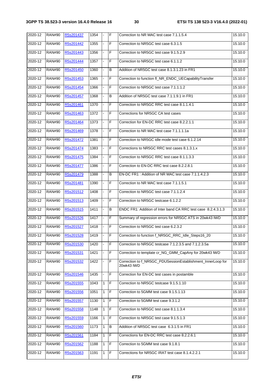| $2020 - 12$ | <b>RAN#90</b> | R5s201437 | 1354 | $\blacksquare$ | F | Correction to NR MAC test case 7.1.1.5.4                                  | 15.10.0 |
|-------------|---------------|-----------|------|----------------|---|---------------------------------------------------------------------------|---------|
| 2020-12     | <b>RAN#90</b> | R5s201442 | 1355 | ÷.             | F | Correction to NR5GC test case 6.3.1.5                                     | 15.10.0 |
| 2020-12     | <b>RAN#90</b> | R5s201443 | 1356 |                | F | Correction to NR5GC test case 9.1.5.2.9                                   | 15.10.0 |
| 2020-12     | <b>RAN#90</b> | R5s201444 | 1357 | ÷.             | F | Correction to NR5GC test case 6.1.1.2                                     | 15.10.0 |
| 2020-12     | <b>RAN#90</b> | R5s201450 | 1360 |                | B | Addition of NR5GC test case 8.1.3.1.23 in FR1                             | 15.10.0 |
| 2020-12     | <b>RAN#90</b> | R5s201453 | 1365 |                | F | Correction to function fl_NR_ENDC_UECapabilityTransfer                    | 15.10.0 |
| 2020-12     | <b>RAN#90</b> | R5s201454 | 1366 |                | F | Correction to NR5GC test case 7.1.1.1.2                                   | 15.10.0 |
| 2020-12     | <b>RAN#90</b> | R5s201457 | 1368 | ÷,             | B | Addition of NR5GC test case 7.1.1.9.1 in FR1                              | 15.10.0 |
| 2020-12     | <b>RAN#90</b> | R5s201461 | 1370 |                | F | Correction to NR5GC RRC test case 8.1.1.4.1                               | 15.10.0 |
| 2020-12     | <b>RAN#90</b> | R5s201463 | 1372 |                | F | Corrections for NR5GC CA test cases                                       | 15.10.0 |
| 2020-12     | <b>RAN#90</b> | R5s201464 | 1373 | ä,             | F | Correction for EN-DC RRC test case 8.2.2.1.1                              | 15.10.0 |
| 2020-12     | <b>RAN#90</b> | R5s201469 | 1378 |                | F | Correction to NR MAC test case 7.1.1.1.1a                                 | 15.10.0 |
| 2020-12     | <b>RAN#90</b> | R5s201472 | 1381 |                | F | Correction to NR5GC idle mode test case 6.1.2.14                          | 15.10.0 |
| 2020-12     | <b>RAN#90</b> | R5s201474 | 1383 | $\blacksquare$ | F | Corrections to NR5GC RRC test cases 8.1.3.1.x                             | 15.10.0 |
| 2020-12     | <b>RAN#90</b> | R5s201475 | 1384 |                | F | Correction to NR5GC RRC test case 8.1.1.3.3                               | 15.10.0 |
| 2020-12     | <b>RAN#90</b> | R5s201477 | 1386 |                | F | Correction to EN-DC RRC test case 8.2.2.8.1                               | 15.10.0 |
| 2020-12     | <b>RAN#90</b> | R5s201479 | 1388 | ÷.             | B | EN-DC FR1: Addition of NR MAC test case 7.1.1.4.2.3                       | 15.10.0 |
| 2020-12     | <b>RAN#90</b> | R5s201481 | 1390 |                | F | Correction to NR MAC test case 7.1.1.5.1                                  | 15.10.0 |
| 2020-12     | <b>RAN#90</b> | R5s201512 | 1408 |                | F | Correction to NR5GC test case 7.1.1.2.4                                   | 15.10.0 |
| 2020-12     | <b>RAN#90</b> | R5s201513 | 1409 | $\blacksquare$ | F | Correction to NR5GC testcase 6.1.2.2                                      | 15.10.0 |
| 2020-12     | <b>RAN#90</b> | R5s201515 | 1411 |                | В | ENDC FR1: Addition of Inter band CA RRC test case 8.2.4.3.1.3             | 15.10.0 |
| 2020-12     | <b>RAN#90</b> | R5s201526 | 1417 |                | F | Summary of regression errors for NR5GC ATS in 20wk43 IWD                  | 15.10.0 |
| 2020-12     | <b>RAN#90</b> | R5s201527 | 1418 |                | F | Correction to NR5GC test case 6.2.3.2                                     | 15.10.0 |
| 2020-12     | <b>RAN#90</b> | R5s201528 | 1419 |                | F | Correction to function f_NR5GC_RRC_Idle_Steps16_20                        | 15.10.0 |
| 2020-12     | <b>RAN#90</b> | R5s201530 | 1420 |                | F | Correction to NR5GC testcase 7.1.2.3.5 and 7.1.2.3.5a                     | 15.10.0 |
| 2020-12     | <b>RAN#90</b> | R5s201531 | 1421 |                | F | Correction to template cr_NG_GMM_CapAny for 20wk43 IWD                    | 15.10.0 |
| 2020-12     | <b>RAN#90</b> | R5s201532 | 1422 |                | F | Correction to f_NR5GC_PDUSessionEstablishment_InnerLoop for<br>20wk43 IWD | 15.10.0 |
| 2020-12     | <b>RAN#90</b> | R5s201546 | 1435 |                | F | Correction for EN-DC test cases in postamble                              | 15.10.0 |
| 2020-12     | <b>RAN#90</b> | R5s201555 | 1043 | 1              | F | Correction to NR5GC testcase 9.1.5.1.10                                   | 15.10.0 |
| 2020-12     | <b>RAN#90</b> | R5s201556 | 1051 | 1              | F | Correction to 5GMM test case 9.1.5.1.13                                   | 15.10.0 |
| 2020-12     | <b>RAN#90</b> | R5s201557 | 1130 | 1              | F | Correction to 5GMM test case 9.3.1.2                                      | 15.10.0 |
| 2020-12     | <b>RAN#90</b> | R5s201558 | 1148 | 1              | F | Correction to NR5GC test case 8.1.1.3.4                                   | 15.10.0 |
| 2020-12     | <b>RAN#90</b> | R5s201559 | 1166 | 1              | F | Correction to NR5GC test case 9.1.5.1.3                                   | 15.10.0 |
| 2020-12     | <b>RAN#90</b> | R5s201560 | 1173 | 1              | B | Addition of NR5GC test case 6.3.1.5 in FR1                                | 15.10.0 |
| 2020-12     | <b>RAN#90</b> | R5s201561 | 1184 | 1              | F | Corrections for EN-DC RRC test case 8.2.2.6.1                             | 15.10.0 |
| 2020-12     | <b>RAN#90</b> | R5s201562 | 1188 | 1              | F | Correction to 5GMM test case 9.1.8.1                                      | 15.10.0 |
| 2020-12     | <b>RAN#90</b> | R5s201563 | 1191 | 1              | F | Corrections for NR5GC IRAT test case 8.1.4.2.2.1                          | 15.10.0 |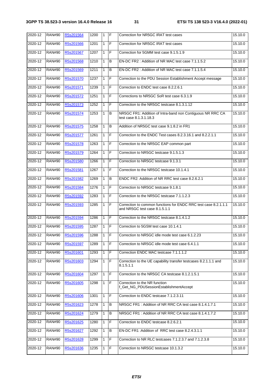| 2020-12 | <b>RAN#90</b> | R5s201564 | 1200 | $\vert$ 1    | F              | Correction for NR5GC IRAT test cases                                                             | 15.10.0 |
|---------|---------------|-----------|------|--------------|----------------|--------------------------------------------------------------------------------------------------|---------|
| 2020-12 | <b>RAN#90</b> | R5s201566 | 1201 | $\mathbf{1}$ | F              | Correction for NR5GC IRAT test cases                                                             | 15.10.0 |
| 2020-12 | <b>RAN#90</b> | R5s201567 | 1207 | 1            | F              | Correction for 5GMM test case 9.1.5.1.9                                                          | 15.10.0 |
| 2020-12 | <b>RAN#90</b> | R5s201568 | 1210 | 1            | B              | EN-DC FR2 : Addition of NR MAC test case 7.1.1.5.2                                               | 15.10.0 |
| 2020-12 | <b>RAN#90</b> | R5s201569 | 1211 | $\mathbf{1}$ | B              | EN-DC FR2: Addition of NR MAC test case 7.1.1.5.4                                                | 15.10.0 |
| 2020-12 | <b>RAN#90</b> | R5s201570 | 1237 | 1            | F              | Correction to the PDU Session Establishment Accept message                                       | 15.10.0 |
| 2020-12 | <b>RAN#90</b> | R5s201571 | 1239 | 1            | F              | Correction to ENDC test case 8.2.2.6.1                                                           | 15.10.0 |
| 2020-12 | <b>RAN#90</b> | R5s201572 | 1251 | $\mathbf{1}$ | F              | Corrections to NR5GC SoR test case 6.3.1.9                                                       | 15.10.0 |
| 2020-12 | <b>RAN#90</b> | R5s201573 | 1252 | $\mathbf{1}$ | F              | Correction to the NR5GC testcase 8.1.3.1.12                                                      | 15.10.0 |
| 2020-12 | <b>RAN#90</b> | R5s201574 | 1253 | $\mathbf{1}$ | B              | NR5GC FR1: Addition of Intra-band non Contiguous NR RRC CA<br>test case 8.1.3.1.18.3             | 15.10.0 |
| 2020-12 | <b>RAN#90</b> | R5s201575 | 1258 | $\mathbf{1}$ | B              | Addition of NR5GC test case 9.1.8.2 in FR1                                                       | 15.10.0 |
| 2020-12 | <b>RAN#90</b> | R5s201577 | 1261 | 1            | F              | Correction to the ENDC Test cases 8.2.3.16.1 and 8.2.2.1.1                                       | 15.10.0 |
| 2020-12 | <b>RAN#90</b> | R5s201578 | 1263 | $\mathbf{1}$ | F              | Correction to the NR5GC EAP common part                                                          | 15.10.0 |
| 2020-12 | <b>RAN#90</b> | R5s201579 | 1264 | $\mathbf{1}$ | F              | Correction to NR5GC testcase 9.1.5.1.3                                                           | 15.10.0 |
| 2020-12 | <b>RAN#90</b> | R5s201580 | 1266 | $\mathbf{1}$ | F              | Correction to NR5GC testcase 9.1.3.1                                                             | 15.10.0 |
| 2020-12 | <b>RAN#90</b> | R5s201581 | 1267 | 1            | F              | Correction to the NR5GC testcase 10.1.4.1                                                        | 15.10.0 |
| 2020-12 | <b>RAN#90</b> | R5s201582 | 1269 | $\mathbf{1}$ | B              | ENDC FR2: Addition of NR RRC test case 8.2.6.2.1                                                 | 15.10.0 |
| 2020-12 | <b>RAN#90</b> | R5s201584 | 1276 | $\mathbf{1}$ | F              | Correction to NR5GC testcase 9.1.8.1                                                             | 15.10.0 |
| 2020-12 | <b>RAN#90</b> | R5s201592 | 1283 | $\mathbf{1}$ | F              | Correction to the NR5GC testcase 7.1.1.2.3                                                       | 15.10.0 |
| 2020-12 | <b>RAN#90</b> | R5s201593 | 1285 | $\mathbf{1}$ | F              | Correction to common functions for ENDC RRC test case 8.2.1.1.1<br>and NR5GC test case 8.1.5.1.1 | 15.10.0 |
| 2020-12 | <b>RAN#90</b> | R5s201594 | 1286 | $\mathbf{1}$ | F              | Correction to the NR5GC testcase 8.1.4.1.2                                                       | 15.10.0 |
| 2020-12 | <b>RAN#90</b> | R5s201595 | 1287 | $\mathbf{1}$ | F              | Correction to 5GSM test case 10.1.4.1                                                            | 15.10.0 |
| 2020-12 | <b>RAN#90</b> | R5s201596 | 1288 | $\mathbf{1}$ | F              | Correction to NR5GC idle mode test case 6.1.2.23                                                 | 15.10.0 |
| 2020-12 | <b>RAN#90</b> | R5s201597 | 1289 | $\mathbf{1}$ | F              | Correction to NR5GC idle mode test case 6.4.1.1                                                  | 15.10.0 |
| 2020-12 | <b>RAN#90</b> | R5s201601 | 1293 | 1            | F              | Correction ENDC MAC testcase 7.1.1.1.2                                                           | 15.10.0 |
| 2020-12 | <b>RAN#90</b> | R5s201603 | 1294 | 1            | F              | Correction to the UE capability transfer testcases 8.2.1.1.1 and<br>8.1.5.1.1                    | 15.10.0 |
| 2020-12 | <b>RAN#90</b> | R5s201604 | 1297 | $\mathbf{1}$ | $\mathsf F$    | Correction to the NR5GC CA testcase 8.1.2.1.5.1                                                  | 15.10.0 |
| 2020-12 | <b>RAN#90</b> | R5s201605 | 1298 | $\mathbf{1}$ | F              | Correction to the NR function<br>f_Get_NG_PDUSessionEstablishmentAccept                          | 15.10.0 |
| 2020-12 | <b>RAN#90</b> | R5s201606 | 1301 | $\mathbf{1}$ | $\overline{F}$ | Correction to ENDC testcase 7.1.2.3.11                                                           | 15.10.0 |
| 2020-12 | <b>RAN#90</b> | R5s201623 | 1278 | $\mathbf{1}$ | B              | NR5GC FR1: Addition of NR RRC CA test case 8.1.4.1.7.1                                           | 15.10.0 |
| 2020-12 | <b>RAN#90</b> | R5s201624 | 1279 | 1            | B              | NR5GC FR1: Addition of NR RRC CA test case 8.1.4.1.7.2                                           | 15.10.0 |
| 2020-12 | <b>RAN#90</b> | R5s201625 | 1280 | 1            | F              | Correction to ENDC testcase 8.2.6.2.1                                                            | 15.10.0 |
| 2020-12 | <b>RAN#90</b> | R5s201627 | 1292 | 1            | В              | EN-DC FR1 : Addition of RRC test case 8.2.4.3.1.1                                                | 15.10.0 |
| 2020-12 | <b>RAN#90</b> | R5s201628 | 1299 | 1            | F              | Correction to NR RLC testcases 7.1.2.3.7 and 7.1.2.3.8                                           | 15.10.0 |
| 2020-12 | <b>RAN#90</b> | R5s201636 | 1235 | 1            | F              | Correction to NR5GC testcase 10.1.3.2                                                            | 15.10.0 |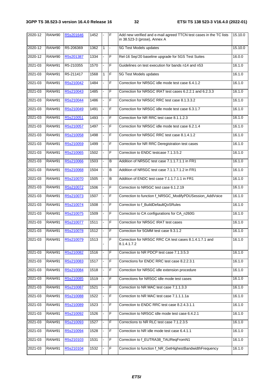| 2020-12     | <b>RAN#90</b> | R5s201646 | 1452 |                | F              | Add new verified and e-mail agreed TTCN test cases in the TC lists<br>in 38.523-3 (prose), Annex A | 15.10.0 |
|-------------|---------------|-----------|------|----------------|----------------|----------------------------------------------------------------------------------------------------|---------|
| 2020-12     | <b>RAN#90</b> | R5-206369 | 1362 | $\mathbf{1}$   | $\blacksquare$ | 5G Test Models updates                                                                             | 15.10.0 |
| 2020-12     | <b>RAN#90</b> | R5s201387 | 1334 | -              | F              | Rel-16 Sep'20 baseline upgrade for 5GS Test Suites                                                 | 16.0.0  |
| 2021-03     | <b>RAN#91</b> | R5-210355 | 1570 |                | F              | Guidelines on test execution for bands n14 and n53                                                 | 16.1.0  |
| 2021-03     | <b>RAN#91</b> | R5-211417 | 1568 | 1              | F              | 5G Test Models updates                                                                             | 16.1.0  |
| 2021-03     | <b>RAN#91</b> | R5s210042 | 1484 | $\overline{a}$ | F              | Correction for NR5GC idle mode test case 6.4.1.2                                                   | 16.1.0  |
| $2021 - 03$ | <b>RAN#91</b> | R5s210043 | 1485 |                | $\overline{F}$ | Correction for NR5GC IRAT test cases 6.2.2.1 and 6.2.3.3                                           | 16.1.0  |
| 2021-03     | <b>RAN#91</b> | R5s210044 | 1486 |                | F              | Correction for NR5GC RRC test case 8.1.3.3.2                                                       | 16.1.0  |
| 2021-03     | <b>RAN#91</b> | R5s210049 | 1491 | ÷.             | F              | Correction for NR5GC idle mode test case 6.3.1.7                                                   | 16.1.0  |
| 2021-03     | <b>RAN#91</b> | R5s210051 | 1493 |                | F              | Correction for NR RRC test case 8.1.1.2.3                                                          | 16.1.0  |
| 2021-03     | <b>RAN#91</b> | R5s210057 | 1497 |                | F              | Correction for NR5GC idle mode test case 6.2.1.4                                                   | 16.1.0  |
| 2021-03     | <b>RAN#91</b> | R5s210058 | 1498 | L.             | F              | Correction for NR5GC RRC test case 8.1.4.1.2                                                       | 16.1.0  |
| 2021-03     | <b>RAN#91</b> | R5s210059 | 1499 |                | F              | Correction for NR RRC Deregistration test cases                                                    | 16.1.0  |
| 2021-03     | <b>RAN#91</b> | R5s210065 | 1502 |                | F              | Correction to ENDC testcase 7.1.3.5.2                                                              | 16.1.0  |
| 2021-03     | <b>RAN#91</b> | R5s210066 | 1503 |                | B              | Addition of NR5GC test case 7.1.1.7.1.1 in FR1                                                     | 16.1.0  |
| 2021-03     | <b>RAN#91</b> | R5s210068 | 1504 |                | B              | Addition of NR5GC test case 7.1.1.7.1.2 in FR1                                                     | 16.1.0  |
| 2021-03     | <b>RAN#91</b> | R5s210070 | 1505 |                | B              | Addition of ENDC test case 7.1.1.7.1.1 in FR1                                                      | 16.1.0  |
| 2021-03     | <b>RAN#91</b> | R5s210072 | 1506 |                | F              | Correction to NR5GC test case 6.1.2.19                                                             | 16.1.0  |
| 2021-03     | <b>RAN#91</b> | R5s210073 | 1507 | L.             | F              | Correction to function f_NR5GC_ModifyPDUSession_AddVoice                                           | 16.1.0  |
| 2021-03     | <b>RAN#91</b> | R5s210074 | 1508 |                | F              | Correction to f_BuildDefaultQoSRules                                                               | 16.1.0  |
| 2021-03     | <b>RAN#91</b> | R5s210075 | 1509 |                | F              | Correction to CA configurations for CA_n260G                                                       | 16.1.0  |
| 2021-03     | <b>RAN#91</b> | R5s210077 | 1511 | -              | F              | Correction for NR5GC IRAT test cases                                                               | 16.1.0  |
| 2021-03     | <b>RAN#91</b> | R5s210078 | 1512 |                | F              | Correction for 5GMM test case 9.3.1.2                                                              | 16.1.0  |
| 2021-03     | <b>RAN#91</b> | R5s210079 | 1513 |                | $\mathsf F$    | Correction for NR5GC RRC CA test cases 8.1.4.1.7.1 and<br>8.1.4.1.7.2                              | 16.1.0  |
| 2021-03     | <b>RAN#91</b> | R5s210082 | 1516 | ÷,             | F              | Correction to NR PDCP test case 7.1.3.5.3                                                          | 16.1.0  |
| 2021-03     | <b>RAN#91</b> | R5s210083 | 1517 |                | F              | Corrections for ENDC RRC test case 8.2.2.3.1                                                       | 16.1.0  |
| 2021-03     | <b>RAN#91</b> | R5s210084 | 1518 |                | F              | Correction for NR5GC idle extension procedure                                                      | 16.1.0  |
| 2021-03     | <b>RAN#91</b> | R5s210085 | 1519 |                | F              | Corrections for NR5GC idle mode test cases                                                         | 16.1.0  |
| 2021-03     | <b>RAN#91</b> | R5s210087 | 1521 |                | F              | Correction to NR MAC test case 7.1.1.3.3                                                           | 16.1.0  |
| 2021-03     | <b>RAN#91</b> | R5s210088 | 1522 |                | F              | Correction to NR MAC test case 7.1.1.1.1a                                                          | 16.1.0  |
| 2021-03     | <b>RAN#91</b> | R5s210089 | 1523 |                | F              | Correction to ENDC RRC test case 8.2.4.3.1.1                                                       | 16.1.0  |
| 2021-03     | <b>RAN#91</b> | R5s210092 | 1526 |                | F              | Correction to NR5GC idle mode test case 6.4.2.1                                                    | 16.1.0  |
| 2021-03     | <b>RAN#91</b> | R5s210093 | 1527 |                | F              | Corrections to NR RLC test case 7.1.2.3.5                                                          | 16.1.0  |
| 2021-03     | <b>RAN#91</b> | R5s210094 | 1528 |                | F              | Correction to NR idle mode test case 6.4.1.1                                                       | 16.1.0  |
| 2021-03     | <b>RAN#91</b> | R5s210103 | 1531 |                | F              | Correction to f_EUTRA38_TAUReqFromN1                                                               | 16.1.0  |
| 2021-03     | <b>RAN#91</b> | R5s210104 | 1532 |                | F              | Correction to function f_NR_GetHighestBandwidthFrequency                                           | 16.1.0  |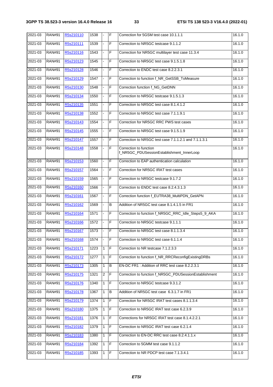| 2021-03 | <b>RAN#91</b> | R5s210110 | 1538 | $\blacksquare$ | F              | Correction for 5GSM test case 10.1.1.1                              | 16.1.0 |
|---------|---------------|-----------|------|----------------|----------------|---------------------------------------------------------------------|--------|
| 2021-03 | <b>RAN#91</b> | R5s210111 | 1539 |                | F              | Correction to NR5GC testcase 9.1.1.2                                | 16.1.0 |
| 2021-03 | <b>RAN#91</b> | R5s210116 | 1543 |                | F              | Correction for NR5GC multilayer test case 11.3.4                    | 16.1.0 |
| 2021-03 | <b>RAN#91</b> | R5s210123 | 1545 | ä,             | F              | Correction to NR5GC test case 9.1.5.1.8                             | 16.1.0 |
| 2021-03 | <b>RAN#91</b> | R5s210128 | 1546 |                | F              | Correction to ENDC test case 8.2.2.3.1                              | 16.1.0 |
| 2021-03 | <b>RAN#91</b> | R5s210129 | 1547 |                | F              | Correction to function f_NR_GetSSB_ToMeasure                        | 16.1.0 |
| 2021-03 | <b>RAN#91</b> | R5s210130 | 1548 |                | F              | Correction function f_NG_GetDNN                                     | 16.1.0 |
| 2021-03 | <b>RAN#91</b> | R5s210134 | 1550 |                | F              | Correction to NR5GC testcase 9.1.5.1.3                              | 16.1.0 |
| 2021-03 | <b>RAN#91</b> | R5s210135 | 1551 |                | F              | Correction to NR5GC test case 8.1.4.1.2                             | 16.1.0 |
| 2021-03 | <b>RAN#91</b> | R5s210138 | 1552 | $\overline{a}$ | F              | Correction to NR5GC test case 7.1.1.9.1                             | 16.1.0 |
| 2021-03 | <b>RAN#91</b> | R5s210143 | 1554 |                | F              | Correction for NR5GC RRC PWS test cases                             | 16.1.0 |
| 2021-03 | <b>RAN#91</b> | R5s210145 | 1555 |                | F              | Correction to NR5GC test case 9.1.5.1.9                             | 16.1.0 |
| 2021-03 | <b>RAN#91</b> | R5s210147 | 1557 | $\blacksquare$ | F              | Correction to NR5GC test case 7.1.1.2.1 and 7.1.1.3.1               | 16.1.0 |
| 2021-03 | <b>RAN#91</b> | R5s210148 | 1558 |                | F              | Correction to function<br>f_NR5GC_PDUSessionEstablishment_InnerLoop | 16.1.0 |
| 2021-03 | <b>RAN#91</b> | R5s210153 | 1560 |                | F              | Correction to EAP authentication calculation                        | 16.1.0 |
| 2021-03 | <b>RAN#91</b> | R5s210157 | 1564 | ÷,             | F              | Correction for NR5GC IRAT test cases                                | 16.1.0 |
| 2021-03 | <b>RAN#91</b> | R5s210159 | 1565 | ÷,             | F              | Correction to NR5GC testcase 9.1.7.2                                | 16.1.0 |
| 2021-03 | <b>RAN#91</b> | R5s210160 | 1566 |                | F              | Correction to ENDC test case 8.2.4.3.1.3                            | 16.1.0 |
| 2021-03 | <b>RAN#91</b> | R5s210161 | 1567 | ÷.             | F              | Correction function f_EUTRA38_MultiPDN_GetAPN                       | 16.1.0 |
| 2021-03 | <b>RAN#91</b> | R5s210162 | 1569 | ä,             | B              | Addition of NR5GC test case 8.1.4.1.5 in FR1                        | 16.1.0 |
| 2021-03 | <b>RAN#91</b> | R5s210164 | 1571 |                | F              | Correction to function f_NR5GC_RRC_Idle_Steps5_9_AKA                | 16.1.0 |
| 2021-03 | <b>RAN#91</b> | R5s210166 | 1572 |                | F              | Correction to NR5GC testcase 9.1.1.1                                | 16.1.0 |
| 2021-03 | <b>RAN#91</b> | R5s210167 | 1573 |                | F              | Correction to NR5GC test case 8.1.1.3.4                             | 16.1.0 |
| 2021-03 | <b>RAN#91</b> | R5s210168 | 1574 |                | IF             | Correction to NR5GC test case 6.1.1.4                               | 16.1.0 |
| 2021-03 | <b>RAN#91</b> | R5s210171 | 1223 | 1              | F              | Correction to NR testcase 7.1.2.3.3                                 | 16.1.0 |
| 2021-03 | <b>RAN#91</b> | R5s210172 | 1277 | 1              | $\mathsf F$    | Correction to function f_NR_RRCReconfigExistingDRBs                 | 16.1.0 |
| 2021-03 | <b>RAN#91</b> | R5s210173 | 1305 | 1              | $\overline{B}$ | EN-DC FR1 : Addition of RRC test case 8.2.2.3.1                     | 16.1.0 |
| 2021-03 | <b>RAN#91</b> | R5s210175 | 1321 | $\overline{2}$ | $\mathsf F$    | Correction to function f_NR5GC_PDUSessionEstablishment              | 16.1.0 |
| 2021-03 | <b>RAN#91</b> | R5s210176 | 1340 | 1              | F              | Correction to NR5GC testcase 9.3.1.2                                | 16.1.0 |
| 2021-03 | <b>RAN#91</b> | R5s210178 | 1367 | 1              | В              | Addition of NR5GC test case 6.3.1.7 in FR1                          | 16.1.0 |
| 2021-03 | <b>RAN#91</b> | R5s210179 | 1374 | $\mathbf{1}$   | F              | Correction for NR5GC IRAT test cases 8.1.1.3.4                      | 16.1.0 |
| 2021-03 | <b>RAN#91</b> | R5s210180 | 1375 | 1              | F              | Correction to NR5GC IRAT test case 6.2.3.9                          | 16.1.0 |
| 2021-03 | <b>RAN#91</b> | R5s210181 | 1376 | $\mathbf{1}$   | F              | Corrections for NR5GC IRAT test case 8.1.4.2.2.1                    | 16.1.0 |
| 2021-03 | <b>RAN#91</b> | R5s210182 | 1379 | 1              | F              | Correction to NR5GC IRAT test case 6.2.1.4                          | 16.1.0 |
| 2021-03 | <b>RAN#91</b> | R5s210183 | 1380 | 1              | $\overline{F}$ | Correction to EN-DC RRC test case 8.2.4.1.1.x                       | 16.1.0 |
| 2021-03 | <b>RAN#91</b> | R5s210184 | 1392 | 1              | F              | Correction to 5GMM test case 9.1.1.2                                | 16.1.0 |
| 2021-03 | <b>RAN#91</b> | R5s210185 | 1393 | 1              | $\mathsf F$    | Correction to NR PDCP test case 7.1.3.4.1                           | 16.1.0 |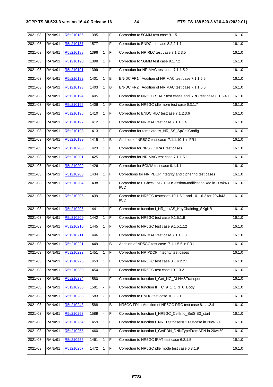| 2021-03 | <b>RAN#91</b> | R5s210186 | 1395 | $\mathbf{1}$ | IF  | Correction to 5GMM test case 9.1.5.1.1                                     | 16.1.0 |
|---------|---------------|-----------|------|--------------|-----|----------------------------------------------------------------------------|--------|
| 2021-03 | <b>RAN#91</b> | R5s210187 | 1577 |              | F   | Correction to ENDC testcase 8.2.2.1.1                                      | 16.1.0 |
| 2021-03 | <b>RAN#91</b> | R5s210188 | 1396 | $\mathbf{1}$ | IF  | Correction to NR RLC test case 7.1.2.3.5                                   | 16.1.0 |
| 2021-03 | <b>RAN#91</b> | R5s210190 | 1398 | 1            | F   | Correction to 5GMM test case 9.1.7.2                                       | 16.1.0 |
| 2021-03 | <b>RAN#91</b> | R5s210191 | 1399 | 1            | F   | Correction for NR MAC test case 7.1.1.5.2                                  | 16.1.0 |
| 2021-03 | <b>RAN#91</b> | R5s210192 | 1401 | 1            | B   | EN-DC FR1: Addition of NR MAC test case 7.1.1.5.5                          | 16.1.0 |
| 2021-03 | <b>RAN#91</b> | R5s210193 | 1403 | 1            | B   | EN-DC FR2: Addition of NR MAC test case 7.1.1.5.5                          | 16.1.0 |
| 2021-03 | <b>RAN#91</b> | R5s210194 | 1405 | $\mathbf{1}$ | F   | Correction to NR5GC SDAP test cases and RRC test case 8.1.5.4.1            | 16.1.0 |
| 2021-03 | <b>RAN#91</b> | R5s210195 | 1406 | $\mathbf{1}$ | F   | Correction to NR5GC idle more test case 6.3.1.7                            | 16.1.0 |
| 2021-03 | <b>RAN#91</b> | R5s210196 | 1410 | $\mathbf{1}$ | lF. | Correction to ENDC RLC testcase 7.1.2.3.6                                  | 16.1.0 |
| 2021-03 | <b>RAN#91</b> | R5s210197 | 1412 | $\mathbf{1}$ | F   | Correction to NR MAC test case 7.1.1.5.4                                   | 16.1.0 |
| 2021-03 | <b>RAN#91</b> | R5s210198 | 1413 | $\mathbf{1}$ | F   | Correction for template cs_NR_SS_SpCellConfig                              | 16.1.0 |
| 2021-03 | <b>RAN#91</b> | R5s210199 | 1415 | 1            | B   | Addition of NR5GC test case 7.1.1.10.1 in FR1                              | 16.1.0 |
| 2021-03 | <b>RAN#91</b> | R5s210200 | 1423 | $\mathbf{1}$ | F   | Correction for NR5GC IRAT test cases                                       | 16.1.0 |
| 2021-03 | <b>RAN#91</b> | R5s210201 | 1425 | $\mathbf{1}$ | F   | Correction for NR MAC test case 7.1.1.5.1                                  | 16.1.0 |
| 2021-03 | <b>RAN#91</b> | R5s210202 | 1426 | $\mathbf{1}$ | F   | Correction for 5GMM test case 9.1.4.1                                      | 16.1.0 |
| 2021-03 | <b>RAN#91</b> | R5s210203 | 1434 | $\mathbf{1}$ | F   | Corrections for NR PDCP integrity and ciphering test cases                 | 16.1.0 |
| 2021-03 | <b>RAN#91</b> | R5s210204 | 1438 | $\mathbf{1}$ | F   | Correction to f_Check_NG_PDUSessionModificationReq in 20wk43<br><b>IWD</b> | 16.1.0 |
| 2021-03 | <b>RAN#91</b> | R5s210205 | 1439 | $\mathbf{1}$ | IF  | Correction to NR5GC testcases 10.1.6.1 and 10.1.6.2 for 20wk43<br>IWD.     | 16.1.0 |
| 2021-03 | <b>RAN#91</b> | R5s210206 | 1441 | $\mathbf{1}$ | IF. | Correction to function f_NR_InitAS_KeyChaining_SKgNB                       | 16.1.0 |
| 2021-03 | <b>RAN#91</b> | R5s210209 | 1442 | $\mathbf{1}$ | IF  | Correction to NR5GC test case 9.1.5.1.9                                    | 16.1.0 |
| 2021-03 | <b>RAN#91</b> | R5s210210 | 1445 | $\mathbf{1}$ | F   | Correction to NR5GC test case 9.1.5.1.12                                   | 16.1.0 |
| 2021-03 | <b>RAN#91</b> | R5s210211 | 1446 | 1            | F   | Correction to NR MAC test case 7.1.1.3.3                                   | 16.1.0 |
| 2021-03 | <b>RAN#91</b> | R5s210221 | 1449 | 1            | B   | Addition of NR5GC test case 7.1.1.5.5 in FR1                               | 16.1.0 |
| 2021-03 | <b>RAN#91</b> | R5s210222 | 1451 | 1            | F   | Correction to NR PDCP integrity test cases                                 | 16.1.0 |
| 2021-03 | <b>RAN#91</b> | R5s210226 | 1453 | 1            | F   | Correction to NR5GC test case 8.1.4.2.2.1                                  | 16.1.0 |
| 2021-03 | <b>RAN#91</b> | R5s210230 | 1454 | 1            | F   | Correction to NR5GC test case 10.1.3.2                                     | 16.1.0 |
| 2021-03 | <b>RAN#91</b> | R5s210234 | 1580 |              | F   | Correction to function f_Get_NG_DLNASTransport                             | 16.1.0 |
| 2021-03 | <b>RAN#91</b> | R5s210235 | 1581 |              | F   | Correction to function fl_TC_9_1_1_3_6_Body                                | 16.1.0 |
| 2021-03 | <b>RAN#91</b> | R5s210238 | 1583 |              | F   | Correction to ENDC test case 10.2.2.1                                      | 16.1.0 |
| 2021-03 | <b>RAN#91</b> | R5s210243 | 1588 |              | B   | NR5GC FR1: Addition of NR5GC RRC test case 8.1.1.2.4                       | 16.1.0 |
| 2021-03 | <b>RAN#91</b> | R5s210253 | 1589 | -            | F   | Correction to function f_NR5GC_CellInfo_SetSIB3_start                      | 16.1.0 |
| 2021-03 | <b>RAN#91</b> | R5s210254 | 1459 | $\mathbf{1}$ | F   | Correction to function f_NR_TestcaselsL2Testcase in 20wk50                 | 16.1.0 |
| 2021-03 | <b>RAN#91</b> | R5s210255 | 1460 | 1            | F   | Correction to function f_GetPDN_DNNTypeFromAPN in 20wk50                   | 16.1.0 |
| 2021-03 | <b>RAN#91</b> | R5s210256 | 1461 | $\mathbf{1}$ | F   | Correction to NR5GC IRAT test case 6.2.1.5                                 | 16.1.0 |
| 2021-03 | <b>RAN#91</b> | R5s210257 | 1472 | 1            | F   | Correction to NR5GC idle mode test case 6.3.1.9                            | 16.1.0 |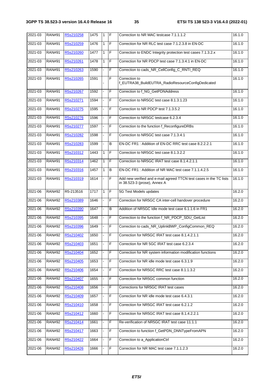| 2021-03     | <b>RAN#91</b> | R5s210258 | 1475 | $\mathbf{1}$ | ΙF             | Correction to NR MAC testcase 7.1.1.1.2                                                            | 16.1.0 |
|-------------|---------------|-----------|------|--------------|----------------|----------------------------------------------------------------------------------------------------|--------|
| 2021-03     | <b>RAN#91</b> | R5s210259 | 1476 | $\mathbf{1}$ | F              | Correction for NR RLC test case 7.1.2.3.8 in EN-DC                                                 | 16.1.0 |
| 2021-03     | <b>RAN#91</b> | R5s210260 | 1477 | 1            | F              | Correction to ENDC Integrity protection test cases 7.1.3.2.x                                       | 16.1.0 |
| 2021-03     | <b>RAN#91</b> | R5s210261 | 1478 | 1            | $\overline{F}$ | Correction for NR PDCP test case 7.1.3.4.1 in EN-DC                                                | 16.1.0 |
| 2021-03     | <b>RAN#91</b> | R5s210263 | 1590 |              | F              | Correction to cads_NR_CellConfig_C_RNTI_REQ                                                        | 16.1.0 |
| 2021-03     | <b>RAN#91</b> | R5s210265 | 1591 |              | F              | Correction to<br>f_EUTRA38_BuildEUTRA_RadioResourceConfigDedicated                                 | 16.1.0 |
| 2021-03     | <b>RAN#91</b> | R5s210267 | 1592 |              | F              | Correction to f_NG_GetPDNAddress                                                                   | 16.1.0 |
| 2021-03     | <b>RAN#91</b> | R5s210271 | 1594 |              | F              | Correction to NR5GC test case 8.1.3.1.23                                                           | 16.1.0 |
| 2021-03     | <b>RAN#91</b> | R5s210275 | 1595 |              | $\overline{F}$ | Correction to NR PDCP test 7.1.3.5.2                                                               | 16.1.0 |
| 2021-03     | <b>RAN#91</b> | R5s210276 | 1596 |              | F              | Correction to NR5GC testcase 6.2.3.4                                                               | 16.1.0 |
| 2021-03     | <b>RAN#91</b> | R5s210277 | 1597 |              | F              | Correction to the function f_ReconfigureDRBs                                                       | 16.1.0 |
| 2021-03     | <b>RAN#91</b> | R5s210282 | 1598 |              | F              | Correction to NR5GC test case 7.1.3.4.1                                                            | 16.1.0 |
| 2021-03     | <b>RAN#91</b> | R5s210283 | 1599 |              | B              | EN-DC FR1: Addition of EN-DC RRC test case 8.2.2.2.1                                               | 16.1.0 |
| 2021-03     | <b>RAN#91</b> | R5s210312 | 1443 | $\mathbf{1}$ | F              | Correction to NR5GC test case 8.1.3.2.2                                                            | 16.1.0 |
| 2021-03     | <b>RAN#91</b> | R5s210314 | 1462 | $\mathbf{1}$ | F              | Correction to NR5GC IRAT test case 8.1.4.2.1.1                                                     | 16.1.0 |
| 2021-03     | <b>RAN#91</b> | R5s210316 | 1457 | 1            | B              | EN-DC FR1: Addition of NR MAC test case 7.1.1.4.2.5                                                | 16.1.0 |
| 2021-03     | <b>RAN#91</b> | R5s210319 | 1614 | ä,           | F              | Add new verified and e-mail agreed TTCN test cases in the TC lists<br>in 38.523-3 (prose), Annex A | 16.1.0 |
| $2021 - 06$ | <b>RAN#92</b> | R5-213516 | 1717 | $\mathbf{1}$ | F              | 5G Test Models updates                                                                             | 16.2.0 |
| 2021-06     | <b>RAN#92</b> | R5s210389 | 1646 |              | F              | Correction for NR5GC CA inter-cell handover procedure                                              | 16.2.0 |
| 2021-06     | <b>RAN#92</b> | R5s210390 | 1647 |              | B              | Addition of NR5GC Idle mode test case 6.1.1.6 in FR1                                               | 16.2.0 |
| 2021-06     | <b>RAN#92</b> | R5s210395 | 1648 |              | F              | Correction to the function f_NR_PDCP_SDU_GetList                                                   | 16.2.0 |
| 2021-06     | <b>RAN#92</b> | R5s210396 | 1649 |              | $\overline{F}$ | Correction to cads_NR_UplinkBWP_ConfigCommon_REQ                                                   | 16.2.0 |
| 2021-06     | <b>RAN#92</b> | R5s210402 | 1650 |              | F              | Correction for NR5GC IRAT test case 8.1.4.2.1.1                                                    | 16.2.0 |
| 2021-06     | <b>RAN#92</b> | R5s210403 | 1651 |              | F              | Correction for NR 5GC IRAT test case 6.2.3.4                                                       | 16.2.0 |
| 2021-06     | <b>RAN#92</b> | R5s210404 | 1652 |              | F              | Correction for NR system information modification functions                                        | 16.2.0 |
| 2021-06     | <b>RAN#92</b> | R5s210405 | 1653 |              | F              | Correction for NR idle mode test case 6.3.1.9                                                      | 16.2.0 |
| 2021-06     | <b>RAN#92</b> | R5s210406 | 1654 |              | F              | Correction for NR5GC RRC test case 8.1.1.3.2                                                       | 16.2.0 |
| 2021-06     | <b>RAN#92</b> | R5s210407 | 1655 |              | F              | Correction for NR5GC common function                                                               | 16.2.0 |
| 2021-06     | <b>RAN#92</b> | R5s210408 | 1656 |              | F              | Corrections for NR5GC IRAT test cases                                                              | 16.2.0 |
| 2021-06     | <b>RAN#92</b> | R5s210409 | 1657 |              | F              | Correction for NR idle mode test case 6.4.3.1                                                      | 16.2.0 |
| 2021-06     | <b>RAN#92</b> | R5s210410 | 1658 |              | F              | Correction for NR5GC IRAT test case 6.2.1.2                                                        | 16.2.0 |
| 2021-06     | <b>RAN#92</b> | R5s210412 | 1660 |              | F              | Correction for NR5GC IRAT test case 8.1.4.2.2.1                                                    | 16.2.0 |
| 2021-06     | <b>RAN#92</b> | R5s210414 | 1661 |              | F              | Re-verification of NR5GC IRAT test case 11.1.1                                                     | 16.2.0 |
| 2021-06     | <b>RAN#92</b> | R5s210417 | 1663 |              | F              | Correction to function f_GetPDN_DNNTypeFromAPN                                                     | 16.2.0 |
| 2021-06     | <b>RAN#92</b> | R5s210422 | 1664 |              | F              | Correction to a_ApplicationCtrl                                                                    | 16.2.0 |
| 2021-06     | <b>RAN#92</b> | R5s210426 | 1666 |              | F              | Correction for NR MAC test case 7.1.1.2.3                                                          | 16.2.0 |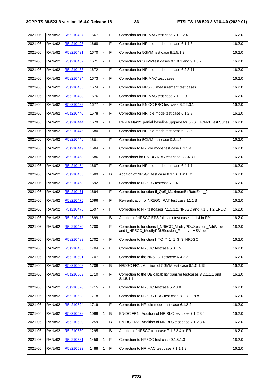| 2021-06     | <b>RAN#92</b> | R5s210427 | 1667 | $\overline{a}$ | $\mathsf F$    | Correction for NR MAC test case 7.1.1.2.4                                                                | 16.2.0 |
|-------------|---------------|-----------|------|----------------|----------------|----------------------------------------------------------------------------------------------------------|--------|
| 2021-06     | <b>RAN#92</b> | R5s210428 | 1668 |                | F              | Correction for NR idle mode test case 6.1.1.3                                                            | 16.2.0 |
| 2021-06     | <b>RAN#92</b> | R5s210431 | 1670 |                | F              | Correction for 5GMM test case 9.1.5.1.3                                                                  | 16.2.0 |
| 2021-06     | <b>RAN#92</b> | R5s210432 | 1671 | ä,             | $\overline{F}$ | Correction for 5GMMtest cases 9.1.8.1 and 9.1.8.2                                                        | 16.2.0 |
| 2021-06     | <b>RAN#92</b> | R5s210433 | 1672 |                | $\overline{F}$ | Correction for NR idle mode test case 6.2.3.11                                                           | 16.2.0 |
| 2021-06     | <b>RAN#92</b> | R5s210434 | 1673 |                | F              | Correction for NR MAC test cases                                                                         | 16.2.0 |
| 2021-06     | <b>RAN#92</b> | R5s210435 | 1674 | $\blacksquare$ | F              | Correction for NR5GC measurement test cases                                                              | 16.2.0 |
| 2021-06     | <b>RAN#92</b> | R5s210438 | 1676 |                | F              | Correction for NR MAC test case 7.1.1.10.1                                                               | 16.2.0 |
| 2021-06     | <b>RAN#92</b> | R5s210439 | 1677 |                | F              | Correction for EN-DC RRC test case 8.2.2.3.1                                                             | 16.2.0 |
| 2021-06     | <b>RAN#92</b> | R5s210440 | 1678 | ä,             | F              | Correction for NR idle mode test case 6.1.2.8                                                            | 16.2.0 |
| 2021-06     | <b>RAN#92</b> | R5s210444 | 1679 |                | $\overline{F}$ | Rel-16 Mar'21 partial baseline upgrade for 5GS TTCN-3 Test Suites                                        | 16.2.0 |
| 2021-06     | <b>RAN#92</b> | R5s210445 | 1680 |                | F              | Correction for NR idle mode test case 6.2.3.6                                                            | 16.2.0 |
| 2021-06     | <b>RAN#92</b> | R5s210446 | 1681 | $\frac{1}{2}$  | F              | Correction for 5GMM test case 9.3.1.2                                                                    | 16.2.0 |
| 2021-06     | <b>RAN#92</b> | R5s210449 | 1684 |                | F              | Correction to NR idle mode test case 6.1.1.4                                                             | 16.2.0 |
| 2021-06     | <b>RAN#92</b> | R5s210453 | 1686 |                | F              | Corrections for EN-DC RRC test case 8.2.4.3.1.1                                                          | 16.2.0 |
| 2021-06     | <b>RAN#92</b> | R5s210454 | 1687 |                | F              | Correction for NR idle mode test case 6.4.1.1                                                            | 16.2.0 |
| 2021-06     | <b>RAN#92</b> | R5s210456 | 1689 |                | B              | Addition of NR5GC test case 8.1.5.6.1 in FR1                                                             | 16.2.0 |
| 2021-06     | <b>RAN#92</b> | R5s210463 | 1692 |                | F              | Correction to NR5GC testcase 7.1.4.1                                                                     | 16.2.0 |
| 2021-06     | <b>RAN#92</b> | R5s210471 | 1694 | ÷,             | F              | Correction to function fl QoS MaximumBitRateExtd 2                                                       | 16.2.0 |
| 2021-06     | <b>RAN#92</b> | R5s210475 | 1696 |                | F              | Re-verification of NR5GC IRAT test case 11.1.3                                                           | 16.2.0 |
| 2021-06     | <b>RAN#92</b> | R5s210476 | 1697 |                | F              | Correction to NR testcases 7.1.3.1.2.NR5GC and 7.1.3.1.2.ENDC                                            | 16.2.0 |
| 2021-06     | <b>RAN#92</b> | R5s210478 | 1699 | ÷,             | B              | Addition of NR5GC EPS fall back test case 11.1.4 in FR1                                                  | 16.2.0 |
| 2021-06     | <b>RAN#92</b> | R5s210480 | 1700 | L.             | $\overline{F}$ | Correction to functions f_NR5GC_ModifyPDUSession_AddVoice<br>and f_NR5GC_ModifyPDUSession_RemoveIMSVoice | 16.2.0 |
| 2021-06     | <b>RAN#92</b> | R5s210483 | 1702 |                | F              | Correction to function f_TC_7_1_1_3_3_NR5GC                                                              | 16.2.0 |
| 2021-06     | <b>RAN#92</b> | R5s210485 | 1704 | ÷,             | F              | Correction to NR5GC testcase 6.3.1.5                                                                     | 16.2.0 |
| 2021-06     | <b>RAN#92</b> | R5s210501 | 1707 |                | F              | Correction to the NR5GC Testcase 6.4.2.2                                                                 | 16.2.0 |
| 2021-06     | <b>RAN#92</b> | R5s210503 | 1708 |                | B              | NR5GC FR1: Addition of 5GMM test case 9.1.5.1.15                                                         | 16.2.0 |
| 2021-06     | <b>RAN#92</b> | R5s210509 | 1710 |                | F              | Correction to the UE capability transfer testcases 8.2.1.1.1 and<br>8.1.5.1.1                            | 16.2.0 |
| 2021-06     | <b>RAN#92</b> | R5s210520 | 1715 |                | F              | Correction to NR5GC testcase 6.2.3.8                                                                     | 16.2.0 |
| 2021-06     | <b>RAN#92</b> | R5s210523 | 1718 |                | F              | Correction to NR5GC RRC test case 8.1.3.1.18.x                                                           | 16.2.0 |
| $2021 - 06$ | <b>RAN#92</b> | R5s210524 | 1719 |                | F              | Correction to NR idle mode test case 6.1.2.2                                                             | 16.2.0 |
| 2021-06     | <b>RAN#92</b> | R5s210528 | 1088 | 1              | B              | EN-DC FR1: Addition of NR RLC test case 7.1.2.3.4                                                        | 16.2.0 |
| 2021-06     | <b>RAN#92</b> | R5s210529 | 1259 | 1              | В              | EN-DC FR2: Addition of NR RLC test case 7.1.2.3.4                                                        | 16.2.0 |
| 2021-06     | <b>RAN#92</b> | R5s210530 | 1295 | 1              | B              | Addition of NR5GC test case 7.1.2.3.4 in FR1                                                             | 16.2.0 |
| 2021-06     | <b>RAN#92</b> | R5s210531 | 1456 | $\mathbf{1}$   | F              | Correction to NR5GC test case 9.1.5.1.3                                                                  | 16.2.0 |
| 2021-06     | <b>RAN#92</b> | R5s210532 | 1488 | 1              | F              | Correction to NR MAC test case 7.1.1.1.2                                                                 | 16.2.0 |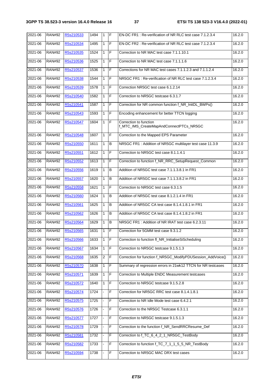| 2021-06     | <b>RAN#92</b> | R5s210533 | 1494 | $\mathbf{1}$   | IF.            | EN-DC FR1: Re-verification of NR RLC test case 7.1.2.3.4          | 16.2.0 |
|-------------|---------------|-----------|------|----------------|----------------|-------------------------------------------------------------------|--------|
| 2021-06     | <b>RAN#92</b> | R5s210534 | 1495 | $\mathbf{1}$   | F              | EN-DC FR2: Re-verification of NR RLC test case 7.1.2.3.4          | 16.2.0 |
| 2021-06     | <b>RAN#92</b> | R5s210535 | 1524 | 1              | F              | Correction to NR MAC test case 7.1.1.10.1                         | 16.2.0 |
| 2021-06     | <b>RAN#92</b> | R5s210536 | 1525 | $\mathbf{1}$   | $\overline{F}$ | Correction to NR MAC test case 7.1.1.1.6                          | 16.2.0 |
| 2021-06     | <b>RAN#92</b> | R5s210537 | 1536 | 1              | F              | Corrections for NR MAC test cases 7.1.1.2.3 and 7.1.1.2.4         | 16.2.0 |
| 2021-06     | <b>RAN#92</b> | R5s210538 | 1544 | 1              | F              | NR5GC FR1: Re-verification of NR RLC test case 7.1.2.3.4          | 16.2.0 |
| 2021-06     | <b>RAN#92</b> | R5s210539 | 1578 | 1              | F              | Correction NR5GC test case 6.1.2.14                               | 16.2.0 |
| 2021-06     | <b>RAN#92</b> | R5s210540 | 1582 | $\mathbf{1}$   | F              | Correction to NR5GC testcase 6.3.1.7                              | 16.2.0 |
| 2021-06     | <b>RAN#92</b> | R5s210541 | 1587 | 1              | F              | Correction for NR common function f_NR_InitDL_BWPs()              | 16.2.0 |
| 2021-06     | <b>RAN#92</b> | R5s210543 | 1593 | $\mathbf{1}$   | F              | Encoding enhancement for better TTCN logging                      | 16.2.0 |
| 2021-06     | <b>RAN#92</b> | R5s210547 | 1604 | 1              | F              | Correction to function<br>f_MTC_IMS_CreateMapAndConnectPTCs_NR5GC | 16.2.0 |
| $2021 - 06$ | <b>RAN#92</b> | R5s210548 | 1607 | 1              | F              | Correction to the Mapped EPS Parameter                            | 16.2.0 |
| 2021-06     | <b>RAN#92</b> | R5s210550 | 1611 | $\mathbf{1}$   | B              | NR5GC FR1: Addition of NR5GC multilayer test case 11.3.9          | 16.2.0 |
| 2021-06     | <b>RAN#92</b> | R5s210551 | 1612 | $\mathbf{1}$   | F              | Correction to NR5GC test case 8.1.1.4.1                           | 16.2.0 |
| 2021-06     | <b>RAN#92</b> | R5s210552 | 1613 | 1              | E              | Correction to function f_NR_RRC_SetupRequest_Common               | 16.2.0 |
| 2021-06     | <b>RAN#92</b> | R5s210556 | 1619 | 1              | B              | Addition of NR5GC test case 7.1.1.3.8.1 in FR1                    | 16.2.0 |
| 2021-06     | <b>RAN#92</b> | R5s210557 | 1620 | 1              | В              | Addition of NR5GC test case 7.1.1.3.8.2 in FR1                    | 16.2.0 |
| 2021-06     | <b>RAN#92</b> | R5s210558 | 1621 | $\mathbf{1}$   | F              | Correction to NR5GC test case 6.3.1.5                             | 16.2.0 |
| 2021-06     | <b>RAN#92</b> | R5s210560 | 1624 | 1              | B              | Addition of NR5GC test case 8.1.2.1.4 in FR1                      | 16.2.0 |
| 2021-06     | <b>RAN#92</b> | R5s210561 | 1625 | $\mathbf{1}$   | B              | Addition of NR5GC CA test case 8.1.4.1.8.1 in FR1                 | 16.2.0 |
| 2021-06     | <b>RAN#92</b> | R5s210562 | 1626 | $\mathbf{1}$   | B              | Addition of NR5GC CA test case 8.1.4.1.8.2 in FR1                 | 16.2.0 |
| 2021-06     | <b>RAN#92</b> | R5s210564 | 1629 | 1              | B              | NR5GC FR1: Addition of NR IRAT test case 6.2.3.11                 | 16.2.0 |
| 2021-06     | <b>RAN#92</b> | R5s210565 | 1631 | 1              | $\mathsf F$    | Correction for 5GMM test case 9.3.1.2                             | 16.2.0 |
| 2021-06     | <b>RAN#92</b> | R5s210566 | 1633 | $\overline{1}$ | IF.            | Correction to function fl_NR_InitialiseSiScheduling               | 16.2.0 |
| 2021-06     | <b>RAN#92</b> | R5s210567 | 1634 | 1              | E              | Correction to NR5GC testcase 9.1.5.1.3                            | 16.2.0 |
| 2021-06     | <b>RAN#92</b> | R5s210568 | 1635 | $\overline{2}$ | $\mathsf F$    | Correction for function f_NR5GC_ModifyPDUSession_AddVoice()       | 16.2.0 |
| 2021-06     | <b>RAN#92</b> | R5s210570 | 1638 | 1              | $\mathsf F$    | Summary of regression errors in 21wk12 TTCN for NR testcases      | 16.2.0 |
| 2021-06     | <b>RAN#92</b> | R5s210571 | 1639 | 1              | $\mathsf F$    | Correction to Multiple ENDC Measurement testcases                 | 16.2.0 |
| 2021-06     | <b>RAN#92</b> | R5s210572 | 1640 | 1              | F              | Correction to NR5GC testcase 9.1.5.2.8                            | 16.2.0 |
| 2021-06     | <b>RAN#92</b> | R5s210574 | 1724 |                | F              | Correction for NR5GC RRC test case 8.1.4.1.8.1                    | 16.2.0 |
| 2021-06     | <b>RAN#92</b> | R5s210575 | 1725 |                | F              | Correction to NR Idle Mode test case 6.4.2.1                      | 16.2.0 |
| 2021-06     | <b>RAN#92</b> | R5s210576 | 1726 |                | F              | Correction to the NR5GC Testcase 6.3.1.1                          | 16.2.0 |
| 2021-06     | <b>RAN#92</b> | R5s210577 | 1727 |                | $\mathsf F$    | Correction to NR5GC testcase 9.1.5.1.3                            | 16.2.0 |
| 2021-06     | <b>RAN#92</b> | R5s210578 | 1729 |                | F              | Correction to the function f_NR_SendRRCResume_Def                 | 16.2.0 |
| 2021-06     | <b>RAN#92</b> | R5s210581 | 1732 |                | F              | Correction to f_TC_6_4_2_1_NR5GC_TestBody                         | 16.2.0 |
| 2021-06     | <b>RAN#92</b> | R5s210582 | 1733 |                | $\mathsf F$    | Correction to function f_TC_7_1_1_5_5_NR_TestBody                 | 16.2.0 |
| 2021-06     | <b>RAN#92</b> | R5s210594 | 1738 |                | $\mathsf F$    | Correction to NR5GC MAC DRX test cases                            | 16.2.0 |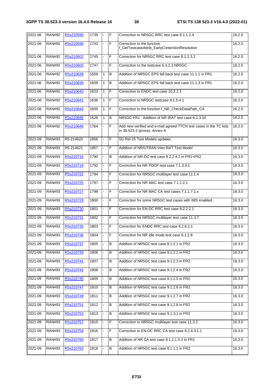| $2021 - 06$ | <b>RAN#92</b> | R5s210595 | 1739 | $\blacksquare$ | E              | Correction to NR5GC RRC test case 8.1.1.2.4                                                        | 16.2.0 |
|-------------|---------------|-----------|------|----------------|----------------|----------------------------------------------------------------------------------------------------|--------|
| 2021-06     | <b>RAN#92</b> | R5s210598 | 1742 |                | F              | Correction to the function<br>f_GetTestcaseAttrib_EarlyContentionResolution                        | 16.2.0 |
| 2021-06     | <b>RAN#92</b> | R5s210602 | 1745 |                | F              | Correction for NR5GC RRC test case 8.1.3.3.2                                                       | 16.2.0 |
| 2021-06     | <b>RAN#92</b> | R5s210605 | 1747 | ÷              | F              | Correction to the testcase 6.4.2.2.NR5GC                                                           | 16.2.0 |
| 2021-06     | <b>RAN#92</b> | R5s210638 | 1559 | 1              | B              | Addition of NR5GC EPS fall back test case 11.1.1 in FR1                                            | 16.2.0 |
| 2021-06     | <b>RAN#92</b> | R5s210639 | 1609 | $\mathbf{1}$   | B              | Addition of NR5GC EPS fall back test case 11.1.3 in FR1                                            | 16.2.0 |
| 2021-06     | <b>RAN#92</b> | R5s210640 | 1623 | $\mathbf{1}$   | F              | Correction to ENDC test case 10.2.2.1                                                              | 16.2.0 |
| 2021-06     | <b>RAN#92</b> | R5s210641 | 1636 | $\mathbf{1}$   | $\overline{F}$ | Correction to NR5GC testcase 8.1.5.4.1                                                             | 16.2.0 |
| 2021-06     | <b>RAN#92</b> | R5s210643 | 1605 | $\mathbf{1}$   | F              | Correction to the function f_NR_CheckDataPath_CA                                                   | 16.2.0 |
| 2021-06     | <b>RAN#92</b> | R5s210646 | 1628 | $\mathbf{1}$   | B              | NR5GC FR1: Addition of NR IRAT test case 6.2.3.10                                                  | 16.2.0 |
| 2021-06     | <b>RAN#92</b> | R5s210648 | 1764 |                | F              | Add new verified and e-mail agreed TTCN test cases in the TC lists<br>in 38.523-3 (prose), Annex A | 16.2.0 |
| 2021-09     | <b>RAN#93</b> | R5-214620 | 1856 |                | F              | 5G Rel-15 Test Models updates                                                                      | 16.3.0 |
| 2021-09     | <b>RAN#93</b> | R5-214621 | 1857 | ÷              | F              | Addition of NR/UTRAN Inter-RAT Test Model                                                          | 16.3.0 |
| 2021-09     | <b>RAN#93</b> | R5s210716 | 1790 | ä,             | B              | Addition of NR-DC test case 8.2.2.4.2 in FR1+FR2                                                   | 16.3.0 |
| 2021-09     | <b>RAN#93</b> | R5s210719 | 1792 |                | F              | Correction for NR PDCP test case 7.1.3.4.1                                                         | 16.3.0 |
| 2021-09     | <b>RAN#93</b> | R5s210722 | 1794 |                | F              | Correction for NR5GC mulitlayer test case 11.1.4                                                   | 16.3.0 |
| 2021-09     | <b>RAN#93</b> | R5s210725 | 1797 | ä,             | $\overline{F}$ | Correction for NR MAC test case 7.1.1.2.1                                                          | 16.3.0 |
| 2021-09     | <b>RAN#93</b> | R5s210727 | 1798 |                | $\overline{F}$ | Correction for NR MAC CA test cases 7.1.1.7.1.x                                                    | 16.3.0 |
| 2021-09     | <b>RAN#93</b> | R5s210729 | 1800 |                | F              | Correction for some NR5GC test cases with IMS enabled                                              | 16.3.0 |
| 2021-09     | <b>RAN#93</b> | R5s210730 | 1801 | $\blacksquare$ | F              | Correction for EN-DC RRC test case 8.2.2.2.1                                                       | 16.3.0 |
| 2021-09     | <b>RAN#93</b> | R5s210731 | 1802 |                | F              | Correction for NR5GC multilayer test case 11.3.7                                                   | 16.3.0 |
| 2021-09     | <b>RAN#93</b> | R5s210735 | 1803 |                | F              | Correction for ENDC RRC test case 8.2.6.2.1                                                        | 16.3.0 |
| 2021-09     | <b>RAN#93</b> | R5s210736 | 1804 | $\blacksquare$ | F              | Correction for NR idle mode test case 6.1.2.8                                                      | 16.3.0 |
| 2021-09     | <b>RAN#93</b> | R5s210737 | 1805 |                | В              | Addition of NR5GC test case 9.1.2.1 in FR2                                                         | 16.3.0 |
| 2021-09     | <b>RAN#93</b> | R5s210739 | 1806 |                | B              | Addition of NR5GC test case 9.1.2.2 in FR2                                                         | 16.3.0 |
| 2021-09     | <b>RAN#93</b> | R5s210741 | 1807 |                | В              | Addition of NR5GC test case 9.1.2.3 in FR2                                                         | 16.3.0 |
| 2021-09     | <b>RAN#93</b> | R5s210743 | 1808 |                | В              | Addition of NR5GC test case 9.1.2.4 in FR2                                                         | 16.3.0 |
| 2021-09     | <b>RAN#93</b> | R5s210745 | 1809 |                | B              | Addition of NR5GC test case 9.1.2.5 in FR2                                                         | 16.3.0 |
| 2021-09     | <b>RAN#93</b> | R5s210747 | 1810 |                | B              | Addition of NR5GC test case 9.1.2.6 in FR2                                                         | 16.3.0 |
| 2021-09     | <b>RAN#93</b> | R5s210749 | 1811 |                | В              | Addition of NR5GC test case 9.1.2.7 in FR2                                                         | 16.3.0 |
| 2021-09     | <b>RAN#93</b> | R5s210751 | 1812 |                | В              | Addition of NR5GC test case 9.1.2.8 in FR2                                                         | 16.3.0 |
| 2021-09     | <b>RAN#93</b> | R5s210753 | 1813 |                | В              | Addition of NR5GC test case 9.1.3.1 in FR2                                                         | 16.3.0 |
| 2021-09     | <b>RAN#93</b> | R5s210757 | 1815 |                | F              | Correction to NR5GC multilayer test case 11.3.2                                                    | 16.3.0 |
| 2021-09     | <b>RAN#93</b> | R5s210758 | 1816 |                | F              | Correction to EN-DC RRC CA test case 8.2.4.3.1.1                                                   | 16.3.0 |
| 2021-09     | <b>RAN#93</b> | R5s210760 | 1817 |                | $\, {\bf B}$   | Addition of NR CA test case 8.1.2.1.5.3 in FR1                                                     | 16.3.0 |
| 2021-09     | <b>RAN#93</b> | R5s210763 | 1818 |                | B              | Addition of NR5GC test case 9.1.1.1 in FR2                                                         | 16.3.0 |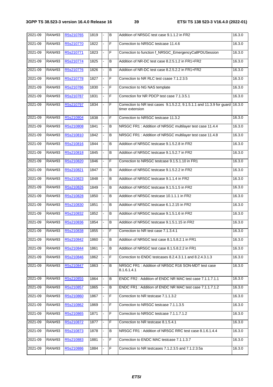| 2021-09 | <b>RAN#93</b> | R5s210765 | 1819 | B       | Addition of NR5GC test case 9.1.1.2 in FR2                                               | 16.3.0 |
|---------|---------------|-----------|------|---------|------------------------------------------------------------------------------------------|--------|
| 2021-09 | <b>RAN#93</b> | R5s210770 | 1822 | F       | Correction to NR5GC testcase 11.4.6                                                      | 16.3.0 |
| 2021-09 | <b>RAN#93</b> | R5s210771 | 1823 | F       | Correction to function f_NR5GC_EmergencyCallPDUSession                                   | 16.3.0 |
| 2021-09 | <b>RAN#93</b> | R5s210774 | 1825 | B       | Addition of NR-DC test case 8.2.5.1.2 in FR1+FR2                                         | 16.3.0 |
| 2021-09 | <b>RAN#93</b> | R5s210776 | 1826 | B       | Addition of NR-DC test case 8.2.5.2.2 in FR1+FR2                                         | 16.3.0 |
| 2021-09 | <b>RAN#93</b> | R5s210778 | 1827 | F       | Correction to NR RLC test csase 7.1.2.3.5                                                | 16.3.0 |
| 2021-09 | <b>RAN#93</b> | R5s210786 | 1830 | F       | Correction to NG NAS template                                                            | 16.3.0 |
| 2021-09 | <b>RAN#93</b> | R5s210787 | 1831 | F       | Correction for NR PDCP test case 7.1.3.5.1                                               | 16.3.0 |
| 2021-09 | <b>RAN#93</b> | R5s210797 | 1834 | F       | Correction to NR test cases 9.1.5.2.2, 9.1.5.1.1 and 11.3.9 for guard<br>timer extension | 16.3.0 |
| 2021-09 | <b>RAN#93</b> | R5s210804 | 1838 | F       | Correction to NR5GC testcase 11.3.2                                                      | 16.3.0 |
| 2021-09 | <b>RAN#93</b> | R5s210808 | 1841 | B       | NR5GC FR1 : Addition of NR5GC multilayer test case 11.4.4                                | 16.3.0 |
| 2021-09 | <b>RAN#93</b> | R5s210810 | 1842 | в       | NR5GC FR1: Addition of NR5GC multilayer test case 11.4.8                                 | 16.3.0 |
| 2021-09 | <b>RAN#93</b> | R5s210816 | 1844 | $\sf B$ | Addition of NR5GC testcase 9.1.5.2.8 in FR2                                              | 16.3.0 |
| 2021-09 | <b>RAN#93</b> | R5s210818 | 1845 | B       | Addition of NR5GC testcase 9.1.5.2.7 in FR2                                              | 16.3.0 |
| 2021-09 | <b>RAN#93</b> | R5s210820 | 1846 | F       | Correction to NR5GC testcase 9.1.5.1.10 in FR1                                           | 16.3.0 |
| 2021-09 | <b>RAN#93</b> | R5s210821 | 1847 | B       | Addition of NR5GC testcase 9.1.5.2.2 in FR2                                              | 16.3.0 |
| 2021-09 | <b>RAN#93</b> | R5s210823 | 1848 | B       | Addition of NR5GC testcase 9.1.1.4 in FR2                                                | 16.3.0 |
| 2021-09 | <b>RAN#93</b> | R5s210826 | 1849 | B       | Addition of NR5GC testcase 9.1.5.1.5 in FR2                                              | 16.3.0 |
| 2021-09 | <b>RAN#93</b> | R5s210828 | 1850 | B       | Addition of NR5GC testcase 10.1.1.1 in FR2                                               | 16.3.0 |
| 2021-09 | <b>RAN#93</b> | R5s210830 | 1851 | B       | Addition of NR5GC testcase 6.1.2.15 in FR2                                               | 16.3.0 |
| 2021-09 | <b>RAN#93</b> | R5s210832 | 1852 | B       | Addition of NR5GC testcase 9.1.5.1.6 in FR2                                              | 16.3.0 |
| 2021-09 | <b>RAN#93</b> | R5s210836 | 1854 | $\sf B$ | Addition of NR5GC testcase 9.1.5.1.15 in FR2                                             | 16.3.0 |
| 2021-09 | <b>RAN#93</b> | R5s210838 | 1855 | F       | Correction to NR test case 7.1.3.4.1                                                     | 16.3.0 |
| 2021-09 | RAN#93        | R5s210842 | 1860 | ΙB      | Addition of NR5GC test case 8.1.5.8.2.1 in FR1                                           | 16.3.0 |
| 2021-09 | <b>RAN#93</b> | R5s210844 | 1861 | В       | Addition of NR5GC test case 8.1.5.8.2.2 in FR1                                           | 16.3.0 |
| 2021-09 | <b>RAN#93</b> | R5s210846 | 1862 | F       | Correction to ENDC testcases 8.2.4.3.1.1 and 8.2.4.3.1.3                                 | 16.3.0 |
| 2021-09 | <b>RAN#93</b> | R5s210847 | 1863 | В       | NR5GC FR1: Addition of NR5GC R16 SON-MDT test case<br>8.1.6.1.4.1                        | 16.3.0 |
| 2021-09 | <b>RAN#93</b> | R5s210855 | 1864 | В       | ENDC FR2: Addition of ENDC NR MAC test case 7.1.1.7.1.1                                  | 16.3.0 |
| 2021-09 | <b>RAN#93</b> | R5s210857 | 1865 | В       | ENDC FR1: Addition of ENDC NR MAC test case 7.1.1.7.1.2                                  | 16.3.0 |
| 2021-09 | <b>RAN#93</b> | R5s210860 | 1867 | F       | Correction to NR testcase 7.1.1.3.2                                                      | 16.3.0 |
| 2021-09 | <b>RAN#93</b> | R5s210862 | 1869 | F       | Correction to NR5GC testcase 7.1.1.3.5                                                   | 16.3.0 |
| 2021-09 | <b>RAN#93</b> | R5s210865 | 1871 | F       | Correction to NR5GC testcase 7.1.1.7.1.2                                                 | 16.3.0 |
| 2021-09 | <b>RAN#93</b> | R5s210872 | 1877 | F       | Correction to NR testcase 8.1.5.4.1                                                      | 16.3.0 |
| 2021-09 | <b>RAN#93</b> | R5s210873 | 1878 | В       | NR5GC FR1: Addition of NR5GC RRC test case 8.1.6.1.4.4                                   | 16.3.0 |
| 2021-09 | <b>RAN#93</b> | R5s210883 | 1881 | F       | Correction to ENDC MAC testcase 7.1.1.3.7                                                | 16.3.0 |
| 2021-09 | <b>RAN#93</b> | R5s210886 | 1884 | F       | Correction to NR testcases 7.1.2.3.5 and 7.1.2.3.5a                                      | 16.3.0 |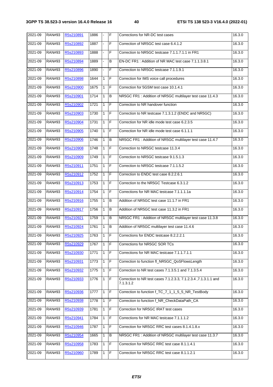| 2021-09 | <b>RAN#93</b> | R5s210891 | 1886 | $\blacksquare$ | $\mathsf F$    | Corrections for NR-DC test cases                                             | 16.3.0 |
|---------|---------------|-----------|------|----------------|----------------|------------------------------------------------------------------------------|--------|
| 2021-09 | <b>RAN#93</b> | R5s210892 | 1887 |                | F              | Correction of NR5GC test case 6.4.1.2                                        | 16.3.0 |
| 2021-09 | <b>RAN#93</b> | R5s210893 | 1888 |                | F              | Correction to NR5GC testcase 7.1.1.7.1.1 in FR1                              | 16.3.0 |
| 2021-09 | <b>RAN#93</b> | R5s210894 | 1889 |                | B              | EN-DC FR1: Addition of NR MAC test case 7.1.1.3.8.1                          | 16.3.0 |
| 2021-09 | <b>RAN#93</b> | R5s210896 | 1890 |                | F              | Correction to NR5GC testcase 7.1.1.9.1                                       | 16.3.0 |
| 2021-09 | <b>RAN#93</b> | R5s210898 | 1644 | 1              | E              | Correction for IMS voice call procedures                                     | 16.3.0 |
| 2021-09 | <b>RAN#93</b> | R5s210900 | 1675 | 1              | F              | Correction for 5GSM test case 10.1.4.1                                       | 16.3.0 |
| 2021-09 | <b>RAN#93</b> | R5s210901 | 1714 | 1              | B              | NR5GC FR1 : Addition of NR5GC multilayer test case 11.4.3                    | 16.3.0 |
| 2021-09 | <b>RAN#93</b> | R5s210902 | 1721 | 1              | F              | Correction to NR handover function                                           | 16.3.0 |
| 2021-09 | <b>RAN#93</b> | R5s210903 | 1730 | $\mathbf{1}$   | F              | Correction to NR testcase 7.1.3.1.2 (ENDC and NR5GC)                         | 16.3.0 |
| 2021-09 | <b>RAN#93</b> | R5s210904 | 1731 | $\mathbf{1}$   | $\overline{F}$ | Correction for NR idle mode test case 6.2.3.5                                | 16.3.0 |
| 2021-09 | <b>RAN#93</b> | R5s210905 | 1740 | $\mathbf{1}$   | E              | Correction for NR idle mode test case 6.1.1.1                                | 16.3.0 |
| 2021-09 | <b>RAN#93</b> | R5s210906 | 1746 | 1              | B              | NR5GC FR1: Addition of NR5GC multilayer test case 11.4.7                     | 16.3.0 |
| 2021-09 | <b>RAN#93</b> | R5s210908 | 1748 | $\mathbf{1}$   | F              | Correction to NR5GC testcase 11.3.4                                          | 16.3.0 |
| 2021-09 | <b>RAN#93</b> | R5s210909 | 1749 | 1              | F              | Correction to NR5GC testcase 9.1.5.1.3                                       | 16.3.0 |
| 2021-09 | <b>RAN#93</b> | R5s210911 | 1751 | 1              | F              | Correction to NR5GC testcase 7.1.1.5.2                                       | 16.3.0 |
| 2021-09 | <b>RAN#93</b> | R5s210912 | 1752 | $\mathbf{1}$   | $\overline{F}$ | Correction to ENDC test case 8.2.2.6.1                                       | 16.3.0 |
| 2021-09 | <b>RAN#93</b> | R5s210913 | 1753 | $\mathbf{1}$   | F              | Correction to the NR5GC Testcase 6.3.1.2                                     | 16.3.0 |
| 2021-09 | <b>RAN#93</b> | R5s210914 | 1754 | $\mathbf{1}$   | E              | Corrections for NR MAC testcase 7.1.1.1.1a                                   | 16.3.0 |
| 2021-09 | <b>RAN#93</b> | R5s210916 | 1755 | 1              | B              | Addition of NR5GC test case 11.1.7 in FR1                                    | 16.3.0 |
| 2021-09 | <b>RAN#93</b> | R5s210917 | 1756 | 1              | B              | Addition of NR5GC test case 11.3.2 in FR1                                    | 16.3.0 |
| 2021-09 | <b>RAN#93</b> | R5s210921 | 1759 | 1              | B              | NR5GC FR1 : Addition of NR5GC multilayer test case 11.3.8                    | 16.3.0 |
| 2021-09 | <b>RAN#93</b> | R5s210924 | 1761 | $\mathbf{1}$   | $\, {\bf B}$   | Addition of NR5GC multilayer test case 11.4.6                                | 16.3.0 |
| 2021-09 | <b>RAN#93</b> | R5s210925 | 1763 | 1              | F              | Corrections for ENDC testcase 8.2.2.2.1                                      | 16.3.0 |
| 2021-09 | <b>RAN#93</b> | R5s210929 | 1767 | 1              | F              | Corrections for NR5GC SOR TCs                                                | 16.3.0 |
| 2021-09 | <b>RAN#93</b> | R5s210930 | 1771 | 1              | F              | Corrections for NR MAC testcase 7.1.1.7.1.1                                  | 16.3.0 |
| 2021-09 | <b>RAN#93</b> | R5s210931 | 1773 | 1              | F              | Correction to function fl_NR5GC_QoSFlowsLength                               | 16.3.0 |
| 2021-09 | <b>RAN#93</b> | R5s210932 | 1775 | 1              | F              | Correction to NR test cases 7.1.3.5.1 and 7.1.3.5.4                          | 16.3.0 |
| 2021-09 | <b>RAN#93</b> | R5s210933 | 1776 | 1              | F              | Correction to NR test cases 7.1.2.3.3, 7.1.2.3.4, 7.1.3.1.1 and<br>7.1.3.1.2 | 16.3.0 |
| 2021-09 | <b>RAN#93</b> | R5s210936 | 1777 | 1              | F              | Correction to function f_TC_7_1_1_5_5_NR_TestBody                            | 16.3.0 |
| 2021-09 | <b>RAN#93</b> | R5s210938 | 1778 | 1              | F              | Correction to function f_NR_CheckDataPath_CA                                 | 16.3.0 |
| 2021-09 | <b>RAN#93</b> | R5s210939 | 1781 | 1              | $\mathsf F$    | Correction for NR5GC IRAT test cases                                         | 16.3.0 |
| 2021-09 | <b>RAN#93</b> | R5s210941 | 1784 | 1              | $\mathsf F$    | Corrections for NR MAC testcase 7.1.1.1.2                                    | 16.3.0 |
| 2021-09 | <b>RAN#93</b> | R5s210946 | 1787 | 1              | F              | Correction for NR5GC RRC test cases 8.1.4.1.8.x                              | 16.3.0 |
| 2021-09 | <b>RAN#93</b> | R5s210954 | 1665 | 1              | B              | NR5GC FR1: Addition of NR5GC multilayer test case 11.3.7                     | 16.3.0 |
| 2021-09 | <b>RAN#93</b> | R5s210958 | 1783 | 1              | $\mathsf F$    | Correction for NR5GC RRC test case 8.1.1.4.1                                 | 16.3.0 |
| 2021-09 | <b>RAN#93</b> | R5s210960 | 1789 | 1              | F              | Correction for NR5GC RRC test case 8.1.1.2.1                                 | 16.3.0 |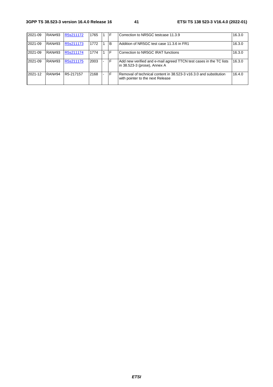| 2021-09 | <b>RAN#93</b> | R5s211172 | 1765 | F  | Correction to NR5GC testcase 11.3.9                                                                   | 16.3.0 |
|---------|---------------|-----------|------|----|-------------------------------------------------------------------------------------------------------|--------|
| 2021-09 | <b>RAN#93</b> | R5s211173 | 1772 | B  | Addition of NR5GC test case 11.3.6 in FR1                                                             | 16.3.0 |
| 2021-09 | <b>RAN#93</b> | R5s211174 | 1774 | F  | Correction to NR5GC IRAT functions                                                                    | 16.3.0 |
| 2021-09 | <b>RAN#93</b> | R5s211175 | 2003 | ١F | Add new verified and e-mail agreed TTCN test cases in the TC lists                                    | 16.3.0 |
|         |               |           |      |    | in 38.523-3 (prose), Annex A                                                                          |        |
| 2021-12 | <b>RAN#94</b> | R5-217157 | 2168 | F  | Removal of technical content in 38.523-3 v16.3.0 and substitution<br>with pointer to the next Release | 16.4.0 |